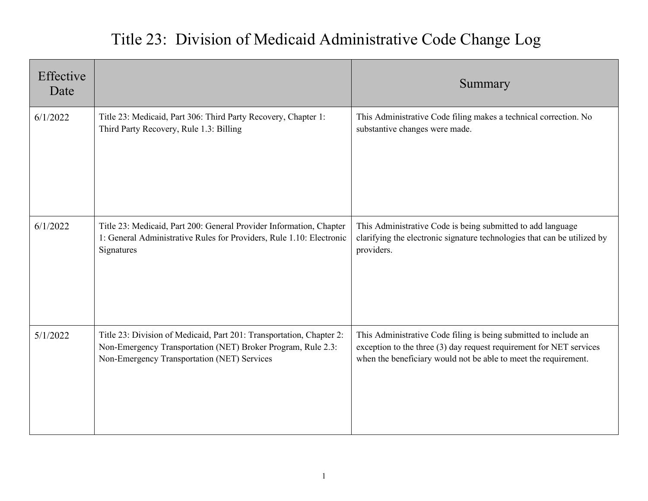## Title 23: Division of Medicaid Administrative Code Change Log

| Effective<br>Date |                                                                                                                                                                                     | Summary                                                                                                                                                                                                    |
|-------------------|-------------------------------------------------------------------------------------------------------------------------------------------------------------------------------------|------------------------------------------------------------------------------------------------------------------------------------------------------------------------------------------------------------|
| 6/1/2022          | Title 23: Medicaid, Part 306: Third Party Recovery, Chapter 1:<br>Third Party Recovery, Rule 1.3: Billing                                                                           | This Administrative Code filing makes a technical correction. No<br>substantive changes were made.                                                                                                         |
| 6/1/2022          | Title 23: Medicaid, Part 200: General Provider Information, Chapter<br>1: General Administrative Rules for Providers, Rule 1.10: Electronic<br>Signatures                           | This Administrative Code is being submitted to add language<br>clarifying the electronic signature technologies that can be utilized by<br>providers.                                                      |
| 5/1/2022          | Title 23: Division of Medicaid, Part 201: Transportation, Chapter 2:<br>Non-Emergency Transportation (NET) Broker Program, Rule 2.3:<br>Non-Emergency Transportation (NET) Services | This Administrative Code filing is being submitted to include an<br>exception to the three (3) day request requirement for NET services<br>when the beneficiary would not be able to meet the requirement. |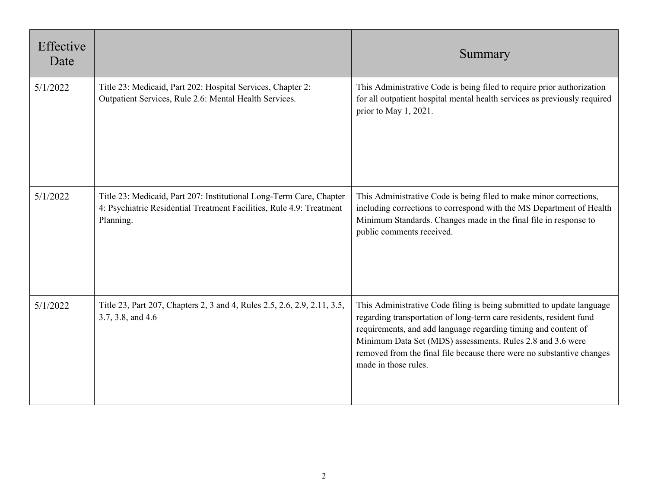| Effective<br>Date |                                                                                                                                                          | Summary                                                                                                                                                                                                                                                                                                                                                                       |
|-------------------|----------------------------------------------------------------------------------------------------------------------------------------------------------|-------------------------------------------------------------------------------------------------------------------------------------------------------------------------------------------------------------------------------------------------------------------------------------------------------------------------------------------------------------------------------|
| 5/1/2022          | Title 23: Medicaid, Part 202: Hospital Services, Chapter 2:<br>Outpatient Services, Rule 2.6: Mental Health Services.                                    | This Administrative Code is being filed to require prior authorization<br>for all outpatient hospital mental health services as previously required<br>prior to May 1, 2021.                                                                                                                                                                                                  |
| 5/1/2022          | Title 23: Medicaid, Part 207: Institutional Long-Term Care, Chapter<br>4: Psychiatric Residential Treatment Facilities, Rule 4.9: Treatment<br>Planning. | This Administrative Code is being filed to make minor corrections,<br>including corrections to correspond with the MS Department of Health<br>Minimum Standards. Changes made in the final file in response to<br>public comments received.                                                                                                                                   |
| 5/1/2022          | Title 23, Part 207, Chapters 2, 3 and 4, Rules 2.5, 2.6, 2.9, 2.11, 3.5,<br>3.7, 3.8, and 4.6                                                            | This Administrative Code filing is being submitted to update language<br>regarding transportation of long-term care residents, resident fund<br>requirements, and add language regarding timing and content of<br>Minimum Data Set (MDS) assessments. Rules 2.8 and 3.6 were<br>removed from the final file because there were no substantive changes<br>made in those rules. |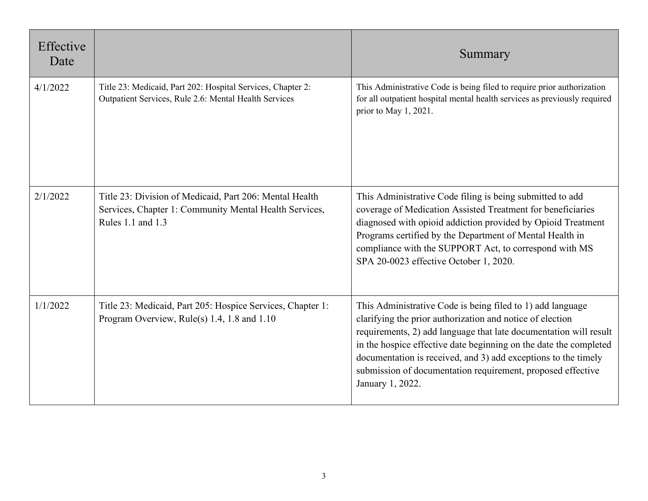| Effective<br>Date |                                                                                                                                        | Summary                                                                                                                                                                                                                                                                                                                                                                                                                |
|-------------------|----------------------------------------------------------------------------------------------------------------------------------------|------------------------------------------------------------------------------------------------------------------------------------------------------------------------------------------------------------------------------------------------------------------------------------------------------------------------------------------------------------------------------------------------------------------------|
| 4/1/2022          | Title 23: Medicaid, Part 202: Hospital Services, Chapter 2:<br>Outpatient Services, Rule 2.6: Mental Health Services                   | This Administrative Code is being filed to require prior authorization<br>for all outpatient hospital mental health services as previously required<br>prior to May 1, 2021.                                                                                                                                                                                                                                           |
| 2/1/2022          | Title 23: Division of Medicaid, Part 206: Mental Health<br>Services, Chapter 1: Community Mental Health Services,<br>Rules 1.1 and 1.3 | This Administrative Code filing is being submitted to add<br>coverage of Medication Assisted Treatment for beneficiaries<br>diagnosed with opioid addiction provided by Opioid Treatment<br>Programs certified by the Department of Mental Health in<br>compliance with the SUPPORT Act, to correspond with MS<br>SPA 20-0023 effective October 1, 2020.                                                               |
| 1/1/2022          | Title 23: Medicaid, Part 205: Hospice Services, Chapter 1:<br>Program Overview, Rule(s) 1.4, 1.8 and 1.10                              | This Administrative Code is being filed to 1) add language<br>clarifying the prior authorization and notice of election<br>requirements, 2) add language that late documentation will result<br>in the hospice effective date beginning on the date the completed<br>documentation is received, and 3) add exceptions to the timely<br>submission of documentation requirement, proposed effective<br>January 1, 2022. |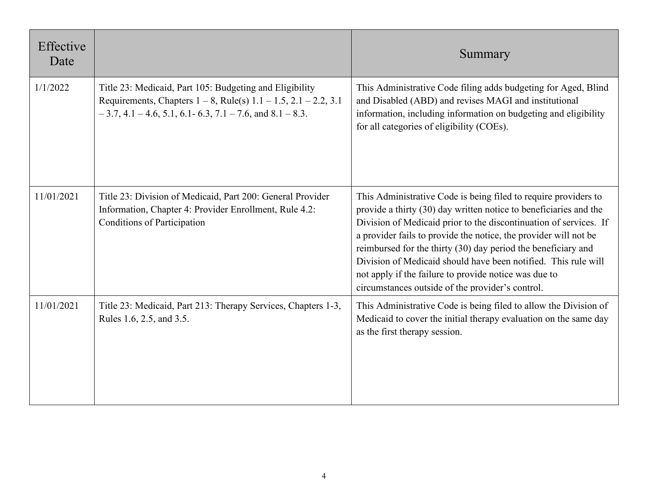| Effective<br>Date |                                                                                                                                                                                                          | Summary                                                                                                                                                                                                                                                                                                                                                                                                                                                                                                                       |
|-------------------|----------------------------------------------------------------------------------------------------------------------------------------------------------------------------------------------------------|-------------------------------------------------------------------------------------------------------------------------------------------------------------------------------------------------------------------------------------------------------------------------------------------------------------------------------------------------------------------------------------------------------------------------------------------------------------------------------------------------------------------------------|
| 1/1/2022          | Title 23: Medicaid, Part 105: Budgeting and Eligibility<br>Requirements, Chapters $1 - 8$ , Rule(s) $1.1 - 1.5$ , $2.1 - 2.2$ , $3.1$<br>$-3.7, 4.1 - 4.6, 5.1, 6.1 - 6.3, 7.1 - 7.6,$ and $8.1 - 8.3$ . | This Administrative Code filing adds budgeting for Aged, Blind<br>and Disabled (ABD) and revises MAGI and institutional<br>information, including information on budgeting and eligibility<br>for all categories of eligibility (COEs).                                                                                                                                                                                                                                                                                       |
| 11/01/2021        | Title 23: Division of Medicaid, Part 200: General Provider<br>Information, Chapter 4: Provider Enrollment, Rule 4.2:<br><b>Conditions of Participation</b>                                               | This Administrative Code is being filed to require providers to<br>provide a thirty (30) day written notice to beneficiaries and the<br>Division of Medicaid prior to the discontinuation of services. If<br>a provider fails to provide the notice, the provider will not be<br>reimbursed for the thirty (30) day period the beneficiary and<br>Division of Medicaid should have been notified. This rule will<br>not apply if the failure to provide notice was due to<br>circumstances outside of the provider's control. |
| 11/01/2021        | Title 23: Medicaid, Part 213: Therapy Services, Chapters 1-3,<br>Rules 1.6, 2.5, and 3.5.                                                                                                                | This Administrative Code is being filed to allow the Division of<br>Medicaid to cover the initial therapy evaluation on the same day<br>as the first therapy session.                                                                                                                                                                                                                                                                                                                                                         |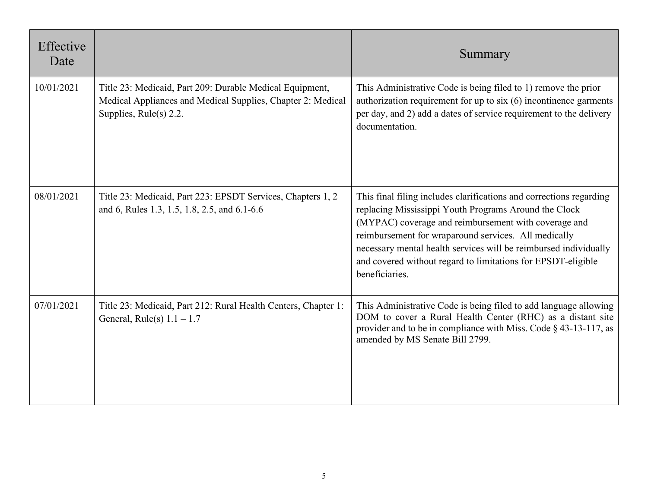| Effective<br>Date |                                                                                                                                                      | Summary                                                                                                                                                                                                                                                                                                                                                                                            |
|-------------------|------------------------------------------------------------------------------------------------------------------------------------------------------|----------------------------------------------------------------------------------------------------------------------------------------------------------------------------------------------------------------------------------------------------------------------------------------------------------------------------------------------------------------------------------------------------|
| 10/01/2021        | Title 23: Medicaid, Part 209: Durable Medical Equipment,<br>Medical Appliances and Medical Supplies, Chapter 2: Medical<br>Supplies, Rule(s) $2.2$ . | This Administrative Code is being filed to 1) remove the prior<br>authorization requirement for up to $six(6)$ incontinence garments<br>per day, and 2) add a dates of service requirement to the delivery<br>documentation.                                                                                                                                                                       |
| 08/01/2021        | Title 23: Medicaid, Part 223: EPSDT Services, Chapters 1, 2<br>and 6, Rules 1.3, 1.5, 1.8, 2.5, and 6.1-6.6                                          | This final filing includes clarifications and corrections regarding<br>replacing Mississippi Youth Programs Around the Clock<br>(MYPAC) coverage and reimbursement with coverage and<br>reimbursement for wraparound services. All medically<br>necessary mental health services will be reimbursed individually<br>and covered without regard to limitations for EPSDT-eligible<br>beneficiaries. |
| 07/01/2021        | Title 23: Medicaid, Part 212: Rural Health Centers, Chapter 1:<br>General, Rule(s) $1.1 - 1.7$                                                       | This Administrative Code is being filed to add language allowing<br>DOM to cover a Rural Health Center (RHC) as a distant site<br>provider and to be in compliance with Miss. Code § 43-13-117, as<br>amended by MS Senate Bill 2799.                                                                                                                                                              |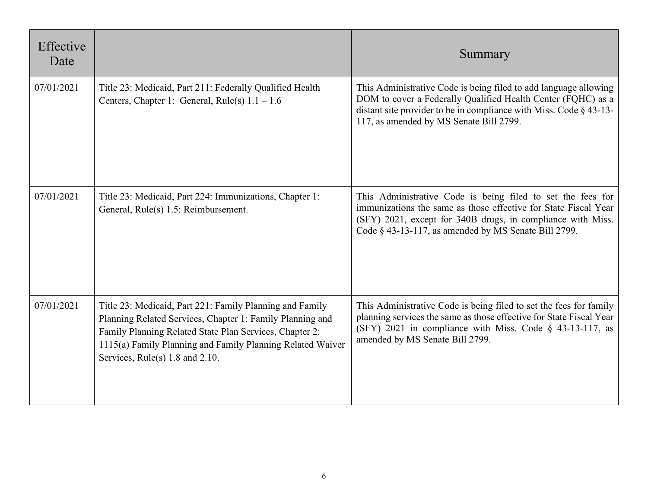| Effective<br>Date |                                                                                                                                                                                                                                                                                   | Summary                                                                                                                                                                                                                                               |
|-------------------|-----------------------------------------------------------------------------------------------------------------------------------------------------------------------------------------------------------------------------------------------------------------------------------|-------------------------------------------------------------------------------------------------------------------------------------------------------------------------------------------------------------------------------------------------------|
| 07/01/2021        | Title 23: Medicaid, Part 211: Federally Qualified Health<br>Centers, Chapter 1: General, Rule(s) $1.1 - 1.6$                                                                                                                                                                      | This Administrative Code is being filed to add language allowing<br>DOM to cover a Federally Qualified Health Center (FQHC) as a<br>distant site provider to be in compliance with Miss. Code $\S$ 43-13-<br>117, as amended by MS Senate Bill 2799.  |
| 07/01/2021        | Title 23: Medicaid, Part 224: Immunizations, Chapter 1:<br>General, Rule(s) 1.5: Reimbursement.                                                                                                                                                                                   | This Administrative Code is being filed to set the fees for<br>immunizations the same as those effective for State Fiscal Year<br>(SFY) 2021, except for 340B drugs, in compliance with Miss.<br>Code § 43-13-117, as amended by MS Senate Bill 2799. |
| 07/01/2021        | Title 23: Medicaid, Part 221: Family Planning and Family<br>Planning Related Services, Chapter 1: Family Planning and<br>Family Planning Related State Plan Services, Chapter 2:<br>1115(a) Family Planning and Family Planning Related Waiver<br>Services, Rule(s) 1.8 and 2.10. | This Administrative Code is being filed to set the fees for family<br>planning services the same as those effective for State Fiscal Year<br>(SFY) 2021 in compliance with Miss. Code § 43-13-117, as<br>amended by MS Senate Bill 2799.              |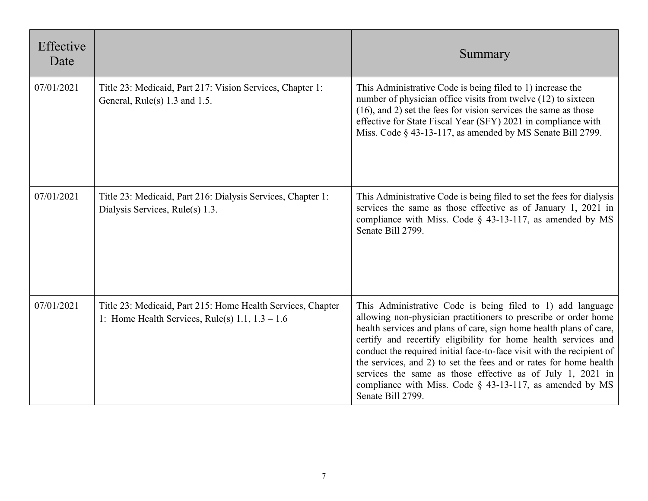| Effective<br>Date |                                                                                                                     | Summary                                                                                                                                                                                                                                                                                                                                                                                                                                                                                                                                                               |
|-------------------|---------------------------------------------------------------------------------------------------------------------|-----------------------------------------------------------------------------------------------------------------------------------------------------------------------------------------------------------------------------------------------------------------------------------------------------------------------------------------------------------------------------------------------------------------------------------------------------------------------------------------------------------------------------------------------------------------------|
| 07/01/2021        | Title 23: Medicaid, Part 217: Vision Services, Chapter 1:<br>General, Rule(s) 1.3 and 1.5.                          | This Administrative Code is being filed to 1) increase the<br>number of physician office visits from twelve (12) to sixteen<br>$(16)$ , and 2) set the fees for vision services the same as those<br>effective for State Fiscal Year (SFY) 2021 in compliance with<br>Miss. Code § 43-13-117, as amended by MS Senate Bill 2799.                                                                                                                                                                                                                                      |
| 07/01/2021        | Title 23: Medicaid, Part 216: Dialysis Services, Chapter 1:<br>Dialysis Services, Rule(s) 1.3.                      | This Administrative Code is being filed to set the fees for dialysis<br>services the same as those effective as of January 1, 2021 in<br>compliance with Miss. Code $\S$ 43-13-117, as amended by MS<br>Senate Bill 2799.                                                                                                                                                                                                                                                                                                                                             |
| 07/01/2021        | Title 23: Medicaid, Part 215: Home Health Services, Chapter<br>1: Home Health Services, Rule(s) $1.1$ , $1.3 - 1.6$ | This Administrative Code is being filed to 1) add language<br>allowing non-physician practitioners to prescribe or order home<br>health services and plans of care, sign home health plans of care,<br>certify and recertify eligibility for home health services and<br>conduct the required initial face-to-face visit with the recipient of<br>the services, and 2) to set the fees and or rates for home health<br>services the same as those effective as of July 1, 2021 in<br>compliance with Miss. Code $\S$ 43-13-117, as amended by MS<br>Senate Bill 2799. |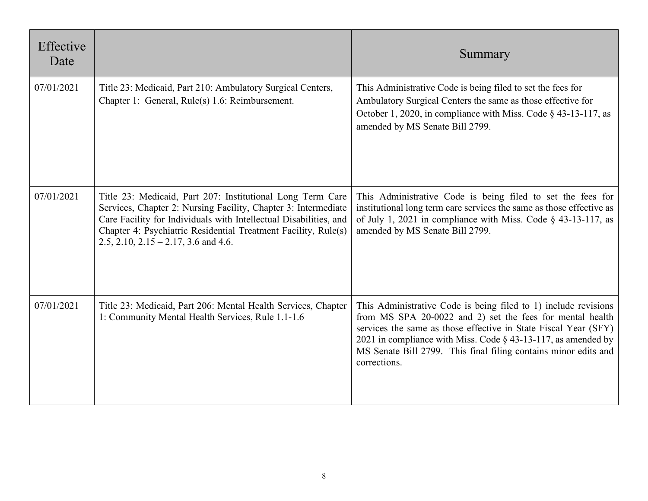| Effective<br>Date |                                                                                                                                                                                                                                                                                                             | Summary                                                                                                                                                                                                                                                                                                                                                |
|-------------------|-------------------------------------------------------------------------------------------------------------------------------------------------------------------------------------------------------------------------------------------------------------------------------------------------------------|--------------------------------------------------------------------------------------------------------------------------------------------------------------------------------------------------------------------------------------------------------------------------------------------------------------------------------------------------------|
| 07/01/2021        | Title 23: Medicaid, Part 210: Ambulatory Surgical Centers,<br>Chapter 1: General, Rule(s) 1.6: Reimbursement.                                                                                                                                                                                               | This Administrative Code is being filed to set the fees for<br>Ambulatory Surgical Centers the same as those effective for<br>October 1, 2020, in compliance with Miss. Code § 43-13-117, as<br>amended by MS Senate Bill 2799.                                                                                                                        |
| 07/01/2021        | Title 23: Medicaid, Part 207: Institutional Long Term Care<br>Services, Chapter 2: Nursing Facility, Chapter 3: Intermediate<br>Care Facility for Individuals with Intellectual Disabilities, and<br>Chapter 4: Psychiatric Residential Treatment Facility, Rule(s)<br>2.5, 2.10, 2.15 – 2.17, 3.6 and 4.6. | This Administrative Code is being filed to set the fees for<br>institutional long term care services the same as those effective as<br>of July 1, 2021 in compliance with Miss. Code $\S$ 43-13-117, as<br>amended by MS Senate Bill 2799.                                                                                                             |
| 07/01/2021        | Title 23: Medicaid, Part 206: Mental Health Services, Chapter<br>1: Community Mental Health Services, Rule 1.1-1.6                                                                                                                                                                                          | This Administrative Code is being filed to 1) include revisions<br>from MS SPA 20-0022 and 2) set the fees for mental health<br>services the same as those effective in State Fiscal Year (SFY)<br>2021 in compliance with Miss. Code $\S$ 43-13-117, as amended by<br>MS Senate Bill 2799. This final filing contains minor edits and<br>corrections. |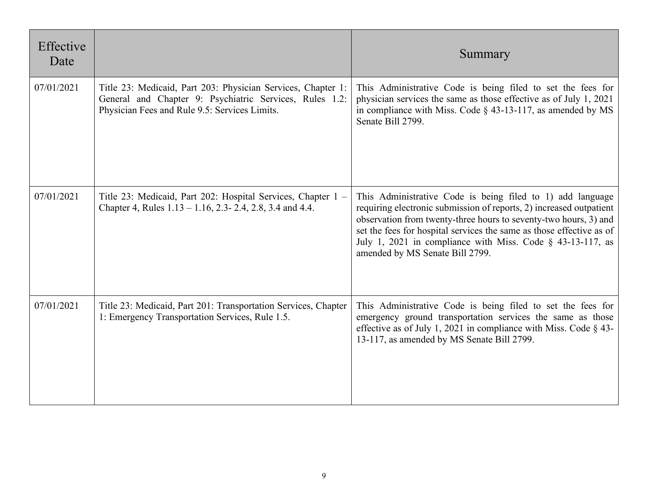| Effective<br>Date |                                                                                                                                                                          | Summary                                                                                                                                                                                                                                                                                                                                                                           |
|-------------------|--------------------------------------------------------------------------------------------------------------------------------------------------------------------------|-----------------------------------------------------------------------------------------------------------------------------------------------------------------------------------------------------------------------------------------------------------------------------------------------------------------------------------------------------------------------------------|
| 07/01/2021        | Title 23: Medicaid, Part 203: Physician Services, Chapter 1:<br>General and Chapter 9: Psychiatric Services, Rules 1.2:<br>Physician Fees and Rule 9.5: Services Limits. | This Administrative Code is being filed to set the fees for<br>physician services the same as those effective as of July 1, 2021<br>in compliance with Miss. Code $\S$ 43-13-117, as amended by MS<br>Senate Bill 2799.                                                                                                                                                           |
| 07/01/2021        | Title 23: Medicaid, Part 202: Hospital Services, Chapter 1 –<br>Chapter 4, Rules $1.13 - 1.16$ , 2.3- 2.4, 2.8, 3.4 and 4.4.                                             | This Administrative Code is being filed to 1) add language<br>requiring electronic submission of reports, 2) increased outpatient<br>observation from twenty-three hours to seventy-two hours, 3) and<br>set the fees for hospital services the same as those effective as of<br>July 1, 2021 in compliance with Miss. Code $\S$ 43-13-117, as<br>amended by MS Senate Bill 2799. |
| 07/01/2021        | Title 23: Medicaid, Part 201: Transportation Services, Chapter<br>1: Emergency Transportation Services, Rule 1.5.                                                        | This Administrative Code is being filed to set the fees for<br>emergency ground transportation services the same as those<br>effective as of July 1, 2021 in compliance with Miss. Code $\S$ 43-<br>13-117, as amended by MS Senate Bill 2799.                                                                                                                                    |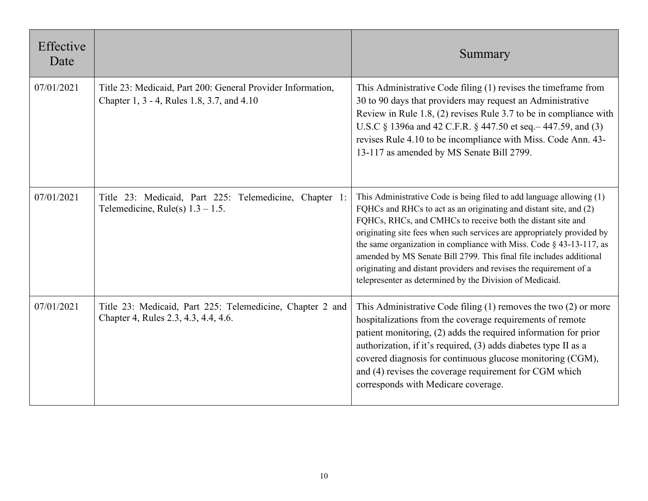| Effective<br>Date |                                                                                                           | Summary                                                                                                                                                                                                                                                                                                                                                                                                                                                                                                                                                               |
|-------------------|-----------------------------------------------------------------------------------------------------------|-----------------------------------------------------------------------------------------------------------------------------------------------------------------------------------------------------------------------------------------------------------------------------------------------------------------------------------------------------------------------------------------------------------------------------------------------------------------------------------------------------------------------------------------------------------------------|
| 07/01/2021        | Title 23: Medicaid, Part 200: General Provider Information,<br>Chapter 1, 3 - 4, Rules 1.8, 3.7, and 4.10 | This Administrative Code filing (1) revises the timeframe from<br>30 to 90 days that providers may request an Administrative<br>Review in Rule 1.8, (2) revises Rule 3.7 to be in compliance with<br>U.S.C § 1396a and 42 C.F.R. § 447.50 et seq. – 447.59, and (3)<br>revises Rule 4.10 to be incompliance with Miss. Code Ann. 43-<br>13-117 as amended by MS Senate Bill 2799.                                                                                                                                                                                     |
| 07/01/2021        | Title 23: Medicaid, Part 225: Telemedicine, Chapter 1:<br>Telemedicine, Rule(s) $1.3 - 1.5$ .             | This Administrative Code is being filed to add language allowing (1)<br>FQHCs and RHCs to act as an originating and distant site, and (2)<br>FQHCs, RHCs, and CMHCs to receive both the distant site and<br>originating site fees when such services are appropriately provided by<br>the same organization in compliance with Miss. Code $\S$ 43-13-117, as<br>amended by MS Senate Bill 2799. This final file includes additional<br>originating and distant providers and revises the requirement of a<br>telepresenter as determined by the Division of Medicaid. |
| 07/01/2021        | Title 23: Medicaid, Part 225: Telemedicine, Chapter 2 and<br>Chapter 4, Rules 2.3, 4.3, 4.4, 4.6.         | This Administrative Code filing $(1)$ removes the two $(2)$ or more<br>hospitalizations from the coverage requirements of remote<br>patient monitoring, (2) adds the required information for prior<br>authorization, if it's required, (3) adds diabetes type II as a<br>covered diagnosis for continuous glucose monitoring (CGM),<br>and (4) revises the coverage requirement for CGM which<br>corresponds with Medicare coverage.                                                                                                                                 |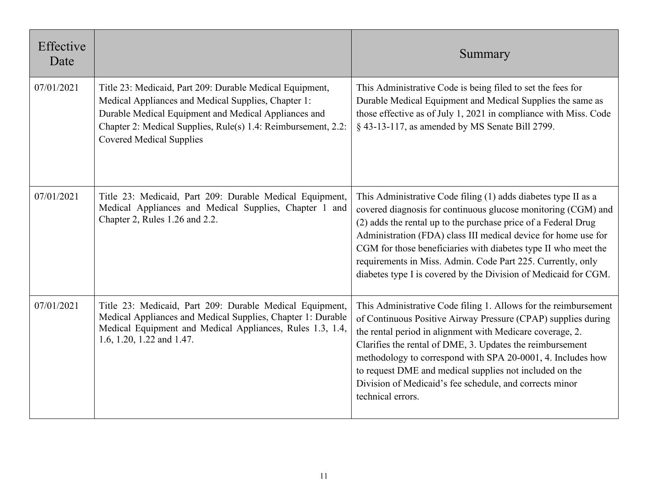| Effective<br>Date |                                                                                                                                                                                                                                                                             | Summary                                                                                                                                                                                                                                                                                                                                                                                                                                                                 |
|-------------------|-----------------------------------------------------------------------------------------------------------------------------------------------------------------------------------------------------------------------------------------------------------------------------|-------------------------------------------------------------------------------------------------------------------------------------------------------------------------------------------------------------------------------------------------------------------------------------------------------------------------------------------------------------------------------------------------------------------------------------------------------------------------|
| 07/01/2021        | Title 23: Medicaid, Part 209: Durable Medical Equipment,<br>Medical Appliances and Medical Supplies, Chapter 1:<br>Durable Medical Equipment and Medical Appliances and<br>Chapter 2: Medical Supplies, Rule(s) 1.4: Reimbursement, 2.2:<br><b>Covered Medical Supplies</b> | This Administrative Code is being filed to set the fees for<br>Durable Medical Equipment and Medical Supplies the same as<br>those effective as of July 1, 2021 in compliance with Miss. Code<br>§ 43-13-117, as amended by MS Senate Bill 2799.                                                                                                                                                                                                                        |
| 07/01/2021        | Title 23: Medicaid, Part 209: Durable Medical Equipment,<br>Medical Appliances and Medical Supplies, Chapter 1 and<br>Chapter 2, Rules 1.26 and 2.2.                                                                                                                        | This Administrative Code filing (1) adds diabetes type II as a<br>covered diagnosis for continuous glucose monitoring (CGM) and<br>(2) adds the rental up to the purchase price of a Federal Drug<br>Administration (FDA) class III medical device for home use for<br>CGM for those beneficiaries with diabetes type II who meet the<br>requirements in Miss. Admin. Code Part 225. Currently, only<br>diabetes type I is covered by the Division of Medicaid for CGM. |
| 07/01/2021        | Title 23: Medicaid, Part 209: Durable Medical Equipment,<br>Medical Appliances and Medical Supplies, Chapter 1: Durable<br>Medical Equipment and Medical Appliances, Rules 1.3, 1.4,<br>1.6, 1.20, 1.22 and 1.47.                                                           | This Administrative Code filing 1. Allows for the reimbursement<br>of Continuous Positive Airway Pressure (CPAP) supplies during<br>the rental period in alignment with Medicare coverage, 2.<br>Clarifies the rental of DME, 3. Updates the reimbursement<br>methodology to correspond with SPA 20-0001, 4. Includes how<br>to request DME and medical supplies not included on the<br>Division of Medicaid's fee schedule, and corrects minor<br>technical errors.    |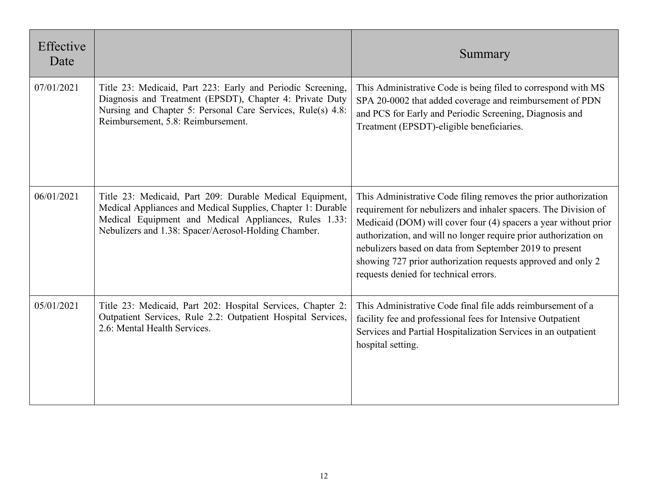| Effective<br>Date |                                                                                                                                                                                                                                          | Summary                                                                                                                                                                                                                                                                                                                                                                                                                                       |
|-------------------|------------------------------------------------------------------------------------------------------------------------------------------------------------------------------------------------------------------------------------------|-----------------------------------------------------------------------------------------------------------------------------------------------------------------------------------------------------------------------------------------------------------------------------------------------------------------------------------------------------------------------------------------------------------------------------------------------|
| 07/01/2021        | Title 23: Medicaid, Part 223: Early and Periodic Screening,<br>Diagnosis and Treatment (EPSDT), Chapter 4: Private Duty<br>Nursing and Chapter 5: Personal Care Services, Rule(s) 4.8:<br>Reimbursement, 5.8: Reimbursement.             | This Administrative Code is being filed to correspond with MS<br>SPA 20-0002 that added coverage and reimbursement of PDN<br>and PCS for Early and Periodic Screening, Diagnosis and<br>Treatment (EPSDT)-eligible beneficiaries.                                                                                                                                                                                                             |
| 06/01/2021        | Title 23: Medicaid, Part 209: Durable Medical Equipment,<br>Medical Appliances and Medical Supplies, Chapter 1: Durable<br>Medical Equipment and Medical Appliances, Rules 1.33:<br>Nebulizers and 1.38: Spacer/Aerosol-Holding Chamber. | This Administrative Code filing removes the prior authorization<br>requirement for nebulizers and inhaler spacers. The Division of<br>Medicaid (DOM) will cover four (4) spacers a year without prior<br>authorization, and will no longer require prior authorization on<br>nebulizers based on data from September 2019 to present<br>showing 727 prior authorization requests approved and only 2<br>requests denied for technical errors. |
| 05/01/2021        | Title 23: Medicaid, Part 202: Hospital Services, Chapter 2:<br>Outpatient Services, Rule 2.2: Outpatient Hospital Services,<br>2.6: Mental Health Services.                                                                              | This Administrative Code final file adds reimbursement of a<br>facility fee and professional fees for Intensive Outpatient<br>Services and Partial Hospitalization Services in an outpatient<br>hospital setting.                                                                                                                                                                                                                             |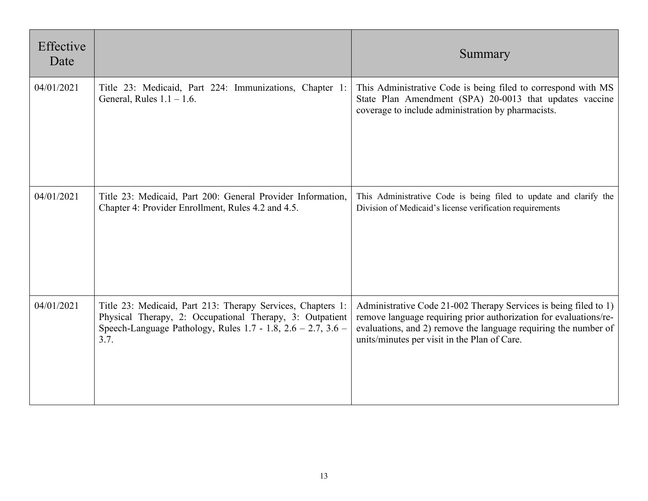| Effective<br>Date |                                                                                                                                                                                                         | Summary                                                                                                                                                                                                                                                  |
|-------------------|---------------------------------------------------------------------------------------------------------------------------------------------------------------------------------------------------------|----------------------------------------------------------------------------------------------------------------------------------------------------------------------------------------------------------------------------------------------------------|
| 04/01/2021        | Title 23: Medicaid, Part 224: Immunizations, Chapter 1:<br>General, Rules $1.1 - 1.6$ .                                                                                                                 | This Administrative Code is being filed to correspond with MS<br>State Plan Amendment (SPA) 20-0013 that updates vaccine<br>coverage to include administration by pharmacists.                                                                           |
| 04/01/2021        | Title 23: Medicaid, Part 200: General Provider Information,<br>Chapter 4: Provider Enrollment, Rules 4.2 and 4.5.                                                                                       | This Administrative Code is being filed to update and clarify the<br>Division of Medicaid's license verification requirements                                                                                                                            |
| 04/01/2021        | Title 23: Medicaid, Part 213: Therapy Services, Chapters 1:<br>Physical Therapy, 2: Occupational Therapy, 3: Outpatient<br>Speech-Language Pathology, Rules $1.7 - 1.8$ , $2.6 - 2.7$ , $3.6 -$<br>3.7. | Administrative Code 21-002 Therapy Services is being filed to 1)<br>remove language requiring prior authorization for evaluations/re-<br>evaluations, and 2) remove the language requiring the number of<br>units/minutes per visit in the Plan of Care. |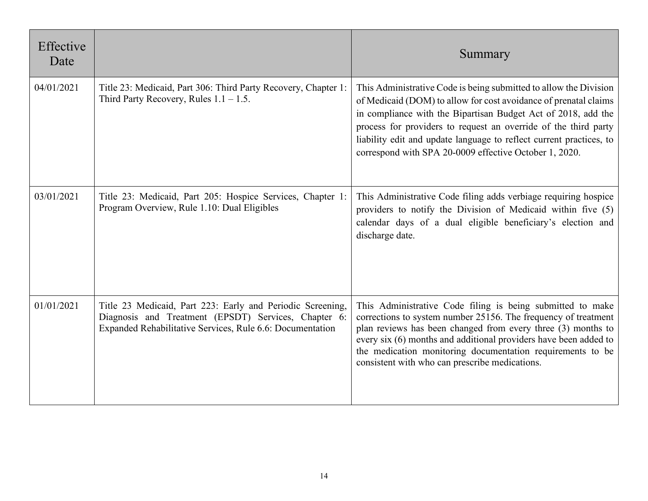| Effective<br>Date |                                                                                                                                                                                 | Summary                                                                                                                                                                                                                                                                                                                                                                                                    |
|-------------------|---------------------------------------------------------------------------------------------------------------------------------------------------------------------------------|------------------------------------------------------------------------------------------------------------------------------------------------------------------------------------------------------------------------------------------------------------------------------------------------------------------------------------------------------------------------------------------------------------|
| 04/01/2021        | Title 23: Medicaid, Part 306: Third Party Recovery, Chapter 1:<br>Third Party Recovery, Rules $1.1 - 1.5$ .                                                                     | This Administrative Code is being submitted to allow the Division<br>of Medicaid (DOM) to allow for cost avoidance of prenatal claims<br>in compliance with the Bipartisan Budget Act of 2018, add the<br>process for providers to request an override of the third party<br>liability edit and update language to reflect current practices, to<br>correspond with SPA 20-0009 effective October 1, 2020. |
| 03/01/2021        | Title 23: Medicaid, Part 205: Hospice Services, Chapter 1:<br>Program Overview, Rule 1.10: Dual Eligibles                                                                       | This Administrative Code filing adds verbiage requiring hospice<br>providers to notify the Division of Medicaid within five (5)<br>calendar days of a dual eligible beneficiary's election and<br>discharge date.                                                                                                                                                                                          |
| 01/01/2021        | Title 23 Medicaid, Part 223: Early and Periodic Screening,<br>Diagnosis and Treatment (EPSDT) Services, Chapter 6:<br>Expanded Rehabilitative Services, Rule 6.6: Documentation | This Administrative Code filing is being submitted to make<br>corrections to system number 25156. The frequency of treatment<br>plan reviews has been changed from every three (3) months to<br>every six (6) months and additional providers have been added to<br>the medication monitoring documentation requirements to be<br>consistent with who can prescribe medications.                           |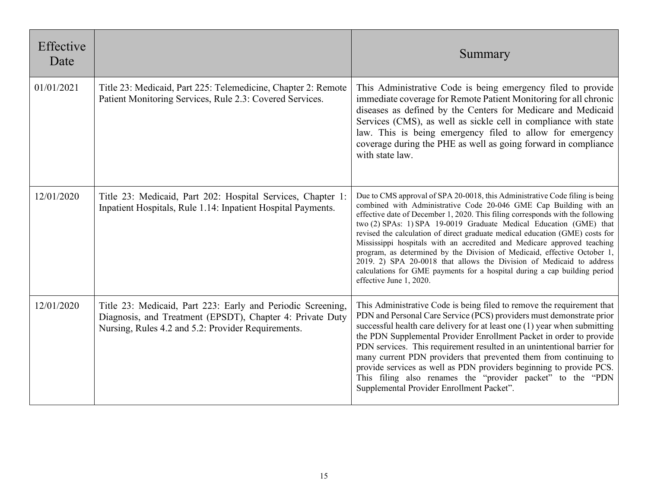| Effective<br>Date |                                                                                                                                                                                | Summary                                                                                                                                                                                                                                                                                                                                                                                                                                                                                                                                                                                                                                                                                                                          |
|-------------------|--------------------------------------------------------------------------------------------------------------------------------------------------------------------------------|----------------------------------------------------------------------------------------------------------------------------------------------------------------------------------------------------------------------------------------------------------------------------------------------------------------------------------------------------------------------------------------------------------------------------------------------------------------------------------------------------------------------------------------------------------------------------------------------------------------------------------------------------------------------------------------------------------------------------------|
| 01/01/2021        | Title 23: Medicaid, Part 225: Telemedicine, Chapter 2: Remote<br>Patient Monitoring Services, Rule 2.3: Covered Services.                                                      | This Administrative Code is being emergency filed to provide<br>immediate coverage for Remote Patient Monitoring for all chronic<br>diseases as defined by the Centers for Medicare and Medicaid<br>Services (CMS), as well as sickle cell in compliance with state<br>law. This is being emergency filed to allow for emergency<br>coverage during the PHE as well as going forward in compliance<br>with state law.                                                                                                                                                                                                                                                                                                            |
| 12/01/2020        | Title 23: Medicaid, Part 202: Hospital Services, Chapter 1:<br>Inpatient Hospitals, Rule 1.14: Inpatient Hospital Payments.                                                    | Due to CMS approval of SPA 20-0018, this Administrative Code filing is being<br>combined with Administrative Code 20-046 GME Cap Building with an<br>effective date of December 1, 2020. This filing corresponds with the following<br>two (2) SPAs: 1) SPA 19-0019 Graduate Medical Education (GME) that<br>revised the calculation of direct graduate medical education (GME) costs for<br>Mississippi hospitals with an accredited and Medicare approved teaching<br>program, as determined by the Division of Medicaid, effective October 1,<br>2019. 2) SPA 20-0018 that allows the Division of Medicaid to address<br>calculations for GME payments for a hospital during a cap building period<br>effective June 1, 2020. |
| 12/01/2020        | Title 23: Medicaid, Part 223: Early and Periodic Screening,<br>Diagnosis, and Treatment (EPSDT), Chapter 4: Private Duty<br>Nursing, Rules 4.2 and 5.2: Provider Requirements. | This Administrative Code is being filed to remove the requirement that<br>PDN and Personal Care Service (PCS) providers must demonstrate prior<br>successful health care delivery for at least one (1) year when submitting<br>the PDN Supplemental Provider Enrollment Packet in order to provide<br>PDN services. This requirement resulted in an unintentional barrier for<br>many current PDN providers that prevented them from continuing to<br>provide services as well as PDN providers beginning to provide PCS.<br>This filing also renames the "provider packet" to the "PDN<br>Supplemental Provider Enrollment Packet".                                                                                             |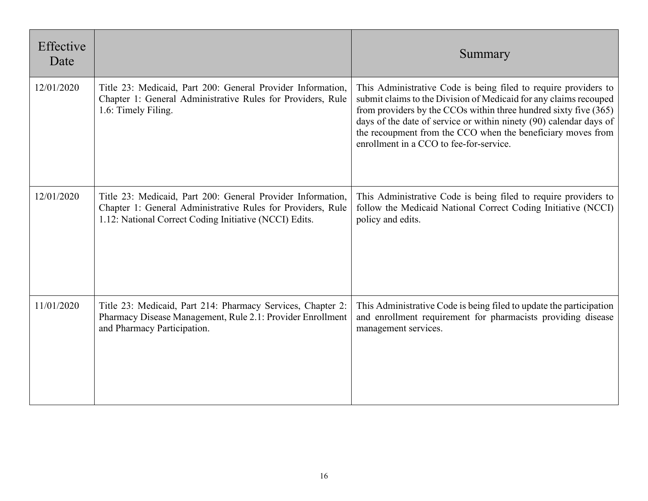| Effective<br>Date |                                                                                                                                                                                      | Summary                                                                                                                                                                                                                                                                                                                                                                                  |
|-------------------|--------------------------------------------------------------------------------------------------------------------------------------------------------------------------------------|------------------------------------------------------------------------------------------------------------------------------------------------------------------------------------------------------------------------------------------------------------------------------------------------------------------------------------------------------------------------------------------|
| 12/01/2020        | Title 23: Medicaid, Part 200: General Provider Information,<br>Chapter 1: General Administrative Rules for Providers, Rule<br>1.6: Timely Filing.                                    | This Administrative Code is being filed to require providers to<br>submit claims to the Division of Medicaid for any claims recouped<br>from providers by the CCOs within three hundred sixty five (365)<br>days of the date of service or within ninety (90) calendar days of<br>the recoupment from the CCO when the beneficiary moves from<br>enrollment in a CCO to fee-for-service. |
| 12/01/2020        | Title 23: Medicaid, Part 200: General Provider Information,<br>Chapter 1: General Administrative Rules for Providers, Rule<br>1.12: National Correct Coding Initiative (NCCI) Edits. | This Administrative Code is being filed to require providers to<br>follow the Medicaid National Correct Coding Initiative (NCCI)<br>policy and edits.                                                                                                                                                                                                                                    |
| 11/01/2020        | Title 23: Medicaid, Part 214: Pharmacy Services, Chapter 2:<br>Pharmacy Disease Management, Rule 2.1: Provider Enrollment<br>and Pharmacy Participation.                             | This Administrative Code is being filed to update the participation<br>and enrollment requirement for pharmacists providing disease<br>management services.                                                                                                                                                                                                                              |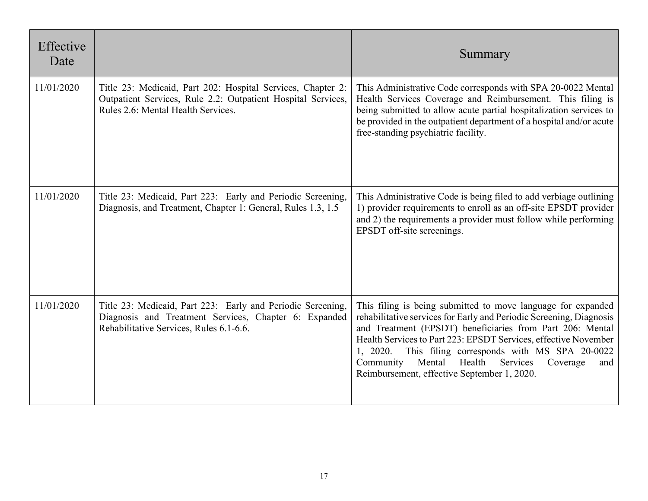| Effective<br>Date |                                                                                                                                                                   | Summary                                                                                                                                                                                                                                                                                                                                                                                                                                       |
|-------------------|-------------------------------------------------------------------------------------------------------------------------------------------------------------------|-----------------------------------------------------------------------------------------------------------------------------------------------------------------------------------------------------------------------------------------------------------------------------------------------------------------------------------------------------------------------------------------------------------------------------------------------|
| 11/01/2020        | Title 23: Medicaid, Part 202: Hospital Services, Chapter 2:<br>Outpatient Services, Rule 2.2: Outpatient Hospital Services,<br>Rules 2.6: Mental Health Services. | This Administrative Code corresponds with SPA 20-0022 Mental<br>Health Services Coverage and Reimbursement. This filing is<br>being submitted to allow acute partial hospitalization services to<br>be provided in the outpatient department of a hospital and/or acute<br>free-standing psychiatric facility.                                                                                                                                |
| 11/01/2020        | Title 23: Medicaid, Part 223: Early and Periodic Screening,<br>Diagnosis, and Treatment, Chapter 1: General, Rules 1.3, 1.5                                       | This Administrative Code is being filed to add verbiage outlining<br>1) provider requirements to enroll as an off-site EPSDT provider<br>and 2) the requirements a provider must follow while performing<br>EPSDT off-site screenings.                                                                                                                                                                                                        |
| 11/01/2020        | Title 23: Medicaid, Part 223: Early and Periodic Screening,<br>Diagnosis and Treatment Services, Chapter 6: Expanded<br>Rehabilitative Services, Rules 6.1-6.6.   | This filing is being submitted to move language for expanded<br>rehabilitative services for Early and Periodic Screening, Diagnosis<br>and Treatment (EPSDT) beneficiaries from Part 206: Mental<br>Health Services to Part 223: EPSDT Services, effective November<br>This filing corresponds with MS SPA 20-0022<br>1, 2020.<br>Health<br>Mental<br>Services<br>Community<br>Coverage<br>and<br>Reimbursement, effective September 1, 2020. |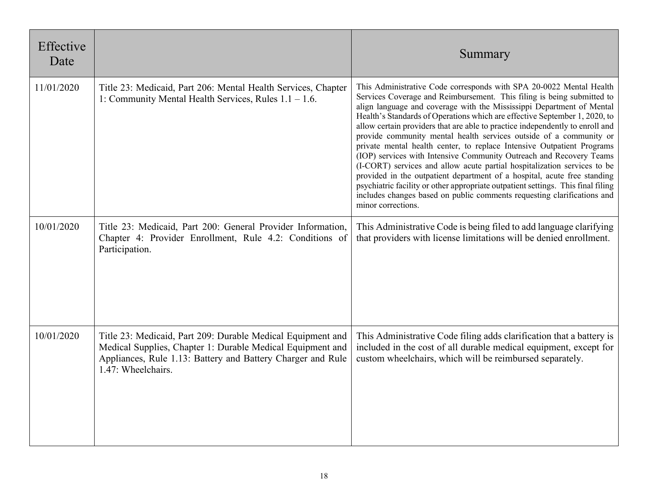| Effective<br>Date |                                                                                                                                                                                                                | Summary                                                                                                                                                                                                                                                                                                                                                                                                                                                                                                                                                                                                                                                                                                                                                                                                                                                                                                                                                   |
|-------------------|----------------------------------------------------------------------------------------------------------------------------------------------------------------------------------------------------------------|-----------------------------------------------------------------------------------------------------------------------------------------------------------------------------------------------------------------------------------------------------------------------------------------------------------------------------------------------------------------------------------------------------------------------------------------------------------------------------------------------------------------------------------------------------------------------------------------------------------------------------------------------------------------------------------------------------------------------------------------------------------------------------------------------------------------------------------------------------------------------------------------------------------------------------------------------------------|
| 11/01/2020        | Title 23: Medicaid, Part 206: Mental Health Services, Chapter<br>1: Community Mental Health Services, Rules $1.1 - 1.6$ .                                                                                      | This Administrative Code corresponds with SPA 20-0022 Mental Health<br>Services Coverage and Reimbursement. This filing is being submitted to<br>align language and coverage with the Mississippi Department of Mental<br>Health's Standards of Operations which are effective September 1, 2020, to<br>allow certain providers that are able to practice independently to enroll and<br>provide community mental health services outside of a community or<br>private mental health center, to replace Intensive Outpatient Programs<br>(IOP) services with Intensive Community Outreach and Recovery Teams<br>(I-CORT) services and allow acute partial hospitalization services to be<br>provided in the outpatient department of a hospital, acute free standing<br>psychiatric facility or other appropriate outpatient settings. This final filing<br>includes changes based on public comments requesting clarifications and<br>minor corrections. |
| 10/01/2020        | Title 23: Medicaid, Part 200: General Provider Information,<br>Chapter 4: Provider Enrollment, Rule 4.2: Conditions of<br>Participation.                                                                       | This Administrative Code is being filed to add language clarifying<br>that providers with license limitations will be denied enrollment.                                                                                                                                                                                                                                                                                                                                                                                                                                                                                                                                                                                                                                                                                                                                                                                                                  |
| 10/01/2020        | Title 23: Medicaid, Part 209: Durable Medical Equipment and<br>Medical Supplies, Chapter 1: Durable Medical Equipment and<br>Appliances, Rule 1.13: Battery and Battery Charger and Rule<br>1.47: Wheelchairs. | This Administrative Code filing adds clarification that a battery is<br>included in the cost of all durable medical equipment, except for<br>custom wheelchairs, which will be reimbursed separately.                                                                                                                                                                                                                                                                                                                                                                                                                                                                                                                                                                                                                                                                                                                                                     |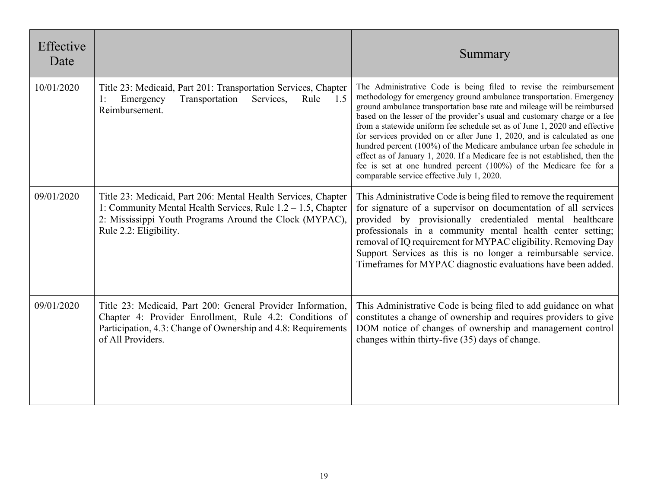| Effective<br>Date |                                                                                                                                                                                                                       | Summary                                                                                                                                                                                                                                                                                                                                                                                                                                                                                                                                                                                                                                                                                                                                     |
|-------------------|-----------------------------------------------------------------------------------------------------------------------------------------------------------------------------------------------------------------------|---------------------------------------------------------------------------------------------------------------------------------------------------------------------------------------------------------------------------------------------------------------------------------------------------------------------------------------------------------------------------------------------------------------------------------------------------------------------------------------------------------------------------------------------------------------------------------------------------------------------------------------------------------------------------------------------------------------------------------------------|
| 10/01/2020        | Title 23: Medicaid, Part 201: Transportation Services, Chapter<br>Transportation<br>Emergency<br>Services,<br>Rule<br>1.5<br>1:<br>Reimbursement.                                                                     | The Administrative Code is being filed to revise the reimbursement<br>methodology for emergency ground ambulance transportation. Emergency<br>ground ambulance transportation base rate and mileage will be reimbursed<br>based on the lesser of the provider's usual and customary charge or a fee<br>from a statewide uniform fee schedule set as of June 1, 2020 and effective<br>for services provided on or after June 1, 2020, and is calculated as one<br>hundred percent (100%) of the Medicare ambulance urban fee schedule in<br>effect as of January 1, 2020. If a Medicare fee is not established, then the<br>fee is set at one hundred percent (100%) of the Medicare fee for a<br>comparable service effective July 1, 2020. |
| 09/01/2020        | Title 23: Medicaid, Part 206: Mental Health Services, Chapter<br>1: Community Mental Health Services, Rule $1.2 - 1.5$ , Chapter<br>2: Mississippi Youth Programs Around the Clock (MYPAC),<br>Rule 2.2: Eligibility. | This Administrative Code is being filed to remove the requirement<br>for signature of a supervisor on documentation of all services<br>provided by provisionally credentialed mental healthcare<br>professionals in a community mental health center setting;<br>removal of IQ requirement for MYPAC eligibility. Removing Day<br>Support Services as this is no longer a reimbursable service.<br>Timeframes for MYPAC diagnostic evaluations have been added.                                                                                                                                                                                                                                                                             |
| 09/01/2020        | Title 23: Medicaid, Part 200: General Provider Information,<br>Chapter 4: Provider Enrollment, Rule 4.2: Conditions of<br>Participation, 4.3: Change of Ownership and 4.8: Requirements<br>of All Providers.          | This Administrative Code is being filed to add guidance on what<br>constitutes a change of ownership and requires providers to give<br>DOM notice of changes of ownership and management control<br>changes within thirty-five (35) days of change.                                                                                                                                                                                                                                                                                                                                                                                                                                                                                         |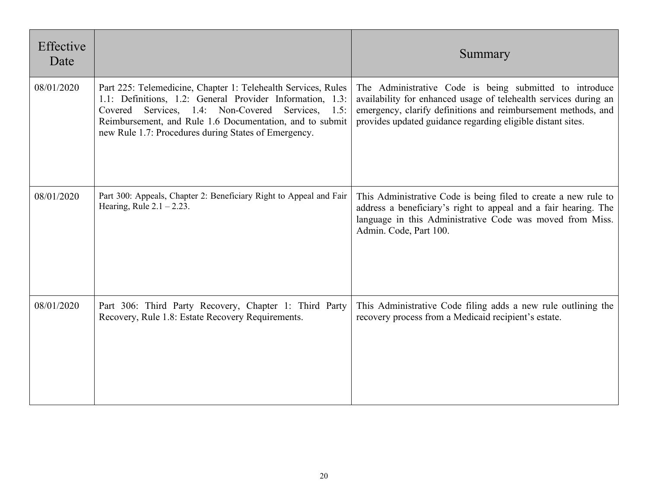| Effective<br>Date |                                                                                                                                                                                                                                                                                                        | Summary                                                                                                                                                                                                                                                     |
|-------------------|--------------------------------------------------------------------------------------------------------------------------------------------------------------------------------------------------------------------------------------------------------------------------------------------------------|-------------------------------------------------------------------------------------------------------------------------------------------------------------------------------------------------------------------------------------------------------------|
| 08/01/2020        | Part 225: Telemedicine, Chapter 1: Telehealth Services, Rules<br>1.1: Definitions, 1.2: General Provider Information, 1.3:<br>Services, 1.4: Non-Covered Services, 1.5:<br>Covered<br>Reimbursement, and Rule 1.6 Documentation, and to submit<br>new Rule 1.7: Procedures during States of Emergency. | The Administrative Code is being submitted to introduce<br>availability for enhanced usage of telehealth services during an<br>emergency, clarify definitions and reimbursement methods, and<br>provides updated guidance regarding eligible distant sites. |
| 08/01/2020        | Part 300: Appeals, Chapter 2: Beneficiary Right to Appeal and Fair<br>Hearing, Rule $2.1 - 2.23$ .                                                                                                                                                                                                     | This Administrative Code is being filed to create a new rule to<br>address a beneficiary's right to appeal and a fair hearing. The<br>language in this Administrative Code was moved from Miss.<br>Admin. Code, Part 100.                                   |
| 08/01/2020        | Part 306: Third Party Recovery, Chapter 1: Third Party<br>Recovery, Rule 1.8: Estate Recovery Requirements.                                                                                                                                                                                            | This Administrative Code filing adds a new rule outlining the<br>recovery process from a Medicaid recipient's estate.                                                                                                                                       |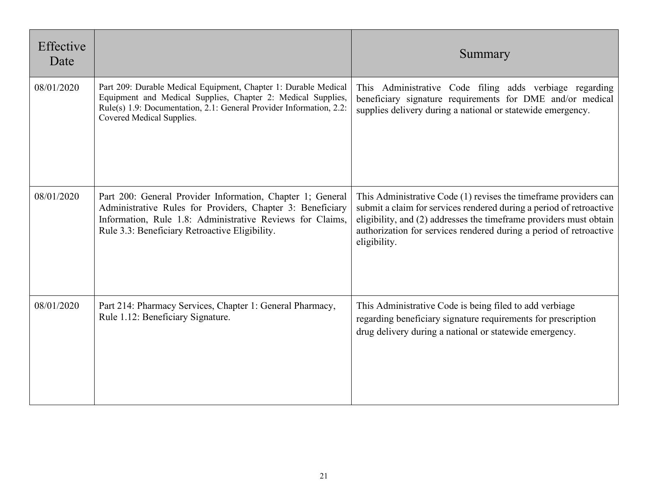| Effective<br>Date |                                                                                                                                                                                                                                         | Summary                                                                                                                                                                                                                                                                                              |
|-------------------|-----------------------------------------------------------------------------------------------------------------------------------------------------------------------------------------------------------------------------------------|------------------------------------------------------------------------------------------------------------------------------------------------------------------------------------------------------------------------------------------------------------------------------------------------------|
| 08/01/2020        | Part 209: Durable Medical Equipment, Chapter 1: Durable Medical<br>Equipment and Medical Supplies, Chapter 2: Medical Supplies,<br>Rule(s) 1.9: Documentation, 2.1: General Provider Information, 2.2:<br>Covered Medical Supplies.     | This Administrative Code filing adds verbiage regarding<br>beneficiary signature requirements for DME and/or medical<br>supplies delivery during a national or statewide emergency.                                                                                                                  |
| 08/01/2020        | Part 200: General Provider Information, Chapter 1; General<br>Administrative Rules for Providers, Chapter 3: Beneficiary<br>Information, Rule 1.8: Administrative Reviews for Claims,<br>Rule 3.3: Beneficiary Retroactive Eligibility. | This Administrative Code (1) revises the time frame providers can<br>submit a claim for services rendered during a period of retroactive<br>eligibility, and (2) addresses the timeframe providers must obtain<br>authorization for services rendered during a period of retroactive<br>eligibility. |
| 08/01/2020        | Part 214: Pharmacy Services, Chapter 1: General Pharmacy,<br>Rule 1.12: Beneficiary Signature.                                                                                                                                          | This Administrative Code is being filed to add verbiage<br>regarding beneficiary signature requirements for prescription<br>drug delivery during a national or statewide emergency.                                                                                                                  |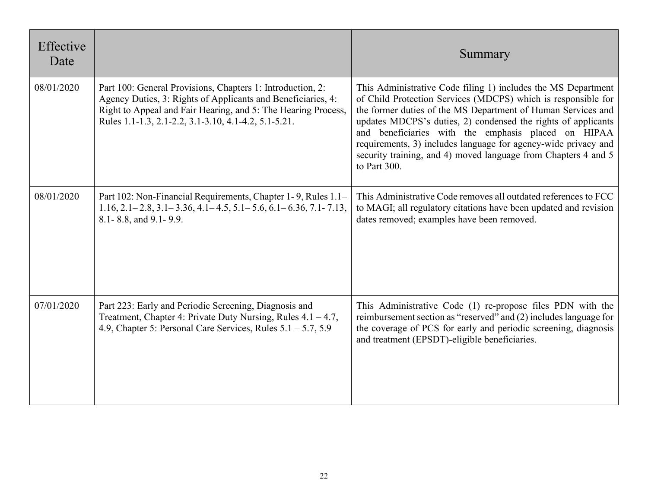| Effective<br>Date |                                                                                                                                                                                                                                                     | Summary                                                                                                                                                                                                                                                                                                                                                                                                                                                                    |
|-------------------|-----------------------------------------------------------------------------------------------------------------------------------------------------------------------------------------------------------------------------------------------------|----------------------------------------------------------------------------------------------------------------------------------------------------------------------------------------------------------------------------------------------------------------------------------------------------------------------------------------------------------------------------------------------------------------------------------------------------------------------------|
| 08/01/2020        | Part 100: General Provisions, Chapters 1: Introduction, 2:<br>Agency Duties, 3: Rights of Applicants and Beneficiaries, 4:<br>Right to Appeal and Fair Hearing, and 5: The Hearing Process,<br>Rules 1.1-1.3, 2.1-2.2, 3.1-3.10, 4.1-4.2, 5.1-5.21. | This Administrative Code filing 1) includes the MS Department<br>of Child Protection Services (MDCPS) which is responsible for<br>the former duties of the MS Department of Human Services and<br>updates MDCPS's duties, 2) condensed the rights of applicants<br>and beneficiaries with the emphasis placed on HIPAA<br>requirements, 3) includes language for agency-wide privacy and<br>security training, and 4) moved language from Chapters 4 and 5<br>to Part 300. |
| 08/01/2020        | Part 102: Non-Financial Requirements, Chapter 1-9, Rules 1.1–<br>$1.16$ , $2.1 - 2.8$ , $3.1 - 3.36$ , $4.1 - 4.5$ , $5.1 - 5.6$ , $6.1 - 6.36$ , $7.1 - 7.13$ ,<br>8.1 - 8.8, and 9.1 - 9.9.                                                       | This Administrative Code removes all outdated references to FCC<br>to MAGI; all regulatory citations have been updated and revision<br>dates removed; examples have been removed.                                                                                                                                                                                                                                                                                          |
| 07/01/2020        | Part 223: Early and Periodic Screening, Diagnosis and<br>Treatment, Chapter 4: Private Duty Nursing, Rules $4.1 - 4.7$ ,<br>4.9, Chapter 5: Personal Care Services, Rules $5.1 - 5.7$ , $5.9$                                                       | This Administrative Code (1) re-propose files PDN with the<br>reimbursement section as "reserved" and (2) includes language for<br>the coverage of PCS for early and periodic screening, diagnosis<br>and treatment (EPSDT)-eligible beneficiaries.                                                                                                                                                                                                                        |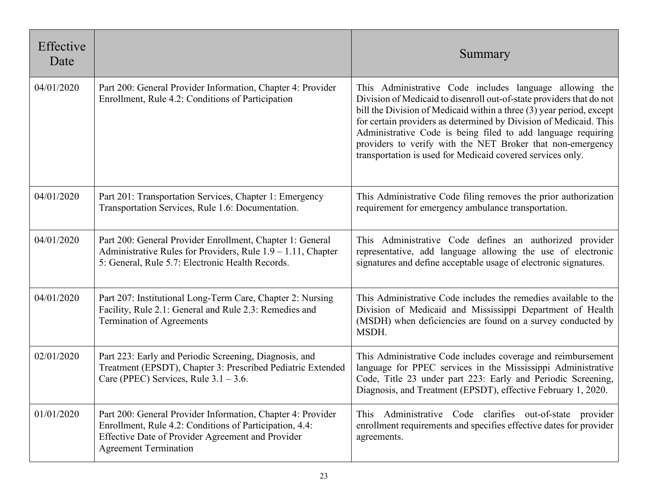| Effective<br>Date |                                                                                                                                                                                                             | Summary                                                                                                                                                                                                                                                                                                                                                                                                                                                                  |
|-------------------|-------------------------------------------------------------------------------------------------------------------------------------------------------------------------------------------------------------|--------------------------------------------------------------------------------------------------------------------------------------------------------------------------------------------------------------------------------------------------------------------------------------------------------------------------------------------------------------------------------------------------------------------------------------------------------------------------|
| 04/01/2020        | Part 200: General Provider Information, Chapter 4: Provider<br>Enrollment, Rule 4.2: Conditions of Participation                                                                                            | This Administrative Code includes language allowing the<br>Division of Medicaid to disenroll out-of-state providers that do not<br>bill the Division of Medicaid within a three (3) year period, except<br>for certain providers as determined by Division of Medicaid. This<br>Administrative Code is being filed to add language requiring<br>providers to verify with the NET Broker that non-emergency<br>transportation is used for Medicaid covered services only. |
| 04/01/2020        | Part 201: Transportation Services, Chapter 1: Emergency<br>Transportation Services, Rule 1.6: Documentation.                                                                                                | This Administrative Code filing removes the prior authorization<br>requirement for emergency ambulance transportation.                                                                                                                                                                                                                                                                                                                                                   |
| 04/01/2020        | Part 200: General Provider Enrollment, Chapter 1: General<br>Administrative Rules for Providers, Rule 1.9 - 1.11, Chapter<br>5: General, Rule 5.7: Electronic Health Records.                               | This Administrative Code defines an authorized provider<br>representative, add language allowing the use of electronic<br>signatures and define acceptable usage of electronic signatures.                                                                                                                                                                                                                                                                               |
| 04/01/2020        | Part 207: Institutional Long-Term Care, Chapter 2: Nursing<br>Facility, Rule 2.1: General and Rule 2.3: Remedies and<br>Termination of Agreements                                                           | This Administrative Code includes the remedies available to the<br>Division of Medicaid and Mississippi Department of Health<br>(MSDH) when deficiencies are found on a survey conducted by<br>MSDH.                                                                                                                                                                                                                                                                     |
| 02/01/2020        | Part 223: Early and Periodic Screening, Diagnosis, and<br>Treatment (EPSDT), Chapter 3: Prescribed Pediatric Extended<br>Care (PPEC) Services, Rule $3.1 - 3.6$ .                                           | This Administrative Code includes coverage and reimbursement<br>language for PPEC services in the Mississippi Administrative<br>Code, Title 23 under part 223: Early and Periodic Screening,<br>Diagnosis, and Treatment (EPSDT), effective February 1, 2020.                                                                                                                                                                                                            |
| 01/01/2020        | Part 200: General Provider Information, Chapter 4: Provider<br>Enrollment, Rule 4.2: Conditions of Participation, 4.4:<br>Effective Date of Provider Agreement and Provider<br><b>Agreement Termination</b> | Administrative Code clarifies out-of-state provider<br>This<br>enrollment requirements and specifies effective dates for provider<br>agreements.                                                                                                                                                                                                                                                                                                                         |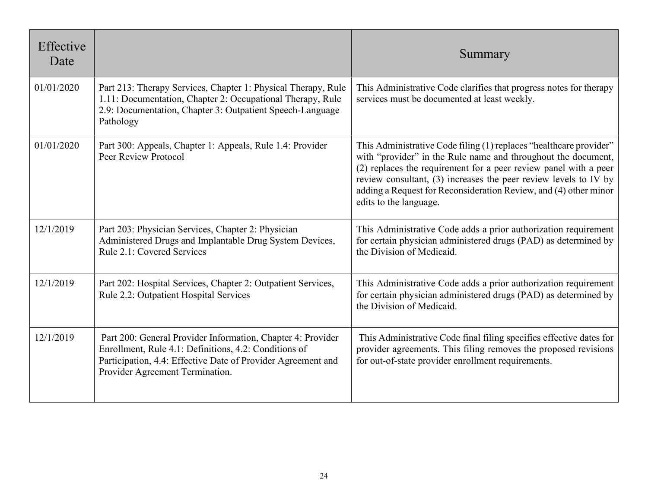| Effective<br>Date |                                                                                                                                                                                                                         | Summary                                                                                                                                                                                                                                                                                                                                                                   |
|-------------------|-------------------------------------------------------------------------------------------------------------------------------------------------------------------------------------------------------------------------|---------------------------------------------------------------------------------------------------------------------------------------------------------------------------------------------------------------------------------------------------------------------------------------------------------------------------------------------------------------------------|
| 01/01/2020        | Part 213: Therapy Services, Chapter 1: Physical Therapy, Rule<br>1.11: Documentation, Chapter 2: Occupational Therapy, Rule<br>2.9: Documentation, Chapter 3: Outpatient Speech-Language<br>Pathology                   | This Administrative Code clarifies that progress notes for therapy<br>services must be documented at least weekly.                                                                                                                                                                                                                                                        |
| 01/01/2020        | Part 300: Appeals, Chapter 1: Appeals, Rule 1.4: Provider<br>Peer Review Protocol                                                                                                                                       | This Administrative Code filing (1) replaces "healthcare provider"<br>with "provider" in the Rule name and throughout the document,<br>(2) replaces the requirement for a peer review panel with a peer<br>review consultant, (3) increases the peer review levels to IV by<br>adding a Request for Reconsideration Review, and (4) other minor<br>edits to the language. |
| 12/1/2019         | Part 203: Physician Services, Chapter 2: Physician<br>Administered Drugs and Implantable Drug System Devices,<br>Rule 2.1: Covered Services                                                                             | This Administrative Code adds a prior authorization requirement<br>for certain physician administered drugs (PAD) as determined by<br>the Division of Medicaid.                                                                                                                                                                                                           |
| 12/1/2019         | Part 202: Hospital Services, Chapter 2: Outpatient Services,<br>Rule 2.2: Outpatient Hospital Services                                                                                                                  | This Administrative Code adds a prior authorization requirement<br>for certain physician administered drugs (PAD) as determined by<br>the Division of Medicaid.                                                                                                                                                                                                           |
| 12/1/2019         | Part 200: General Provider Information, Chapter 4: Provider<br>Enrollment, Rule 4.1: Definitions, 4.2: Conditions of<br>Participation, 4.4: Effective Date of Provider Agreement and<br>Provider Agreement Termination. | This Administrative Code final filing specifies effective dates for<br>provider agreements. This filing removes the proposed revisions<br>for out-of-state provider enrollment requirements.                                                                                                                                                                              |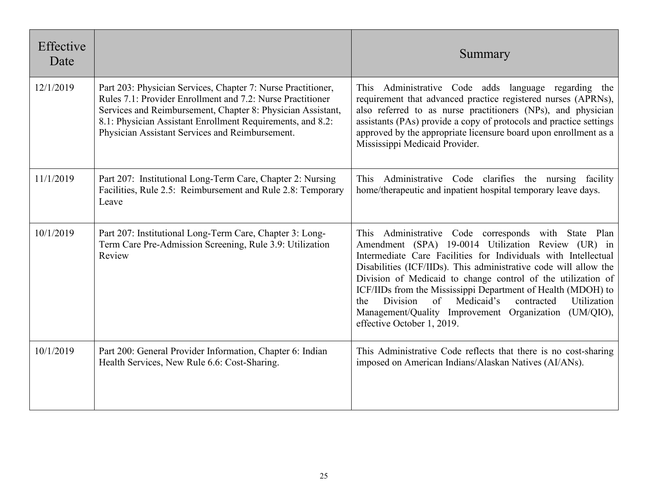| Effective<br>Date |                                                                                                                                                                                                                                                                                                            | Summary                                                                                                                                                                                                                                                                                                                                                                                                                                                                                                                                             |
|-------------------|------------------------------------------------------------------------------------------------------------------------------------------------------------------------------------------------------------------------------------------------------------------------------------------------------------|-----------------------------------------------------------------------------------------------------------------------------------------------------------------------------------------------------------------------------------------------------------------------------------------------------------------------------------------------------------------------------------------------------------------------------------------------------------------------------------------------------------------------------------------------------|
| 12/1/2019         | Part 203: Physician Services, Chapter 7: Nurse Practitioner,<br>Rules 7.1: Provider Enrollment and 7.2: Nurse Practitioner<br>Services and Reimbursement, Chapter 8: Physician Assistant,<br>8.1: Physician Assistant Enrollment Requirements, and 8.2:<br>Physician Assistant Services and Reimbursement. | This Administrative Code adds language regarding the<br>requirement that advanced practice registered nurses (APRNs),<br>also referred to as nurse practitioners (NPs), and physician<br>assistants (PAs) provide a copy of protocols and practice settings<br>approved by the appropriate licensure board upon enrollment as a<br>Mississippi Medicaid Provider.                                                                                                                                                                                   |
| 11/1/2019         | Part 207: Institutional Long-Term Care, Chapter 2: Nursing<br>Facilities, Rule 2.5: Reimbursement and Rule 2.8: Temporary<br>Leave                                                                                                                                                                         | This Administrative Code clarifies the nursing facility<br>home/therapeutic and inpatient hospital temporary leave days.                                                                                                                                                                                                                                                                                                                                                                                                                            |
| 10/1/2019         | Part 207: Institutional Long-Term Care, Chapter 3: Long-<br>Term Care Pre-Admission Screening, Rule 3.9: Utilization<br>Review                                                                                                                                                                             | This Administrative Code corresponds with State Plan<br>Amendment (SPA) 19-0014 Utilization Review (UR) in<br>Intermediate Care Facilities for Individuals with Intellectual<br>Disabilities (ICF/IIDs). This administrative code will allow the<br>Division of Medicaid to change control of the utilization of<br>ICF/IIDs from the Mississippi Department of Health (MDOH) to<br>Medicaid's<br>Division<br>$\sigma$ f<br>contracted<br>Utilization<br>the<br>Management/Quality Improvement Organization (UM/QIO),<br>effective October 1, 2019. |
| 10/1/2019         | Part 200: General Provider Information, Chapter 6: Indian<br>Health Services, New Rule 6.6: Cost-Sharing.                                                                                                                                                                                                  | This Administrative Code reflects that there is no cost-sharing<br>imposed on American Indians/Alaskan Natives (AI/ANs).                                                                                                                                                                                                                                                                                                                                                                                                                            |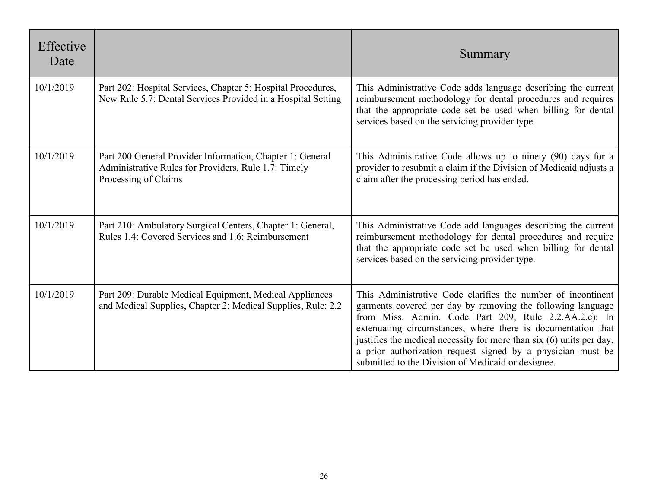| Effective<br>Date |                                                                                                                                           | Summary                                                                                                                                                                                                                                                                                                                                                                                                                                           |
|-------------------|-------------------------------------------------------------------------------------------------------------------------------------------|---------------------------------------------------------------------------------------------------------------------------------------------------------------------------------------------------------------------------------------------------------------------------------------------------------------------------------------------------------------------------------------------------------------------------------------------------|
| 10/1/2019         | Part 202: Hospital Services, Chapter 5: Hospital Procedures,<br>New Rule 5.7: Dental Services Provided in a Hospital Setting              | This Administrative Code adds language describing the current<br>reimbursement methodology for dental procedures and requires<br>that the appropriate code set be used when billing for dental<br>services based on the servicing provider type.                                                                                                                                                                                                  |
| 10/1/2019         | Part 200 General Provider Information, Chapter 1: General<br>Administrative Rules for Providers, Rule 1.7: Timely<br>Processing of Claims | This Administrative Code allows up to ninety (90) days for a<br>provider to resubmit a claim if the Division of Medicaid adjusts a<br>claim after the processing period has ended.                                                                                                                                                                                                                                                                |
| 10/1/2019         | Part 210: Ambulatory Surgical Centers, Chapter 1: General,<br>Rules 1.4: Covered Services and 1.6: Reimbursement                          | This Administrative Code add languages describing the current<br>reimbursement methodology for dental procedures and require<br>that the appropriate code set be used when billing for dental<br>services based on the servicing provider type.                                                                                                                                                                                                   |
| 10/1/2019         | Part 209: Durable Medical Equipment, Medical Appliances<br>and Medical Supplies, Chapter 2: Medical Supplies, Rule: 2.2                   | This Administrative Code clarifies the number of incontinent<br>garments covered per day by removing the following language<br>from Miss. Admin. Code Part 209, Rule 2.2.AA.2.c): In<br>extenuating circumstances, where there is documentation that<br>justifies the medical necessity for more than six (6) units per day,<br>a prior authorization request signed by a physician must be<br>submitted to the Division of Medicaid or designee. |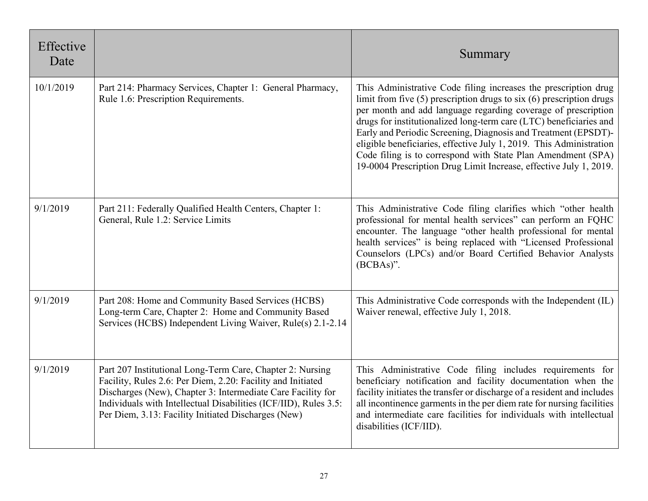| Effective<br>Date |                                                                                                                                                                                                                                                                                                                    | Summary                                                                                                                                                                                                                                                                                                                                                                                                                                                                                                                                                          |
|-------------------|--------------------------------------------------------------------------------------------------------------------------------------------------------------------------------------------------------------------------------------------------------------------------------------------------------------------|------------------------------------------------------------------------------------------------------------------------------------------------------------------------------------------------------------------------------------------------------------------------------------------------------------------------------------------------------------------------------------------------------------------------------------------------------------------------------------------------------------------------------------------------------------------|
| 10/1/2019         | Part 214: Pharmacy Services, Chapter 1: General Pharmacy,<br>Rule 1.6: Prescription Requirements.                                                                                                                                                                                                                  | This Administrative Code filing increases the prescription drug<br>limit from five $(5)$ prescription drugs to six $(6)$ prescription drugs<br>per month and add language regarding coverage of prescription<br>drugs for institutionalized long-term care (LTC) beneficiaries and<br>Early and Periodic Screening, Diagnosis and Treatment (EPSDT)-<br>eligible beneficiaries, effective July 1, 2019. This Administration<br>Code filing is to correspond with State Plan Amendment (SPA)<br>19-0004 Prescription Drug Limit Increase, effective July 1, 2019. |
| 9/1/2019          | Part 211: Federally Qualified Health Centers, Chapter 1:<br>General, Rule 1.2: Service Limits                                                                                                                                                                                                                      | This Administrative Code filing clarifies which "other health<br>professional for mental health services" can perform an FQHC<br>encounter. The language "other health professional for mental<br>health services" is being replaced with "Licensed Professional<br>Counselors (LPCs) and/or Board Certified Behavior Analysts<br>$(BCBAs)$ ".                                                                                                                                                                                                                   |
| 9/1/2019          | Part 208: Home and Community Based Services (HCBS)<br>Long-term Care, Chapter 2: Home and Community Based<br>Services (HCBS) Independent Living Waiver, Rule(s) 2.1-2.14                                                                                                                                           | This Administrative Code corresponds with the Independent (IL)<br>Waiver renewal, effective July 1, 2018.                                                                                                                                                                                                                                                                                                                                                                                                                                                        |
| 9/1/2019          | Part 207 Institutional Long-Term Care, Chapter 2: Nursing<br>Facility, Rules 2.6: Per Diem, 2.20: Facility and Initiated<br>Discharges (New), Chapter 3: Intermediate Care Facility for<br>Individuals with Intellectual Disabilities (ICF/IID), Rules 3.5:<br>Per Diem, 3.13: Facility Initiated Discharges (New) | This Administrative Code filing includes requirements for<br>beneficiary notification and facility documentation when the<br>facility initiates the transfer or discharge of a resident and includes<br>all incontinence garments in the per diem rate for nursing facilities<br>and intermediate care facilities for individuals with intellectual<br>disabilities (ICF/IID).                                                                                                                                                                                   |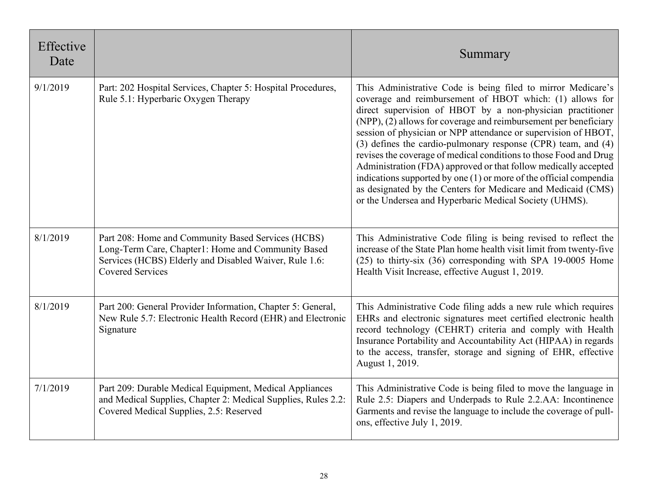| Effective<br>Date |                                                                                                                                                                                               | Summary                                                                                                                                                                                                                                                                                                                                                                                                                                                                                                                                                                                                                                                                                                                               |
|-------------------|-----------------------------------------------------------------------------------------------------------------------------------------------------------------------------------------------|---------------------------------------------------------------------------------------------------------------------------------------------------------------------------------------------------------------------------------------------------------------------------------------------------------------------------------------------------------------------------------------------------------------------------------------------------------------------------------------------------------------------------------------------------------------------------------------------------------------------------------------------------------------------------------------------------------------------------------------|
| 9/1/2019          | Part: 202 Hospital Services, Chapter 5: Hospital Procedures,<br>Rule 5.1: Hyperbaric Oxygen Therapy                                                                                           | This Administrative Code is being filed to mirror Medicare's<br>coverage and reimbursement of HBOT which: (1) allows for<br>direct supervision of HBOT by a non-physician practitioner<br>(NPP), (2) allows for coverage and reimbursement per beneficiary<br>session of physician or NPP attendance or supervision of HBOT,<br>(3) defines the cardio-pulmonary response (CPR) team, and (4)<br>revises the coverage of medical conditions to those Food and Drug<br>Administration (FDA) approved or that follow medically accepted<br>indications supported by one (1) or more of the official compendia<br>as designated by the Centers for Medicare and Medicaid (CMS)<br>or the Undersea and Hyperbaric Medical Society (UHMS). |
| 8/1/2019          | Part 208: Home and Community Based Services (HCBS)<br>Long-Term Care, Chapter1: Home and Community Based<br>Services (HCBS) Elderly and Disabled Waiver, Rule 1.6:<br><b>Covered Services</b> | This Administrative Code filing is being revised to reflect the<br>increase of the State Plan home health visit limit from twenty-five<br>$(25)$ to thirty-six $(36)$ corresponding with SPA 19-0005 Home<br>Health Visit Increase, effective August 1, 2019.                                                                                                                                                                                                                                                                                                                                                                                                                                                                         |
| 8/1/2019          | Part 200: General Provider Information, Chapter 5: General,<br>New Rule 5.7: Electronic Health Record (EHR) and Electronic<br>Signature                                                       | This Administrative Code filing adds a new rule which requires<br>EHRs and electronic signatures meet certified electronic health<br>record technology (CEHRT) criteria and comply with Health<br>Insurance Portability and Accountability Act (HIPAA) in regards<br>to the access, transfer, storage and signing of EHR, effective<br>August 1, 2019.                                                                                                                                                                                                                                                                                                                                                                                |
| 7/1/2019          | Part 209: Durable Medical Equipment, Medical Appliances<br>and Medical Supplies, Chapter 2: Medical Supplies, Rules 2.2:<br>Covered Medical Supplies, 2.5: Reserved                           | This Administrative Code is being filed to move the language in<br>Rule 2.5: Diapers and Underpads to Rule 2.2.AA: Incontinence<br>Garments and revise the language to include the coverage of pull-<br>ons, effective July 1, 2019.                                                                                                                                                                                                                                                                                                                                                                                                                                                                                                  |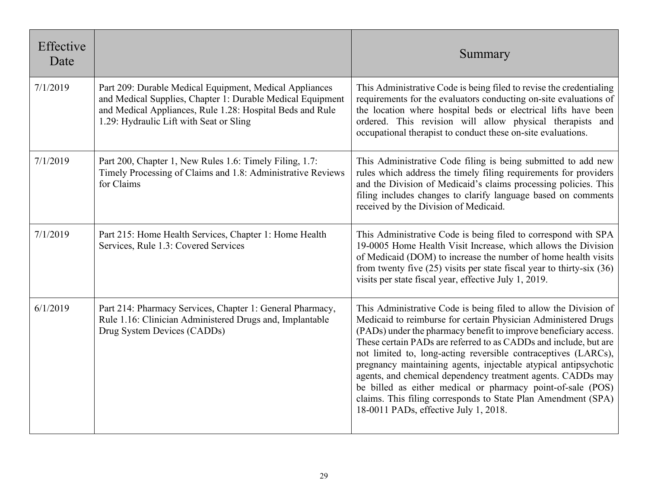| Effective<br>Date |                                                                                                                                                                                                                               | Summary                                                                                                                                                                                                                                                                                                                                                                                                                                                                                                                                                                                                                                                 |
|-------------------|-------------------------------------------------------------------------------------------------------------------------------------------------------------------------------------------------------------------------------|---------------------------------------------------------------------------------------------------------------------------------------------------------------------------------------------------------------------------------------------------------------------------------------------------------------------------------------------------------------------------------------------------------------------------------------------------------------------------------------------------------------------------------------------------------------------------------------------------------------------------------------------------------|
| 7/1/2019          | Part 209: Durable Medical Equipment, Medical Appliances<br>and Medical Supplies, Chapter 1: Durable Medical Equipment<br>and Medical Appliances, Rule 1.28: Hospital Beds and Rule<br>1.29: Hydraulic Lift with Seat or Sling | This Administrative Code is being filed to revise the credentialing<br>requirements for the evaluators conducting on-site evaluations of<br>the location where hospital beds or electrical lifts have been<br>ordered. This revision will allow physical therapists and<br>occupational therapist to conduct these on-site evaluations.                                                                                                                                                                                                                                                                                                                 |
| 7/1/2019          | Part 200, Chapter 1, New Rules 1.6: Timely Filing, 1.7:<br>Timely Processing of Claims and 1.8: Administrative Reviews<br>for Claims                                                                                          | This Administrative Code filing is being submitted to add new<br>rules which address the timely filing requirements for providers<br>and the Division of Medicaid's claims processing policies. This<br>filing includes changes to clarify language based on comments<br>received by the Division of Medicaid.                                                                                                                                                                                                                                                                                                                                          |
| 7/1/2019          | Part 215: Home Health Services, Chapter 1: Home Health<br>Services, Rule 1.3: Covered Services                                                                                                                                | This Administrative Code is being filed to correspond with SPA<br>19-0005 Home Health Visit Increase, which allows the Division<br>of Medicaid (DOM) to increase the number of home health visits<br>from twenty five $(25)$ visits per state fiscal year to thirty-six $(36)$<br>visits per state fiscal year, effective July 1, 2019.                                                                                                                                                                                                                                                                                                                 |
| 6/1/2019          | Part 214: Pharmacy Services, Chapter 1: General Pharmacy,<br>Rule 1.16: Clinician Administered Drugs and, Implantable<br>Drug System Devices (CADDs)                                                                          | This Administrative Code is being filed to allow the Division of<br>Medicaid to reimburse for certain Physician Administered Drugs<br>(PADs) under the pharmacy benefit to improve beneficiary access.<br>These certain PADs are referred to as CADDs and include, but are<br>not limited to, long-acting reversible contraceptives (LARCs),<br>pregnancy maintaining agents, injectable atypical antipsychotic<br>agents, and chemical dependency treatment agents. CADDs may<br>be billed as either medical or pharmacy point-of-sale (POS)<br>claims. This filing corresponds to State Plan Amendment (SPA)<br>18-0011 PADs, effective July 1, 2018. |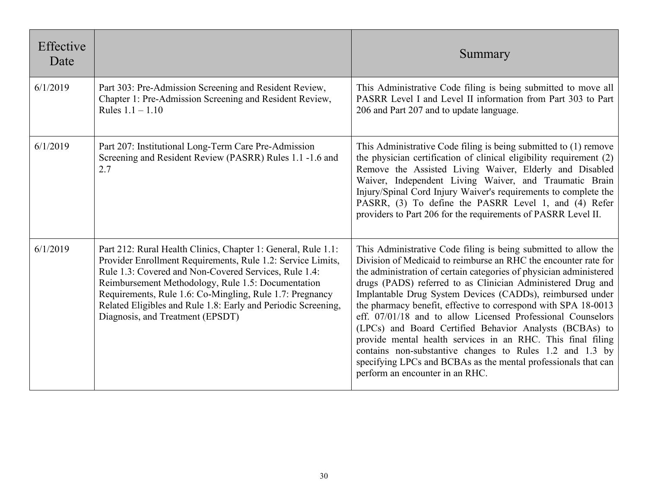| Effective<br>Date |                                                                                                                                                                                                                                                                                                                                                                                                              | Summary                                                                                                                                                                                                                                                                                                                                                                                                                                                                                                                                                                                                                                                                                                                                                          |
|-------------------|--------------------------------------------------------------------------------------------------------------------------------------------------------------------------------------------------------------------------------------------------------------------------------------------------------------------------------------------------------------------------------------------------------------|------------------------------------------------------------------------------------------------------------------------------------------------------------------------------------------------------------------------------------------------------------------------------------------------------------------------------------------------------------------------------------------------------------------------------------------------------------------------------------------------------------------------------------------------------------------------------------------------------------------------------------------------------------------------------------------------------------------------------------------------------------------|
| 6/1/2019          | Part 303: Pre-Admission Screening and Resident Review,<br>Chapter 1: Pre-Admission Screening and Resident Review,<br>Rules $1.1 - 1.10$                                                                                                                                                                                                                                                                      | This Administrative Code filing is being submitted to move all<br>PASRR Level I and Level II information from Part 303 to Part<br>206 and Part 207 and to update language.                                                                                                                                                                                                                                                                                                                                                                                                                                                                                                                                                                                       |
| 6/1/2019          | Part 207: Institutional Long-Term Care Pre-Admission<br>Screening and Resident Review (PASRR) Rules 1.1 -1.6 and<br>2.7                                                                                                                                                                                                                                                                                      | This Administrative Code filing is being submitted to (1) remove<br>the physician certification of clinical eligibility requirement (2)<br>Remove the Assisted Living Waiver, Elderly and Disabled<br>Waiver, Independent Living Waiver, and Traumatic Brain<br>Injury/Spinal Cord Injury Waiver's requirements to complete the<br>PASRR, (3) To define the PASRR Level 1, and (4) Refer<br>providers to Part 206 for the requirements of PASRR Level II.                                                                                                                                                                                                                                                                                                        |
| 6/1/2019          | Part 212: Rural Health Clinics, Chapter 1: General, Rule 1.1:<br>Provider Enrollment Requirements, Rule 1.2: Service Limits,<br>Rule 1.3: Covered and Non-Covered Services, Rule 1.4:<br>Reimbursement Methodology, Rule 1.5: Documentation<br>Requirements, Rule 1.6: Co-Mingling, Rule 1.7: Pregnancy<br>Related Eligibles and Rule 1.8: Early and Periodic Screening,<br>Diagnosis, and Treatment (EPSDT) | This Administrative Code filing is being submitted to allow the<br>Division of Medicaid to reimburse an RHC the encounter rate for<br>the administration of certain categories of physician administered<br>drugs (PADS) referred to as Clinician Administered Drug and<br>Implantable Drug System Devices (CADDs), reimbursed under<br>the pharmacy benefit, effective to correspond with SPA 18-0013<br>eff. 07/01/18 and to allow Licensed Professional Counselors<br>(LPCs) and Board Certified Behavior Analysts (BCBAs) to<br>provide mental health services in an RHC. This final filing<br>contains non-substantive changes to Rules 1.2 and 1.3 by<br>specifying LPCs and BCBAs as the mental professionals that can<br>perform an encounter in an RHC. |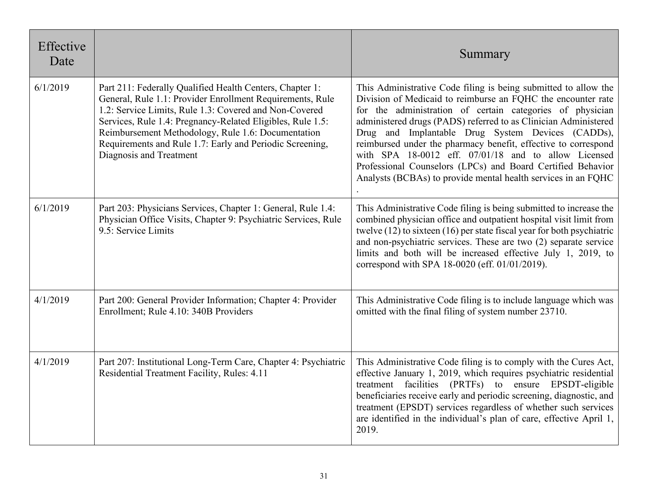| Effective<br>Date |                                                                                                                                                                                                                                                                                                                                                                                            | Summary                                                                                                                                                                                                                                                                                                                                                                                                                                                                                                                                                                        |
|-------------------|--------------------------------------------------------------------------------------------------------------------------------------------------------------------------------------------------------------------------------------------------------------------------------------------------------------------------------------------------------------------------------------------|--------------------------------------------------------------------------------------------------------------------------------------------------------------------------------------------------------------------------------------------------------------------------------------------------------------------------------------------------------------------------------------------------------------------------------------------------------------------------------------------------------------------------------------------------------------------------------|
| 6/1/2019          | Part 211: Federally Qualified Health Centers, Chapter 1:<br>General, Rule 1.1: Provider Enrollment Requirements, Rule<br>1.2: Service Limits, Rule 1.3: Covered and Non-Covered<br>Services, Rule 1.4: Pregnancy-Related Eligibles, Rule 1.5:<br>Reimbursement Methodology, Rule 1.6: Documentation<br>Requirements and Rule 1.7: Early and Periodic Screening,<br>Diagnosis and Treatment | This Administrative Code filing is being submitted to allow the<br>Division of Medicaid to reimburse an FQHC the encounter rate<br>for the administration of certain categories of physician<br>administered drugs (PADS) referred to as Clinician Administered<br>Drug and Implantable Drug System Devices (CADDs),<br>reimbursed under the pharmacy benefit, effective to correspond<br>with SPA 18-0012 eff. 07/01/18 and to allow Licensed<br>Professional Counselors (LPCs) and Board Certified Behavior<br>Analysts (BCBAs) to provide mental health services in an FQHC |
| 6/1/2019          | Part 203: Physicians Services, Chapter 1: General, Rule 1.4:<br>Physician Office Visits, Chapter 9: Psychiatric Services, Rule<br>9.5: Service Limits                                                                                                                                                                                                                                      | This Administrative Code filing is being submitted to increase the<br>combined physician office and outpatient hospital visit limit from<br>twelve $(12)$ to sixteen $(16)$ per state fiscal year for both psychiatric<br>and non-psychiatric services. These are two (2) separate service<br>limits and both will be increased effective July 1, 2019, to<br>correspond with SPA 18-0020 (eff. 01/01/2019).                                                                                                                                                                   |
| 4/1/2019          | Part 200: General Provider Information; Chapter 4: Provider<br>Enrollment; Rule 4.10: 340B Providers                                                                                                                                                                                                                                                                                       | This Administrative Code filing is to include language which was<br>omitted with the final filing of system number 23710.                                                                                                                                                                                                                                                                                                                                                                                                                                                      |
| 4/1/2019          | Part 207: Institutional Long-Term Care, Chapter 4: Psychiatric<br>Residential Treatment Facility, Rules: 4.11                                                                                                                                                                                                                                                                              | This Administrative Code filing is to comply with the Cures Act,<br>effective January 1, 2019, which requires psychiatric residential<br>treatment facilities (PRTFs) to ensure EPSDT-eligible<br>beneficiaries receive early and periodic screening, diagnostic, and<br>treatment (EPSDT) services regardless of whether such services<br>are identified in the individual's plan of care, effective April 1,<br>2019.                                                                                                                                                        |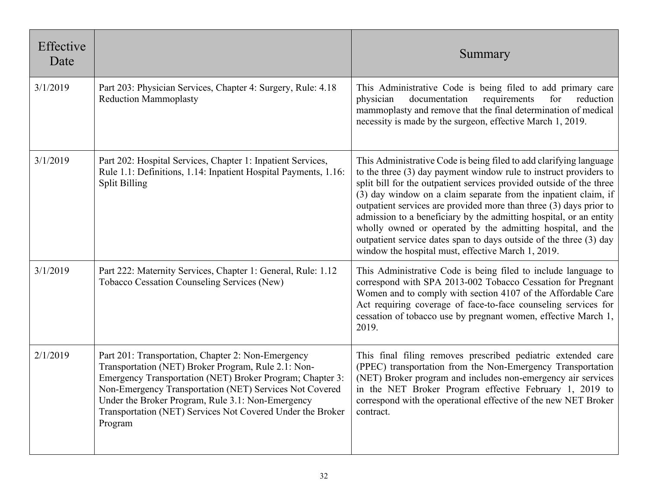| Effective<br>Date |                                                                                                                                                                                                                                                                                                                                                                 | Summary                                                                                                                                                                                                                                                                                                                                                                                                                                                                                                                                                                                                                     |
|-------------------|-----------------------------------------------------------------------------------------------------------------------------------------------------------------------------------------------------------------------------------------------------------------------------------------------------------------------------------------------------------------|-----------------------------------------------------------------------------------------------------------------------------------------------------------------------------------------------------------------------------------------------------------------------------------------------------------------------------------------------------------------------------------------------------------------------------------------------------------------------------------------------------------------------------------------------------------------------------------------------------------------------------|
| 3/1/2019          | Part 203: Physician Services, Chapter 4: Surgery, Rule: 4.18<br><b>Reduction Mammoplasty</b>                                                                                                                                                                                                                                                                    | This Administrative Code is being filed to add primary care<br>requirements<br>for<br>physician<br>documentation<br>reduction<br>mammoplasty and remove that the final determination of medical<br>necessity is made by the surgeon, effective March 1, 2019.                                                                                                                                                                                                                                                                                                                                                               |
| 3/1/2019          | Part 202: Hospital Services, Chapter 1: Inpatient Services,<br>Rule 1.1: Definitions, 1.14: Inpatient Hospital Payments, 1.16:<br><b>Split Billing</b>                                                                                                                                                                                                          | This Administrative Code is being filed to add clarifying language<br>to the three $(3)$ day payment window rule to instruct providers to<br>split bill for the outpatient services provided outside of the three<br>(3) day window on a claim separate from the inpatient claim, if<br>outpatient services are provided more than three (3) days prior to<br>admission to a beneficiary by the admitting hospital, or an entity<br>wholly owned or operated by the admitting hospital, and the<br>outpatient service dates span to days outside of the three (3) day<br>window the hospital must, effective March 1, 2019. |
| 3/1/2019          | Part 222: Maternity Services, Chapter 1: General, Rule: 1.12<br>Tobacco Cessation Counseling Services (New)                                                                                                                                                                                                                                                     | This Administrative Code is being filed to include language to<br>correspond with SPA 2013-002 Tobacco Cessation for Pregnant<br>Women and to comply with section 4107 of the Affordable Care<br>Act requiring coverage of face-to-face counseling services for<br>cessation of tobacco use by pregnant women, effective March 1,<br>2019.                                                                                                                                                                                                                                                                                  |
| 2/1/2019          | Part 201: Transportation, Chapter 2: Non-Emergency<br>Transportation (NET) Broker Program, Rule 2.1: Non-<br>Emergency Transportation (NET) Broker Program; Chapter 3:<br>Non-Emergency Transportation (NET) Services Not Covered<br>Under the Broker Program, Rule 3.1: Non-Emergency<br>Transportation (NET) Services Not Covered Under the Broker<br>Program | This final filing removes prescribed pediatric extended care<br>(PPEC) transportation from the Non-Emergency Transportation<br>(NET) Broker program and includes non-emergency air services<br>in the NET Broker Program effective February 1, 2019 to<br>correspond with the operational effective of the new NET Broker<br>contract.                                                                                                                                                                                                                                                                                      |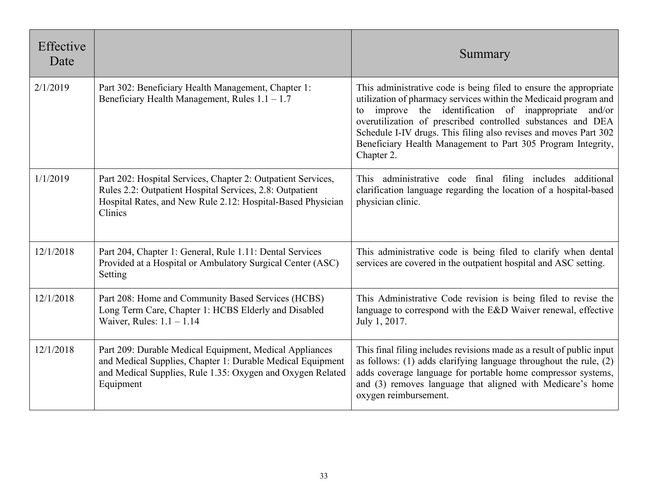| Effective<br>Date |                                                                                                                                                                                                    | Summary                                                                                                                                                                                                                                                                                                                                                                                                            |
|-------------------|----------------------------------------------------------------------------------------------------------------------------------------------------------------------------------------------------|--------------------------------------------------------------------------------------------------------------------------------------------------------------------------------------------------------------------------------------------------------------------------------------------------------------------------------------------------------------------------------------------------------------------|
| 2/1/2019          | Part 302: Beneficiary Health Management, Chapter 1:<br>Beneficiary Health Management, Rules $1.1 - 1.7$                                                                                            | This administrative code is being filed to ensure the appropriate<br>utilization of pharmacy services within the Medicaid program and<br>improve the identification of inappropriate and/or<br>to<br>overutilization of prescribed controlled substances and DEA<br>Schedule I-IV drugs. This filing also revises and moves Part 302<br>Beneficiary Health Management to Part 305 Program Integrity,<br>Chapter 2. |
| 1/1/2019          | Part 202: Hospital Services, Chapter 2: Outpatient Services,<br>Rules 2.2: Outpatient Hospital Services, 2.8: Outpatient<br>Hospital Rates, and New Rule 2.12: Hospital-Based Physician<br>Clinics | This administrative code final filing includes additional<br>clarification language regarding the location of a hospital-based<br>physician clinic.                                                                                                                                                                                                                                                                |
| 12/1/2018         | Part 204, Chapter 1: General, Rule 1.11: Dental Services<br>Provided at a Hospital or Ambulatory Surgical Center (ASC)<br>Setting                                                                  | This administrative code is being filed to clarify when dental<br>services are covered in the outpatient hospital and ASC setting.                                                                                                                                                                                                                                                                                 |
| 12/1/2018         | Part 208: Home and Community Based Services (HCBS)<br>Long Term Care, Chapter 1: HCBS Elderly and Disabled<br>Waiver, Rules: $1.1 - 1.14$                                                          | This Administrative Code revision is being filed to revise the<br>language to correspond with the E&D Waiver renewal, effective<br>July 1, 2017.                                                                                                                                                                                                                                                                   |
| 12/1/2018         | Part 209: Durable Medical Equipment, Medical Appliances<br>and Medical Supplies, Chapter 1: Durable Medical Equipment<br>and Medical Supplies, Rule 1.35: Oxygen and Oxygen Related<br>Equipment   | This final filing includes revisions made as a result of public input<br>as follows: $(1)$ adds clarifying language throughout the rule, $(2)$<br>adds coverage language for portable home compressor systems,<br>and (3) removes language that aligned with Medicare's home<br>oxygen reimbursement.                                                                                                              |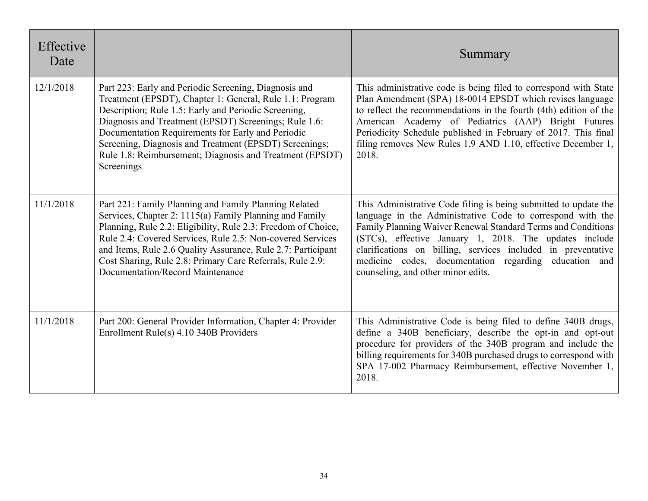| Effective<br>Date |                                                                                                                                                                                                                                                                                                                                                                                                                             | Summary                                                                                                                                                                                                                                                                                                                                                                                                                 |
|-------------------|-----------------------------------------------------------------------------------------------------------------------------------------------------------------------------------------------------------------------------------------------------------------------------------------------------------------------------------------------------------------------------------------------------------------------------|-------------------------------------------------------------------------------------------------------------------------------------------------------------------------------------------------------------------------------------------------------------------------------------------------------------------------------------------------------------------------------------------------------------------------|
| 12/1/2018         | Part 223: Early and Periodic Screening, Diagnosis and<br>Treatment (EPSDT), Chapter 1: General, Rule 1.1: Program<br>Description; Rule 1.5: Early and Periodic Screening,<br>Diagnosis and Treatment (EPSDT) Screenings; Rule 1.6:<br>Documentation Requirements for Early and Periodic<br>Screening, Diagnosis and Treatment (EPSDT) Screenings;<br>Rule 1.8: Reimbursement; Diagnosis and Treatment (EPSDT)<br>Screenings | This administrative code is being filed to correspond with State<br>Plan Amendment (SPA) 18-0014 EPSDT which revises language<br>to reflect the recommendations in the fourth (4th) edition of the<br>American Academy of Pediatrics (AAP) Bright Futures<br>Periodicity Schedule published in February of 2017. This final<br>filing removes New Rules 1.9 AND 1.10, effective December 1,<br>2018.                    |
| 11/1/2018         | Part 221: Family Planning and Family Planning Related<br>Services, Chapter 2: 1115(a) Family Planning and Family<br>Planning, Rule 2.2: Eligibility, Rule 2.3: Freedom of Choice,<br>Rule 2.4: Covered Services, Rule 2.5: Non-covered Services<br>and Items, Rule 2.6 Quality Assurance, Rule 2.7: Participant<br>Cost Sharing, Rule 2.8: Primary Care Referrals, Rule 2.9:<br>Documentation/Record Maintenance            | This Administrative Code filing is being submitted to update the<br>language in the Administrative Code to correspond with the<br>Family Planning Waiver Renewal Standard Terms and Conditions<br>(STCs), effective January 1, 2018. The updates include<br>clarifications on billing, services included in preventative<br>medicine codes, documentation regarding education and<br>counseling, and other minor edits. |
| 11/1/2018         | Part 200: General Provider Information, Chapter 4: Provider<br>Enrollment Rule(s) 4.10 340B Providers                                                                                                                                                                                                                                                                                                                       | This Administrative Code is being filed to define 340B drugs,<br>define a 340B beneficiary, describe the opt-in and opt-out<br>procedure for providers of the 340B program and include the<br>billing requirements for 340B purchased drugs to correspond with<br>SPA 17-002 Pharmacy Reimbursement, effective November 1,<br>2018.                                                                                     |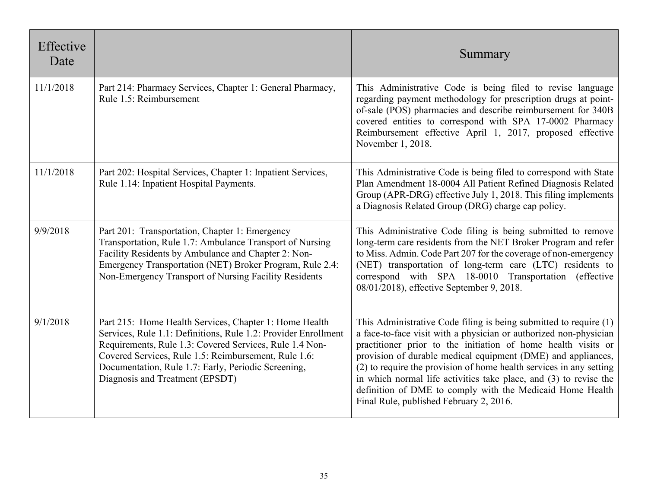| Effective<br>Date |                                                                                                                                                                                                                                                                                                                                       | Summary                                                                                                                                                                                                                                                                                                                                                                                                                                                                                                                     |
|-------------------|---------------------------------------------------------------------------------------------------------------------------------------------------------------------------------------------------------------------------------------------------------------------------------------------------------------------------------------|-----------------------------------------------------------------------------------------------------------------------------------------------------------------------------------------------------------------------------------------------------------------------------------------------------------------------------------------------------------------------------------------------------------------------------------------------------------------------------------------------------------------------------|
| 11/1/2018         | Part 214: Pharmacy Services, Chapter 1: General Pharmacy,<br>Rule 1.5: Reimbursement                                                                                                                                                                                                                                                  | This Administrative Code is being filed to revise language<br>regarding payment methodology for prescription drugs at point-<br>of-sale (POS) pharmacies and describe reimbursement for 340B<br>covered entities to correspond with SPA 17-0002 Pharmacy<br>Reimbursement effective April 1, 2017, proposed effective<br>November 1, 2018.                                                                                                                                                                                  |
| 11/1/2018         | Part 202: Hospital Services, Chapter 1: Inpatient Services,<br>Rule 1.14: Inpatient Hospital Payments.                                                                                                                                                                                                                                | This Administrative Code is being filed to correspond with State<br>Plan Amendment 18-0004 All Patient Refined Diagnosis Related<br>Group (APR-DRG) effective July 1, 2018. This filing implements<br>a Diagnosis Related Group (DRG) charge cap policy.                                                                                                                                                                                                                                                                    |
| 9/9/2018          | Part 201: Transportation, Chapter 1: Emergency<br>Transportation, Rule 1.7: Ambulance Transport of Nursing<br>Facility Residents by Ambulance and Chapter 2: Non-<br>Emergency Transportation (NET) Broker Program, Rule 2.4:<br>Non-Emergency Transport of Nursing Facility Residents                                                | This Administrative Code filing is being submitted to remove<br>long-term care residents from the NET Broker Program and refer<br>to Miss. Admin. Code Part 207 for the coverage of non-emergency<br>(NET) transportation of long-term care (LTC) residents to<br>correspond with SPA 18-0010 Transportation (effective<br>08/01/2018), effective September 9, 2018.                                                                                                                                                        |
| 9/1/2018          | Part 215: Home Health Services, Chapter 1: Home Health<br>Services, Rule 1.1: Definitions, Rule 1.2: Provider Enrollment<br>Requirements, Rule 1.3: Covered Services, Rule 1.4 Non-<br>Covered Services, Rule 1.5: Reimbursement, Rule 1.6:<br>Documentation, Rule 1.7: Early, Periodic Screening,<br>Diagnosis and Treatment (EPSDT) | This Administrative Code filing is being submitted to require (1)<br>a face-to-face visit with a physician or authorized non-physician<br>practitioner prior to the initiation of home health visits or<br>provision of durable medical equipment (DME) and appliances,<br>(2) to require the provision of home health services in any setting<br>in which normal life activities take place, and (3) to revise the<br>definition of DME to comply with the Medicaid Home Health<br>Final Rule, published February 2, 2016. |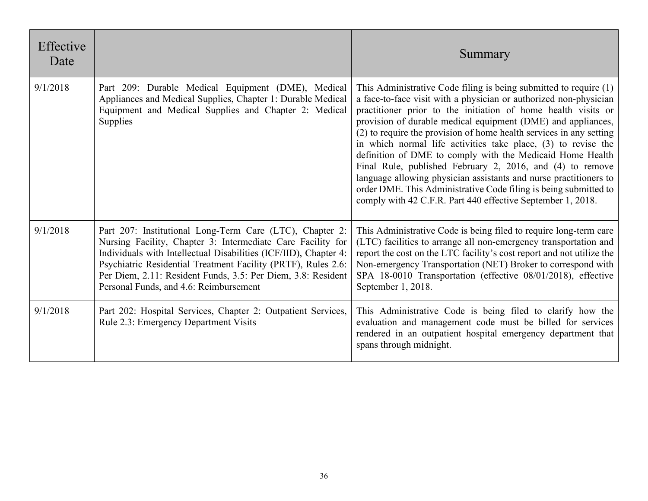| Effective<br>Date |                                                                                                                                                                                                                                                                                                                                                                        | Summary                                                                                                                                                                                                                                                                                                                                                                                                                                                                                                                                                                                                                                                                                                                                           |
|-------------------|------------------------------------------------------------------------------------------------------------------------------------------------------------------------------------------------------------------------------------------------------------------------------------------------------------------------------------------------------------------------|---------------------------------------------------------------------------------------------------------------------------------------------------------------------------------------------------------------------------------------------------------------------------------------------------------------------------------------------------------------------------------------------------------------------------------------------------------------------------------------------------------------------------------------------------------------------------------------------------------------------------------------------------------------------------------------------------------------------------------------------------|
| 9/1/2018          | Part 209: Durable Medical Equipment (DME), Medical<br>Appliances and Medical Supplies, Chapter 1: Durable Medical<br>Equipment and Medical Supplies and Chapter 2: Medical<br><b>Supplies</b>                                                                                                                                                                          | This Administrative Code filing is being submitted to require (1)<br>a face-to-face visit with a physician or authorized non-physician<br>practitioner prior to the initiation of home health visits or<br>provision of durable medical equipment (DME) and appliances,<br>(2) to require the provision of home health services in any setting<br>in which normal life activities take place, (3) to revise the<br>definition of DME to comply with the Medicaid Home Health<br>Final Rule, published February 2, 2016, and (4) to remove<br>language allowing physician assistants and nurse practitioners to<br>order DME. This Administrative Code filing is being submitted to<br>comply with 42 C.F.R. Part 440 effective September 1, 2018. |
| 9/1/2018          | Part 207: Institutional Long-Term Care (LTC), Chapter 2:<br>Nursing Facility, Chapter 3: Intermediate Care Facility for<br>Individuals with Intellectual Disabilities (ICF/IID), Chapter 4:<br>Psychiatric Residential Treatment Facility (PRTF), Rules 2.6:<br>Per Diem, 2.11: Resident Funds, 3.5: Per Diem, 3.8: Resident<br>Personal Funds, and 4.6: Reimbursement | This Administrative Code is being filed to require long-term care<br>(LTC) facilities to arrange all non-emergency transportation and<br>report the cost on the LTC facility's cost report and not utilize the<br>Non-emergency Transportation (NET) Broker to correspond with<br>SPA 18-0010 Transportation (effective 08/01/2018), effective<br>September 1, 2018.                                                                                                                                                                                                                                                                                                                                                                              |
| 9/1/2018          | Part 202: Hospital Services, Chapter 2: Outpatient Services,<br>Rule 2.3: Emergency Department Visits                                                                                                                                                                                                                                                                  | This Administrative Code is being filed to clarify how the<br>evaluation and management code must be billed for services<br>rendered in an outpatient hospital emergency department that<br>spans through midnight.                                                                                                                                                                                                                                                                                                                                                                                                                                                                                                                               |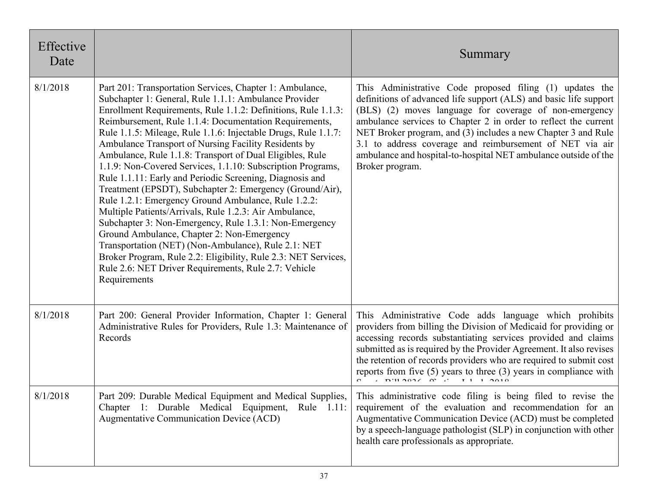| Effective<br>Date |                                                                                                                                                                                                                                                                                                                                                                                                                                                                                                                                                                                                                                                                                                                                                                                                                                                                                                                                                                                                                                                     | Summary                                                                                                                                                                                                                                                                                                                                                                                                                                                                       |
|-------------------|-----------------------------------------------------------------------------------------------------------------------------------------------------------------------------------------------------------------------------------------------------------------------------------------------------------------------------------------------------------------------------------------------------------------------------------------------------------------------------------------------------------------------------------------------------------------------------------------------------------------------------------------------------------------------------------------------------------------------------------------------------------------------------------------------------------------------------------------------------------------------------------------------------------------------------------------------------------------------------------------------------------------------------------------------------|-------------------------------------------------------------------------------------------------------------------------------------------------------------------------------------------------------------------------------------------------------------------------------------------------------------------------------------------------------------------------------------------------------------------------------------------------------------------------------|
| 8/1/2018          | Part 201: Transportation Services, Chapter 1: Ambulance,<br>Subchapter 1: General, Rule 1.1.1: Ambulance Provider<br>Enrollment Requirements, Rule 1.1.2: Definitions, Rule 1.1.3:<br>Reimbursement, Rule 1.1.4: Documentation Requirements,<br>Rule 1.1.5: Mileage, Rule 1.1.6: Injectable Drugs, Rule 1.1.7:<br>Ambulance Transport of Nursing Facility Residents by<br>Ambulance, Rule 1.1.8: Transport of Dual Eligibles, Rule<br>1.1.9: Non-Covered Services, 1.1.10: Subscription Programs,<br>Rule 1.1.11: Early and Periodic Screening, Diagnosis and<br>Treatment (EPSDT), Subchapter 2: Emergency (Ground/Air),<br>Rule 1.2.1: Emergency Ground Ambulance, Rule 1.2.2:<br>Multiple Patients/Arrivals, Rule 1.2.3: Air Ambulance,<br>Subchapter 3: Non-Emergency, Rule 1.3.1: Non-Emergency<br>Ground Ambulance, Chapter 2: Non-Emergency<br>Transportation (NET) (Non-Ambulance), Rule 2.1: NET<br>Broker Program, Rule 2.2: Eligibility, Rule 2.3: NET Services,<br>Rule 2.6: NET Driver Requirements, Rule 2.7: Vehicle<br>Requirements | This Administrative Code proposed filing (1) updates the<br>definitions of advanced life support (ALS) and basic life support<br>(BLS) (2) moves language for coverage of non-emergency<br>ambulance services to Chapter 2 in order to reflect the current<br>NET Broker program, and (3) includes a new Chapter 3 and Rule<br>3.1 to address coverage and reimbursement of NET via air<br>ambulance and hospital-to-hospital NET ambulance outside of the<br>Broker program. |
| 8/1/2018          | Part 200: General Provider Information, Chapter 1: General<br>Administrative Rules for Providers, Rule 1.3: Maintenance of<br>Records                                                                                                                                                                                                                                                                                                                                                                                                                                                                                                                                                                                                                                                                                                                                                                                                                                                                                                               | This Administrative Code adds language which prohibits<br>providers from billing the Division of Medicaid for providing or<br>accessing records substantiating services provided and claims<br>submitted as is required by the Provider Agreement. It also revises<br>the retention of records providers who are required to submit cost<br>reports from five $(5)$ years to three $(3)$ years in compliance with                                                             |
| 8/1/2018          | Part 209: Durable Medical Equipment and Medical Supplies,<br>Chapter 1: Durable Medical Equipment,<br>Rule 1.11:<br>Augmentative Communication Device (ACD)                                                                                                                                                                                                                                                                                                                                                                                                                                                                                                                                                                                                                                                                                                                                                                                                                                                                                         | This administrative code filing is being filed to revise the<br>requirement of the evaluation and recommendation for an<br>Augmentative Communication Device (ACD) must be completed<br>by a speech-language pathologist (SLP) in conjunction with other<br>health care professionals as appropriate.                                                                                                                                                                         |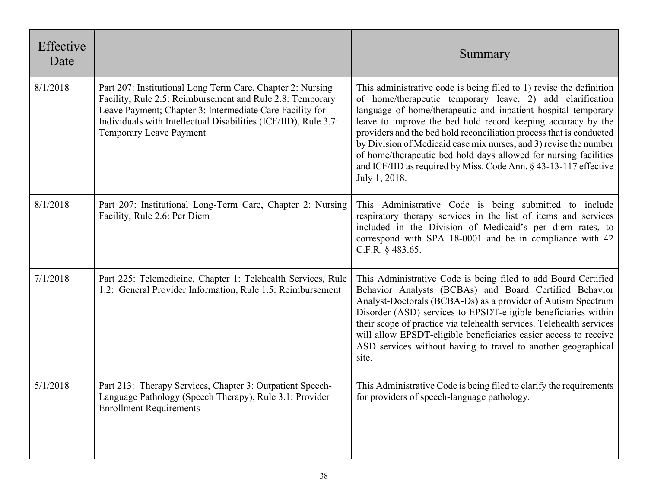| Effective<br>Date |                                                                                                                                                                                                                                                                                   | Summary                                                                                                                                                                                                                                                                                                                                                                                                                                                                                                                                                                |
|-------------------|-----------------------------------------------------------------------------------------------------------------------------------------------------------------------------------------------------------------------------------------------------------------------------------|------------------------------------------------------------------------------------------------------------------------------------------------------------------------------------------------------------------------------------------------------------------------------------------------------------------------------------------------------------------------------------------------------------------------------------------------------------------------------------------------------------------------------------------------------------------------|
| 8/1/2018          | Part 207: Institutional Long Term Care, Chapter 2: Nursing<br>Facility, Rule 2.5: Reimbursement and Rule 2.8: Temporary<br>Leave Payment; Chapter 3: Intermediate Care Facility for<br>Individuals with Intellectual Disabilities (ICF/IID), Rule 3.7:<br>Temporary Leave Payment | This administrative code is being filed to 1) revise the definition<br>of home/therapeutic temporary leave, 2) add clarification<br>language of home/therapeutic and inpatient hospital temporary<br>leave to improve the bed hold record keeping accuracy by the<br>providers and the bed hold reconciliation process that is conducted<br>by Division of Medicaid case mix nurses, and 3) revise the number<br>of home/therapeutic bed hold days allowed for nursing facilities<br>and ICF/IID as required by Miss. Code Ann. § 43-13-117 effective<br>July 1, 2018. |
| 8/1/2018          | Part 207: Institutional Long-Term Care, Chapter 2: Nursing<br>Facility, Rule 2.6: Per Diem                                                                                                                                                                                        | This Administrative Code is being submitted to include<br>respiratory therapy services in the list of items and services<br>included in the Division of Medicaid's per diem rates, to<br>correspond with SPA 18-0001 and be in compliance with 42<br>C.F.R. § 483.65.                                                                                                                                                                                                                                                                                                  |
| 7/1/2018          | Part 225: Telemedicine, Chapter 1: Telehealth Services, Rule<br>1.2: General Provider Information, Rule 1.5: Reimbursement                                                                                                                                                        | This Administrative Code is being filed to add Board Certified<br>Behavior Analysts (BCBAs) and Board Certified Behavior<br>Analyst-Doctorals (BCBA-Ds) as a provider of Autism Spectrum<br>Disorder (ASD) services to EPSDT-eligible beneficiaries within<br>their scope of practice via telehealth services. Telehealth services<br>will allow EPSDT-eligible beneficiaries easier access to receive<br>ASD services without having to travel to another geographical<br>site.                                                                                       |
| 5/1/2018          | Part 213: Therapy Services, Chapter 3: Outpatient Speech-<br>Language Pathology (Speech Therapy), Rule 3.1: Provider<br><b>Enrollment Requirements</b>                                                                                                                            | This Administrative Code is being filed to clarify the requirements<br>for providers of speech-language pathology.                                                                                                                                                                                                                                                                                                                                                                                                                                                     |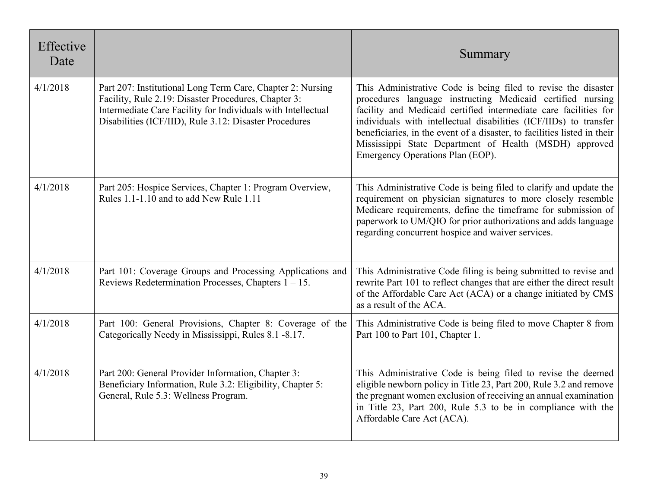| Effective<br>Date |                                                                                                                                                                                                                                              | Summary                                                                                                                                                                                                                                                                                                                                                                                                                                         |
|-------------------|----------------------------------------------------------------------------------------------------------------------------------------------------------------------------------------------------------------------------------------------|-------------------------------------------------------------------------------------------------------------------------------------------------------------------------------------------------------------------------------------------------------------------------------------------------------------------------------------------------------------------------------------------------------------------------------------------------|
| 4/1/2018          | Part 207: Institutional Long Term Care, Chapter 2: Nursing<br>Facility, Rule 2.19: Disaster Procedures, Chapter 3:<br>Intermediate Care Facility for Individuals with Intellectual<br>Disabilities (ICF/IID), Rule 3.12: Disaster Procedures | This Administrative Code is being filed to revise the disaster<br>procedures language instructing Medicaid certified nursing<br>facility and Medicaid certified intermediate care facilities for<br>individuals with intellectual disabilities (ICF/IIDs) to transfer<br>beneficiaries, in the event of a disaster, to facilities listed in their<br>Mississippi State Department of Health (MSDH) approved<br>Emergency Operations Plan (EOP). |
| 4/1/2018          | Part 205: Hospice Services, Chapter 1: Program Overview,<br>Rules 1.1-1.10 and to add New Rule 1.11                                                                                                                                          | This Administrative Code is being filed to clarify and update the<br>requirement on physician signatures to more closely resemble<br>Medicare requirements, define the timeframe for submission of<br>paperwork to UM/QIO for prior authorizations and adds language<br>regarding concurrent hospice and waiver services.                                                                                                                       |
| 4/1/2018          | Part 101: Coverage Groups and Processing Applications and<br>Reviews Redetermination Processes, Chapters $1 - 15$ .                                                                                                                          | This Administrative Code filing is being submitted to revise and<br>rewrite Part 101 to reflect changes that are either the direct result<br>of the Affordable Care Act (ACA) or a change initiated by CMS<br>as a result of the ACA.                                                                                                                                                                                                           |
| 4/1/2018          | Part 100: General Provisions, Chapter 8: Coverage of the<br>Categorically Needy in Mississippi, Rules 8.1 -8.17.                                                                                                                             | This Administrative Code is being filed to move Chapter 8 from<br>Part 100 to Part 101, Chapter 1.                                                                                                                                                                                                                                                                                                                                              |
| 4/1/2018          | Part 200: General Provider Information, Chapter 3:<br>Beneficiary Information, Rule 3.2: Eligibility, Chapter 5:<br>General, Rule 5.3: Wellness Program.                                                                                     | This Administrative Code is being filed to revise the deemed<br>eligible newborn policy in Title 23, Part 200, Rule 3.2 and remove<br>the pregnant women exclusion of receiving an annual examination<br>in Title 23, Part 200, Rule 5.3 to be in compliance with the<br>Affordable Care Act (ACA).                                                                                                                                             |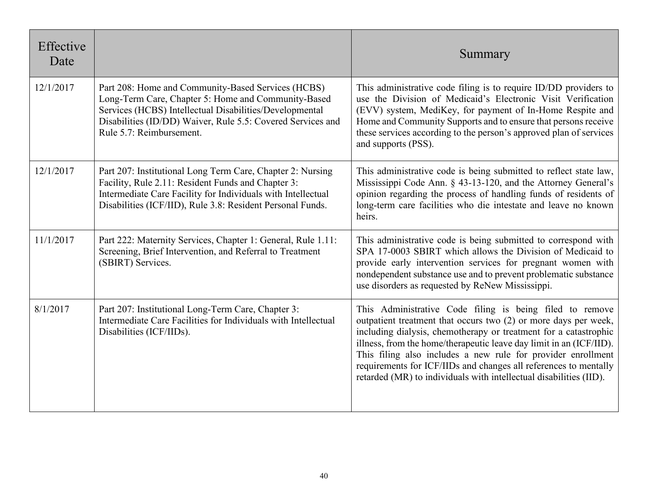| Effective<br>Date |                                                                                                                                                                                                                                                                 | Summary                                                                                                                                                                                                                                                                                                                                                                                                                                                                          |
|-------------------|-----------------------------------------------------------------------------------------------------------------------------------------------------------------------------------------------------------------------------------------------------------------|----------------------------------------------------------------------------------------------------------------------------------------------------------------------------------------------------------------------------------------------------------------------------------------------------------------------------------------------------------------------------------------------------------------------------------------------------------------------------------|
| 12/1/2017         | Part 208: Home and Community-Based Services (HCBS)<br>Long-Term Care, Chapter 5: Home and Community-Based<br>Services (HCBS) Intellectual Disabilities/Developmental<br>Disabilities (ID/DD) Waiver, Rule 5.5: Covered Services and<br>Rule 5.7: Reimbursement. | This administrative code filing is to require ID/DD providers to<br>use the Division of Medicaid's Electronic Visit Verification<br>(EVV) system, MediKey, for payment of In-Home Respite and<br>Home and Community Supports and to ensure that persons receive<br>these services according to the person's approved plan of services<br>and supports (PSS).                                                                                                                     |
| 12/1/2017         | Part 207: Institutional Long Term Care, Chapter 2: Nursing<br>Facility, Rule 2.11: Resident Funds and Chapter 3:<br>Intermediate Care Facility for Individuals with Intellectual<br>Disabilities (ICF/IID), Rule 3.8: Resident Personal Funds.                  | This administrative code is being submitted to reflect state law,<br>Mississippi Code Ann. § 43-13-120, and the Attorney General's<br>opinion regarding the process of handling funds of residents of<br>long-term care facilities who die intestate and leave no known<br>heirs.                                                                                                                                                                                                |
| 11/1/2017         | Part 222: Maternity Services, Chapter 1: General, Rule 1.11:<br>Screening, Brief Intervention, and Referral to Treatment<br>(SBIRT) Services.                                                                                                                   | This administrative code is being submitted to correspond with<br>SPA 17-0003 SBIRT which allows the Division of Medicaid to<br>provide early intervention services for pregnant women with<br>nondependent substance use and to prevent problematic substance<br>use disorders as requested by ReNew Mississippi.                                                                                                                                                               |
| 8/1/2017          | Part 207: Institutional Long-Term Care, Chapter 3:<br>Intermediate Care Facilities for Individuals with Intellectual<br>Disabilities (ICF/IIDs).                                                                                                                | This Administrative Code filing is being filed to remove<br>outpatient treatment that occurs two (2) or more days per week,<br>including dialysis, chemotherapy or treatment for a catastrophic<br>illness, from the home/therapeutic leave day limit in an (ICF/IID).<br>This filing also includes a new rule for provider enrollment<br>requirements for ICF/IIDs and changes all references to mentally<br>retarded (MR) to individuals with intellectual disabilities (IID). |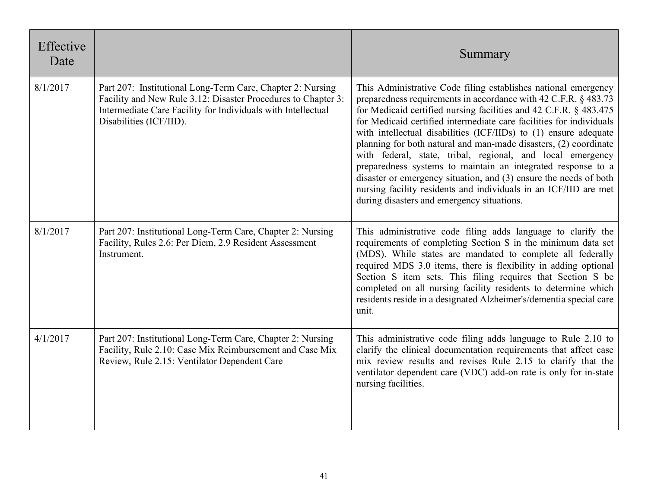| Effective<br>Date |                                                                                                                                                                                                                        | Summary                                                                                                                                                                                                                                                                                                                                                                                                                                                                                                                                                                                                                                                                                                                                    |
|-------------------|------------------------------------------------------------------------------------------------------------------------------------------------------------------------------------------------------------------------|--------------------------------------------------------------------------------------------------------------------------------------------------------------------------------------------------------------------------------------------------------------------------------------------------------------------------------------------------------------------------------------------------------------------------------------------------------------------------------------------------------------------------------------------------------------------------------------------------------------------------------------------------------------------------------------------------------------------------------------------|
| 8/1/2017          | Part 207: Institutional Long-Term Care, Chapter 2: Nursing<br>Facility and New Rule 3.12: Disaster Procedures to Chapter 3:<br>Intermediate Care Facility for Individuals with Intellectual<br>Disabilities (ICF/IID). | This Administrative Code filing establishes national emergency<br>preparedness requirements in accordance with 42 C.F.R. § 483.73<br>for Medicaid certified nursing facilities and 42 C.F.R. § 483.475<br>for Medicaid certified intermediate care facilities for individuals<br>with intellectual disabilities (ICF/IIDs) to (1) ensure adequate<br>planning for both natural and man-made disasters, (2) coordinate<br>with federal, state, tribal, regional, and local emergency<br>preparedness systems to maintain an integrated response to a<br>disaster or emergency situation, and (3) ensure the needs of both<br>nursing facility residents and individuals in an ICF/IID are met<br>during disasters and emergency situations. |
| 8/1/2017          | Part 207: Institutional Long-Term Care, Chapter 2: Nursing<br>Facility, Rules 2.6: Per Diem, 2.9 Resident Assessment<br>Instrument.                                                                                    | This administrative code filing adds language to clarify the<br>requirements of completing Section S in the minimum data set<br>(MDS). While states are mandated to complete all federally<br>required MDS 3.0 items, there is flexibility in adding optional<br>Section S item sets. This filing requires that Section S be<br>completed on all nursing facility residents to determine which<br>residents reside in a designated Alzheimer's/dementia special care<br>unit.                                                                                                                                                                                                                                                              |
| 4/1/2017          | Part 207: Institutional Long-Term Care, Chapter 2: Nursing<br>Facility, Rule 2.10: Case Mix Reimbursement and Case Mix<br>Review, Rule 2.15: Ventilator Dependent Care                                                 | This administrative code filing adds language to Rule 2.10 to<br>clarify the clinical documentation requirements that affect case<br>mix review results and revises Rule 2.15 to clarify that the<br>ventilator dependent care (VDC) add-on rate is only for in-state<br>nursing facilities.                                                                                                                                                                                                                                                                                                                                                                                                                                               |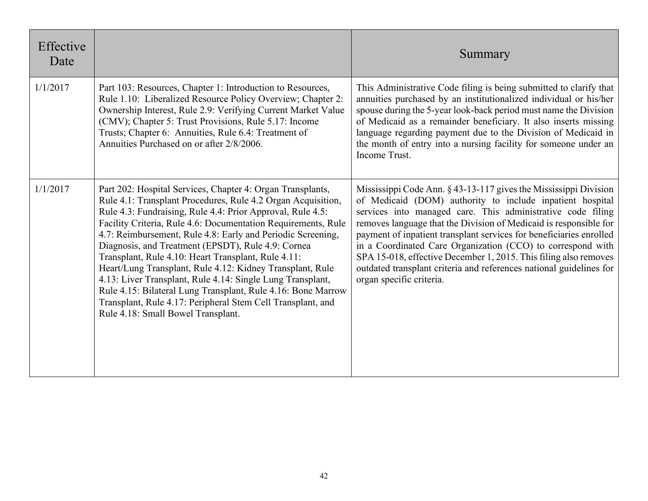| Effective<br>Date |                                                                                                                                                                                                                                                                                                                                                                                                                                                                                                                                                                                                                                                                                                                                       | Summary                                                                                                                                                                                                                                                                                                                                                                                                                                                                                                                                                                        |
|-------------------|---------------------------------------------------------------------------------------------------------------------------------------------------------------------------------------------------------------------------------------------------------------------------------------------------------------------------------------------------------------------------------------------------------------------------------------------------------------------------------------------------------------------------------------------------------------------------------------------------------------------------------------------------------------------------------------------------------------------------------------|--------------------------------------------------------------------------------------------------------------------------------------------------------------------------------------------------------------------------------------------------------------------------------------------------------------------------------------------------------------------------------------------------------------------------------------------------------------------------------------------------------------------------------------------------------------------------------|
| 1/1/2017          | Part 103: Resources, Chapter 1: Introduction to Resources,<br>Rule 1.10: Liberalized Resource Policy Overview; Chapter 2:<br>Ownership Interest, Rule 2.9: Verifying Current Market Value<br>(CMV); Chapter 5: Trust Provisions, Rule 5.17: Income<br>Trusts; Chapter 6: Annuities, Rule 6.4: Treatment of<br>Annuities Purchased on or after 2/8/2006.                                                                                                                                                                                                                                                                                                                                                                               | This Administrative Code filing is being submitted to clarify that<br>annuities purchased by an institutionalized individual or his/her<br>spouse during the 5-year look-back period must name the Division<br>of Medicaid as a remainder beneficiary. It also inserts missing<br>language regarding payment due to the Division of Medicaid in<br>the month of entry into a nursing facility for someone under an<br>Income Trust.                                                                                                                                            |
| 1/1/2017          | Part 202: Hospital Services, Chapter 4: Organ Transplants,<br>Rule 4.1: Transplant Procedures, Rule 4.2 Organ Acquisition,<br>Rule 4.3: Fundraising, Rule 4.4: Prior Approval, Rule 4.5:<br>Facility Criteria, Rule 4.6: Documentation Requirements, Rule<br>4.7: Reimbursement, Rule 4.8: Early and Periodic Screening,<br>Diagnosis, and Treatment (EPSDT), Rule 4.9: Cornea<br>Transplant, Rule 4.10: Heart Transplant, Rule 4.11:<br>Heart/Lung Transplant, Rule 4.12: Kidney Transplant, Rule<br>4.13: Liver Transplant, Rule 4.14: Single Lung Transplant,<br>Rule 4.15: Bilateral Lung Transplant, Rule 4.16: Bone Marrow<br>Transplant, Rule 4.17: Peripheral Stem Cell Transplant, and<br>Rule 4.18: Small Bowel Transplant. | Mississippi Code Ann. § 43-13-117 gives the Mississippi Division<br>of Medicaid (DOM) authority to include inpatient hospital<br>services into managed care. This administrative code filing<br>removes language that the Division of Medicaid is responsible for<br>payment of inpatient transplant services for beneficiaries enrolled<br>in a Coordinated Care Organization (CCO) to correspond with<br>SPA 15-018, effective December 1, 2015. This filing also removes<br>outdated transplant criteria and references national guidelines for<br>organ specific criteria. |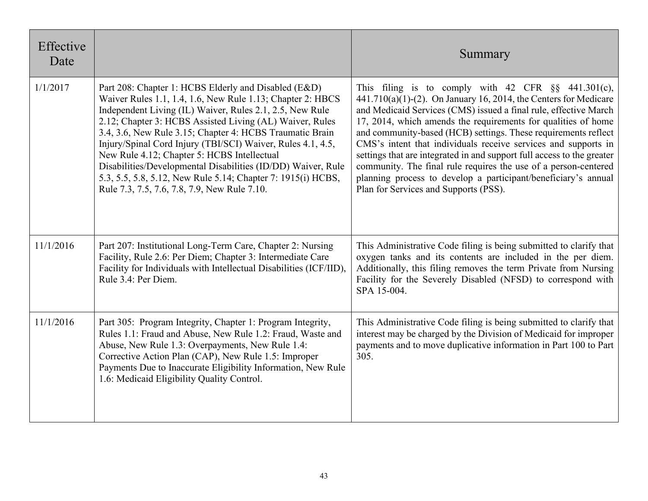| Effective<br>Date |                                                                                                                                                                                                                                                                                                                                                                                                                                                                                                                                                                                                      | Summary                                                                                                                                                                                                                                                                                                                                                                                                                                                                                                                                                                                                                                                       |
|-------------------|------------------------------------------------------------------------------------------------------------------------------------------------------------------------------------------------------------------------------------------------------------------------------------------------------------------------------------------------------------------------------------------------------------------------------------------------------------------------------------------------------------------------------------------------------------------------------------------------------|---------------------------------------------------------------------------------------------------------------------------------------------------------------------------------------------------------------------------------------------------------------------------------------------------------------------------------------------------------------------------------------------------------------------------------------------------------------------------------------------------------------------------------------------------------------------------------------------------------------------------------------------------------------|
| 1/1/2017          | Part 208: Chapter 1: HCBS Elderly and Disabled (E&D)<br>Waiver Rules 1.1, 1.4, 1.6, New Rule 1.13; Chapter 2: HBCS<br>Independent Living (IL) Waiver, Rules 2.1, 2.5, New Rule<br>2.12; Chapter 3: HCBS Assisted Living (AL) Waiver, Rules<br>3.4, 3.6, New Rule 3.15; Chapter 4: HCBS Traumatic Brain<br>Injury/Spinal Cord Injury (TBI/SCI) Waiver, Rules 4.1, 4.5,<br>New Rule 4.12; Chapter 5: HCBS Intellectual<br>Disabilities/Developmental Disabilities (ID/DD) Waiver, Rule<br>5.3, 5.5, 5.8, 5.12, New Rule 5.14; Chapter 7: 1915(i) HCBS,<br>Rule 7.3, 7.5, 7.6, 7.8, 7.9, New Rule 7.10. | This filing is to comply with 42 CFR $\S$ 441.301(c),<br>$441.710(a)(1)-(2)$ . On January 16, 2014, the Centers for Medicare<br>and Medicaid Services (CMS) issued a final rule, effective March<br>17, 2014, which amends the requirements for qualities of home<br>and community-based (HCB) settings. These requirements reflect<br>CMS's intent that individuals receive services and supports in<br>settings that are integrated in and support full access to the greater<br>community. The final rule requires the use of a person-centered<br>planning process to develop a participant/beneficiary's annual<br>Plan for Services and Supports (PSS). |
| 11/1/2016         | Part 207: Institutional Long-Term Care, Chapter 2: Nursing<br>Facility, Rule 2.6: Per Diem; Chapter 3: Intermediate Care<br>Facility for Individuals with Intellectual Disabilities (ICF/IID),<br>Rule 3.4: Per Diem.                                                                                                                                                                                                                                                                                                                                                                                | This Administrative Code filing is being submitted to clarify that<br>oxygen tanks and its contents are included in the per diem.<br>Additionally, this filing removes the term Private from Nursing<br>Facility for the Severely Disabled (NFSD) to correspond with<br>SPA 15-004.                                                                                                                                                                                                                                                                                                                                                                           |
| 11/1/2016         | Part 305: Program Integrity, Chapter 1: Program Integrity,<br>Rules 1.1: Fraud and Abuse, New Rule 1.2: Fraud, Waste and<br>Abuse, New Rule 1.3: Overpayments, New Rule 1.4:<br>Corrective Action Plan (CAP), New Rule 1.5: Improper<br>Payments Due to Inaccurate Eligibility Information, New Rule<br>1.6: Medicaid Eligibility Quality Control.                                                                                                                                                                                                                                                   | This Administrative Code filing is being submitted to clarify that<br>interest may be charged by the Division of Medicaid for improper<br>payments and to move duplicative information in Part 100 to Part<br>305.                                                                                                                                                                                                                                                                                                                                                                                                                                            |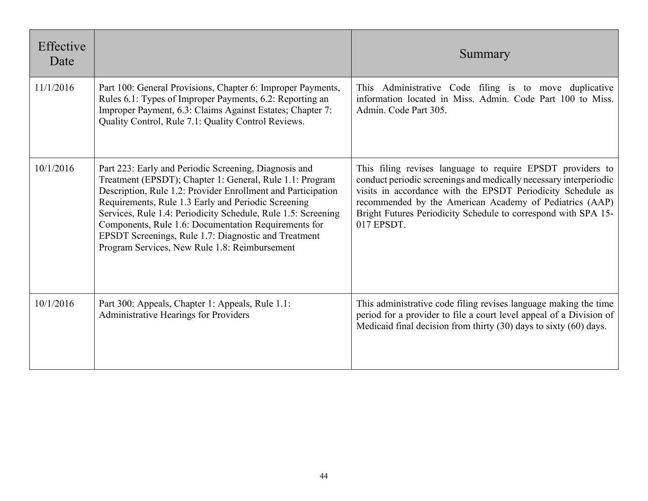| Effective<br>Date |                                                                                                                                                                                                                                                                                                                                                                                                                                                                            | Summary                                                                                                                                                                                                                                                                                                                                   |
|-------------------|----------------------------------------------------------------------------------------------------------------------------------------------------------------------------------------------------------------------------------------------------------------------------------------------------------------------------------------------------------------------------------------------------------------------------------------------------------------------------|-------------------------------------------------------------------------------------------------------------------------------------------------------------------------------------------------------------------------------------------------------------------------------------------------------------------------------------------|
| 11/1/2016         | Part 100: General Provisions, Chapter 6: Improper Payments,<br>Rules 6.1: Types of Improper Payments, 6.2: Reporting an<br>Improper Payment, 6.3: Claims Against Estates; Chapter 7:<br>Quality Control, Rule 7.1: Quality Control Reviews.                                                                                                                                                                                                                                | Administrative Code filing is to move duplicative<br><b>This</b><br>information located in Miss. Admin. Code Part 100 to Miss.<br>Admin. Code Part 305.                                                                                                                                                                                   |
| 10/1/2016         | Part 223: Early and Periodic Screening, Diagnosis and<br>Treatment (EPSDT); Chapter 1: General, Rule 1.1: Program<br>Description, Rule 1.2: Provider Enrollment and Participation<br>Requirements, Rule 1.3 Early and Periodic Screening<br>Services, Rule 1.4: Periodicity Schedule, Rule 1.5: Screening<br>Components, Rule 1.6: Documentation Requirements for<br>EPSDT Screenings, Rule 1.7: Diagnostic and Treatment<br>Program Services, New Rule 1.8: Reimbursement | This filing revises language to require EPSDT providers to<br>conduct periodic screenings and medically necessary interperiodic<br>visits in accordance with the EPSDT Periodicity Schedule as<br>recommended by the American Academy of Pediatrics (AAP)<br>Bright Futures Periodicity Schedule to correspond with SPA 15-<br>017 EPSDT. |
| 10/1/2016         | Part 300: Appeals, Chapter 1: Appeals, Rule 1.1:<br>Administrative Hearings for Providers                                                                                                                                                                                                                                                                                                                                                                                  | This administrative code filing revises language making the time<br>period for a provider to file a court level appeal of a Division of<br>Medicaid final decision from thirty $(30)$ days to sixty $(60)$ days.                                                                                                                          |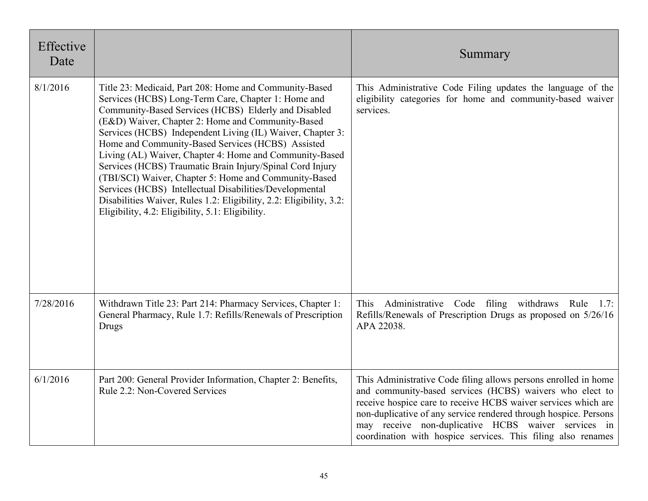| Effective<br>Date |                                                                                                                                                                                                                                                                                                                                                                                                                                                                                                                                                                                                                                                                                                                      | Summary                                                                                                                                                                                                                                                                                                                                                                                  |
|-------------------|----------------------------------------------------------------------------------------------------------------------------------------------------------------------------------------------------------------------------------------------------------------------------------------------------------------------------------------------------------------------------------------------------------------------------------------------------------------------------------------------------------------------------------------------------------------------------------------------------------------------------------------------------------------------------------------------------------------------|------------------------------------------------------------------------------------------------------------------------------------------------------------------------------------------------------------------------------------------------------------------------------------------------------------------------------------------------------------------------------------------|
| 8/1/2016          | Title 23: Medicaid, Part 208: Home and Community-Based<br>Services (HCBS) Long-Term Care, Chapter 1: Home and<br>Community-Based Services (HCBS) Elderly and Disabled<br>(E&D) Waiver, Chapter 2: Home and Community-Based<br>Services (HCBS) Independent Living (IL) Waiver, Chapter 3:<br>Home and Community-Based Services (HCBS) Assisted<br>Living (AL) Waiver, Chapter 4: Home and Community-Based<br>Services (HCBS) Traumatic Brain Injury/Spinal Cord Injury<br>(TBI/SCI) Waiver, Chapter 5: Home and Community-Based<br>Services (HCBS) Intellectual Disabilities/Developmental<br>Disabilities Waiver, Rules 1.2: Eligibility, 2.2: Eligibility, 3.2:<br>Eligibility, 4.2: Eligibility, 5.1: Eligibility. | This Administrative Code Filing updates the language of the<br>eligibility categories for home and community-based waiver<br>services.                                                                                                                                                                                                                                                   |
| 7/28/2016         | Withdrawn Title 23: Part 214: Pharmacy Services, Chapter 1:<br>General Pharmacy, Rule 1.7: Refills/Renewals of Prescription<br><b>Drugs</b>                                                                                                                                                                                                                                                                                                                                                                                                                                                                                                                                                                          | Administrative Code filing withdraws Rule<br>This<br>1.7:<br>Refills/Renewals of Prescription Drugs as proposed on 5/26/16<br>APA 22038.                                                                                                                                                                                                                                                 |
| 6/1/2016          | Part 200: General Provider Information, Chapter 2: Benefits,<br>Rule 2.2: Non-Covered Services                                                                                                                                                                                                                                                                                                                                                                                                                                                                                                                                                                                                                       | This Administrative Code filing allows persons enrolled in home<br>and community-based services (HCBS) waivers who elect to<br>receive hospice care to receive HCBS waiver services which are<br>non-duplicative of any service rendered through hospice. Persons<br>may receive non-duplicative HCBS waiver services in<br>coordination with hospice services. This filing also renames |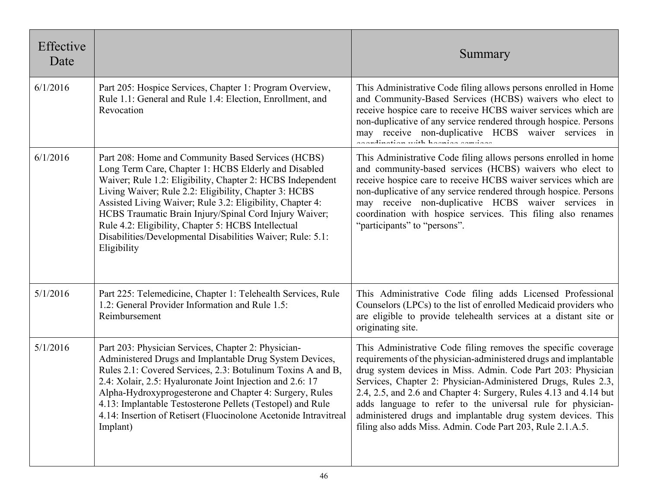| Effective<br>Date |                                                                                                                                                                                                                                                                                                                                                                                                                                                                                              | Summary                                                                                                                                                                                                                                                                                                                                                                                                                                                                                                                              |
|-------------------|----------------------------------------------------------------------------------------------------------------------------------------------------------------------------------------------------------------------------------------------------------------------------------------------------------------------------------------------------------------------------------------------------------------------------------------------------------------------------------------------|--------------------------------------------------------------------------------------------------------------------------------------------------------------------------------------------------------------------------------------------------------------------------------------------------------------------------------------------------------------------------------------------------------------------------------------------------------------------------------------------------------------------------------------|
| 6/1/2016          | Part 205: Hospice Services, Chapter 1: Program Overview,<br>Rule 1.1: General and Rule 1.4: Election, Enrollment, and<br>Revocation                                                                                                                                                                                                                                                                                                                                                          | This Administrative Code filing allows persons enrolled in Home<br>and Community-Based Services (HCBS) waivers who elect to<br>receive hospice care to receive HCBS waiver services which are<br>non-duplicative of any service rendered through hospice. Persons<br>may receive non-duplicative HCBS waiver services in<br>المتحاسبات المتحدث والمقتلة المتحدث والمتحدث                                                                                                                                                             |
| 6/1/2016          | Part 208: Home and Community Based Services (HCBS)<br>Long Term Care, Chapter 1: HCBS Elderly and Disabled<br>Waiver; Rule 1.2: Eligibility, Chapter 2: HCBS Independent<br>Living Waiver; Rule 2.2: Eligibility, Chapter 3: HCBS<br>Assisted Living Waiver; Rule 3.2: Eligibility, Chapter 4:<br>HCBS Traumatic Brain Injury/Spinal Cord Injury Waiver;<br>Rule 4.2: Eligibility, Chapter 5: HCBS Intellectual<br>Disabilities/Developmental Disabilities Waiver; Rule: 5.1:<br>Eligibility | This Administrative Code filing allows persons enrolled in home<br>and community-based services (HCBS) waivers who elect to<br>receive hospice care to receive HCBS waiver services which are<br>non-duplicative of any service rendered through hospice. Persons<br>may receive non-duplicative HCBS waiver services in<br>coordination with hospice services. This filing also renames<br>"participants" to "persons".                                                                                                             |
| 5/1/2016          | Part 225: Telemedicine, Chapter 1: Telehealth Services, Rule<br>1.2: General Provider Information and Rule 1.5:<br>Reimbursement                                                                                                                                                                                                                                                                                                                                                             | This Administrative Code filing adds Licensed Professional<br>Counselors (LPCs) to the list of enrolled Medicaid providers who<br>are eligible to provide telehealth services at a distant site or<br>originating site.                                                                                                                                                                                                                                                                                                              |
| 5/1/2016          | Part 203: Physician Services, Chapter 2: Physician-<br>Administered Drugs and Implantable Drug System Devices,<br>Rules 2.1: Covered Services, 2.3: Botulinum Toxins A and B,<br>2.4: Xolair, 2.5: Hyaluronate Joint Injection and 2.6: 17<br>Alpha-Hydroxyprogesterone and Chapter 4: Surgery, Rules<br>4.13: Implantable Testosterone Pellets (Testopel) and Rule<br>4.14: Insertion of Retisert (Fluocinolone Acetonide Intravitreal<br>Implant)                                          | This Administrative Code filing removes the specific coverage<br>requirements of the physician-administered drugs and implantable<br>drug system devices in Miss. Admin. Code Part 203: Physician<br>Services, Chapter 2: Physician-Administered Drugs, Rules 2.3,<br>2.4, 2.5, and 2.6 and Chapter 4: Surgery, Rules 4.13 and 4.14 but<br>adds language to refer to the universal rule for physician-<br>administered drugs and implantable drug system devices. This<br>filing also adds Miss. Admin. Code Part 203, Rule 2.1.A.5. |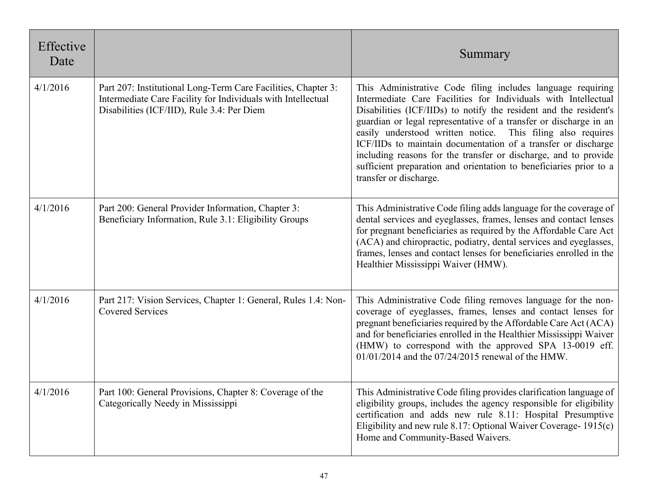| Effective<br>Date |                                                                                                                                                                             | Summary                                                                                                                                                                                                                                                                                                                                                                                                                                                                                                                                                                    |
|-------------------|-----------------------------------------------------------------------------------------------------------------------------------------------------------------------------|----------------------------------------------------------------------------------------------------------------------------------------------------------------------------------------------------------------------------------------------------------------------------------------------------------------------------------------------------------------------------------------------------------------------------------------------------------------------------------------------------------------------------------------------------------------------------|
| 4/1/2016          | Part 207: Institutional Long-Term Care Facilities, Chapter 3:<br>Intermediate Care Facility for Individuals with Intellectual<br>Disabilities (ICF/IID), Rule 3.4: Per Diem | This Administrative Code filing includes language requiring<br>Intermediate Care Facilities for Individuals with Intellectual<br>Disabilities (ICF/IIDs) to notify the resident and the resident's<br>guardian or legal representative of a transfer or discharge in an<br>easily understood written notice. This filing also requires<br>ICF/IIDs to maintain documentation of a transfer or discharge<br>including reasons for the transfer or discharge, and to provide<br>sufficient preparation and orientation to beneficiaries prior to a<br>transfer or discharge. |
| 4/1/2016          | Part 200: General Provider Information, Chapter 3:<br>Beneficiary Information, Rule 3.1: Eligibility Groups                                                                 | This Administrative Code filing adds language for the coverage of<br>dental services and eyeglasses, frames, lenses and contact lenses<br>for pregnant beneficiaries as required by the Affordable Care Act<br>(ACA) and chiropractic, podiatry, dental services and eyeglasses,<br>frames, lenses and contact lenses for beneficiaries enrolled in the<br>Healthier Mississippi Waiver (HMW).                                                                                                                                                                             |
| 4/1/2016          | Part 217: Vision Services, Chapter 1: General, Rules 1.4: Non-<br><b>Covered Services</b>                                                                                   | This Administrative Code filing removes language for the non-<br>coverage of eyeglasses, frames, lenses and contact lenses for<br>pregnant beneficiaries required by the Affordable Care Act (ACA)<br>and for beneficiaries enrolled in the Healthier Mississippi Waiver<br>(HMW) to correspond with the approved SPA 13-0019 eff.<br>01/01/2014 and the 07/24/2015 renewal of the HMW.                                                                                                                                                                                    |
| 4/1/2016          | Part 100: General Provisions, Chapter 8: Coverage of the<br>Categorically Needy in Mississippi                                                                              | This Administrative Code filing provides clarification language of<br>eligibility groups, includes the agency responsible for eligibility<br>certification and adds new rule 8.11: Hospital Presumptive<br>Eligibility and new rule 8.17: Optional Waiver Coverage-1915(c)<br>Home and Community-Based Waivers.                                                                                                                                                                                                                                                            |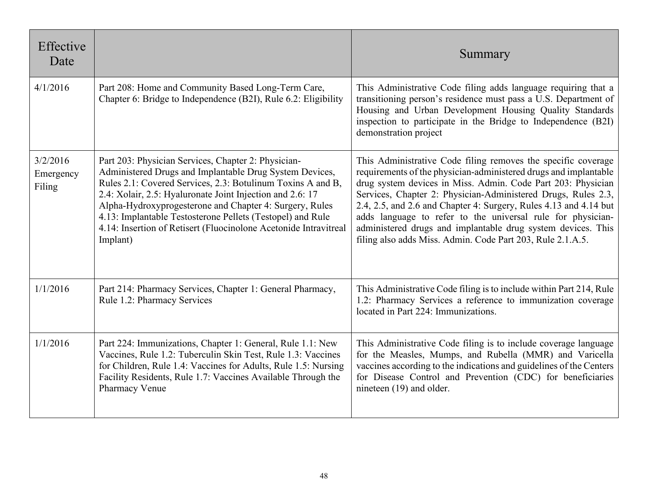| Effective<br>Date               |                                                                                                                                                                                                                                                                                                                                                                                                                                                     | Summary                                                                                                                                                                                                                                                                                                                                                                                                                                                                                                                              |
|---------------------------------|-----------------------------------------------------------------------------------------------------------------------------------------------------------------------------------------------------------------------------------------------------------------------------------------------------------------------------------------------------------------------------------------------------------------------------------------------------|--------------------------------------------------------------------------------------------------------------------------------------------------------------------------------------------------------------------------------------------------------------------------------------------------------------------------------------------------------------------------------------------------------------------------------------------------------------------------------------------------------------------------------------|
| 4/1/2016                        | Part 208: Home and Community Based Long-Term Care,<br>Chapter 6: Bridge to Independence (B2I), Rule 6.2: Eligibility                                                                                                                                                                                                                                                                                                                                | This Administrative Code filing adds language requiring that a<br>transitioning person's residence must pass a U.S. Department of<br>Housing and Urban Development Housing Quality Standards<br>inspection to participate in the Bridge to Independence (B2I)<br>demonstration project                                                                                                                                                                                                                                               |
| 3/2/2016<br>Emergency<br>Filing | Part 203: Physician Services, Chapter 2: Physician-<br>Administered Drugs and Implantable Drug System Devices,<br>Rules 2.1: Covered Services, 2.3: Botulinum Toxins A and B,<br>2.4: Xolair, 2.5: Hyaluronate Joint Injection and 2.6: 17<br>Alpha-Hydroxyprogesterone and Chapter 4: Surgery, Rules<br>4.13: Implantable Testosterone Pellets (Testopel) and Rule<br>4.14: Insertion of Retisert (Fluocinolone Acetonide Intravitreal<br>Implant) | This Administrative Code filing removes the specific coverage<br>requirements of the physician-administered drugs and implantable<br>drug system devices in Miss. Admin. Code Part 203: Physician<br>Services, Chapter 2: Physician-Administered Drugs, Rules 2.3,<br>2.4, 2.5, and 2.6 and Chapter 4: Surgery, Rules 4.13 and 4.14 but<br>adds language to refer to the universal rule for physician-<br>administered drugs and implantable drug system devices. This<br>filing also adds Miss. Admin. Code Part 203, Rule 2.1.A.5. |
| 1/1/2016                        | Part 214: Pharmacy Services, Chapter 1: General Pharmacy,<br>Rule 1.2: Pharmacy Services                                                                                                                                                                                                                                                                                                                                                            | This Administrative Code filing is to include within Part 214, Rule<br>1.2: Pharmacy Services a reference to immunization coverage<br>located in Part 224: Immunizations.                                                                                                                                                                                                                                                                                                                                                            |
| 1/1/2016                        | Part 224: Immunizations, Chapter 1: General, Rule 1.1: New<br>Vaccines, Rule 1.2: Tuberculin Skin Test, Rule 1.3: Vaccines<br>for Children, Rule 1.4: Vaccines for Adults, Rule 1.5: Nursing<br>Facility Residents, Rule 1.7: Vaccines Available Through the<br>Pharmacy Venue                                                                                                                                                                      | This Administrative Code filing is to include coverage language<br>for the Measles, Mumps, and Rubella (MMR) and Varicella<br>vaccines according to the indications and guidelines of the Centers<br>for Disease Control and Prevention (CDC) for beneficiaries<br>nineteen (19) and older.                                                                                                                                                                                                                                          |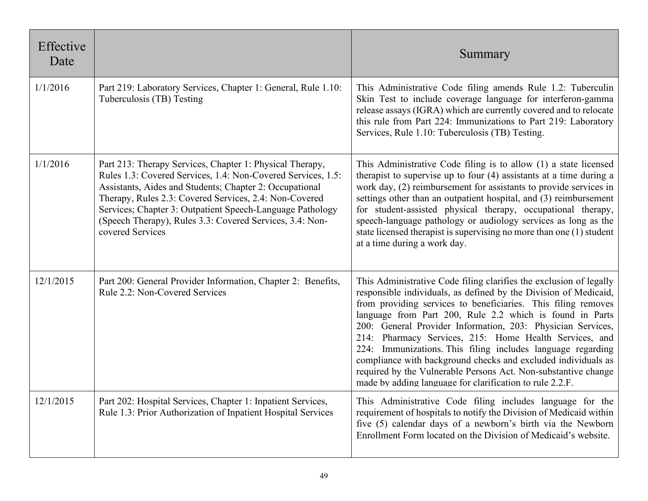| Effective<br>Date |                                                                                                                                                                                                                                                                                                                                                                                            | Summary                                                                                                                                                                                                                                                                                                                                                                                                                                                                                                                                                                                                                                                    |
|-------------------|--------------------------------------------------------------------------------------------------------------------------------------------------------------------------------------------------------------------------------------------------------------------------------------------------------------------------------------------------------------------------------------------|------------------------------------------------------------------------------------------------------------------------------------------------------------------------------------------------------------------------------------------------------------------------------------------------------------------------------------------------------------------------------------------------------------------------------------------------------------------------------------------------------------------------------------------------------------------------------------------------------------------------------------------------------------|
| 1/1/2016          | Part 219: Laboratory Services, Chapter 1: General, Rule 1.10:<br>Tuberculosis (TB) Testing                                                                                                                                                                                                                                                                                                 | This Administrative Code filing amends Rule 1.2: Tuberculin<br>Skin Test to include coverage language for interferon-gamma<br>release assays (IGRA) which are currently covered and to relocate<br>this rule from Part 224: Immunizations to Part 219: Laboratory<br>Services, Rule 1.10: Tuberculosis (TB) Testing.                                                                                                                                                                                                                                                                                                                                       |
| 1/1/2016          | Part 213: Therapy Services, Chapter 1: Physical Therapy,<br>Rules 1.3: Covered Services, 1.4: Non-Covered Services, 1.5:<br>Assistants, Aides and Students; Chapter 2: Occupational<br>Therapy, Rules 2.3: Covered Services, 2.4: Non-Covered<br>Services; Chapter 3: Outpatient Speech-Language Pathology<br>(Speech Therapy), Rules 3.3: Covered Services, 3.4: Non-<br>covered Services | This Administrative Code filing is to allow (1) a state licensed<br>therapist to supervise up to four (4) assistants at a time during a<br>work day, (2) reimbursement for assistants to provide services in<br>settings other than an outpatient hospital, and (3) reimbursement<br>for student-assisted physical therapy, occupational therapy,<br>speech-language pathology or audiology services as long as the<br>state licensed therapist is supervising no more than one (1) student<br>at a time during a work day.                                                                                                                                |
| 12/1/2015         | Part 200: General Provider Information, Chapter 2: Benefits,<br>Rule 2.2: Non-Covered Services                                                                                                                                                                                                                                                                                             | This Administrative Code filing clarifies the exclusion of legally<br>responsible individuals, as defined by the Division of Medicaid,<br>from providing services to beneficiaries. This filing removes<br>language from Part 200, Rule 2.2 which is found in Parts<br>200: General Provider Information, 203: Physician Services,<br>214: Pharmacy Services, 215: Home Health Services, and<br>224: Immunizations. This filing includes language regarding<br>compliance with background checks and excluded individuals as<br>required by the Vulnerable Persons Act. Non-substantive change<br>made by adding language for clarification to rule 2.2.F. |
| 12/1/2015         | Part 202: Hospital Services, Chapter 1: Inpatient Services,<br>Rule 1.3: Prior Authorization of Inpatient Hospital Services                                                                                                                                                                                                                                                                | This Administrative Code filing includes language for the<br>requirement of hospitals to notify the Division of Medicaid within<br>five (5) calendar days of a newborn's birth via the Newborn<br>Enrollment Form located on the Division of Medicaid's website.                                                                                                                                                                                                                                                                                                                                                                                           |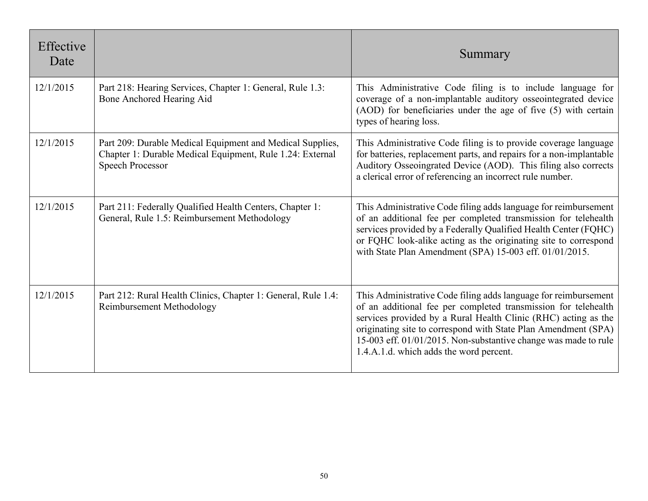| Effective<br>Date |                                                                                                                                                   | Summary                                                                                                                                                                                                                                                                                                                                                                             |
|-------------------|---------------------------------------------------------------------------------------------------------------------------------------------------|-------------------------------------------------------------------------------------------------------------------------------------------------------------------------------------------------------------------------------------------------------------------------------------------------------------------------------------------------------------------------------------|
| 12/1/2015         | Part 218: Hearing Services, Chapter 1: General, Rule 1.3:<br>Bone Anchored Hearing Aid                                                            | This Administrative Code filing is to include language for<br>coverage of a non-implantable auditory osseointegrated device<br>(AOD) for beneficiaries under the age of five (5) with certain<br>types of hearing loss.                                                                                                                                                             |
| 12/1/2015         | Part 209: Durable Medical Equipment and Medical Supplies,<br>Chapter 1: Durable Medical Equipment, Rule 1.24: External<br><b>Speech Processor</b> | This Administrative Code filing is to provide coverage language<br>for batteries, replacement parts, and repairs for a non-implantable<br>Auditory Osseoingrated Device (AOD). This filing also corrects<br>a clerical error of referencing an incorrect rule number.                                                                                                               |
| 12/1/2015         | Part 211: Federally Qualified Health Centers, Chapter 1:<br>General, Rule 1.5: Reimbursement Methodology                                          | This Administrative Code filing adds language for reimbursement<br>of an additional fee per completed transmission for telehealth<br>services provided by a Federally Qualified Health Center (FQHC)<br>or FQHC look-alike acting as the originating site to correspond<br>with State Plan Amendment (SPA) 15-003 eff. 01/01/2015.                                                  |
| 12/1/2015         | Part 212: Rural Health Clinics, Chapter 1: General, Rule 1.4:<br>Reimbursement Methodology                                                        | This Administrative Code filing adds language for reimbursement<br>of an additional fee per completed transmission for telehealth<br>services provided by a Rural Health Clinic (RHC) acting as the<br>originating site to correspond with State Plan Amendment (SPA)<br>15-003 eff. 01/01/2015. Non-substantive change was made to rule<br>1.4.A.1.d. which adds the word percent. |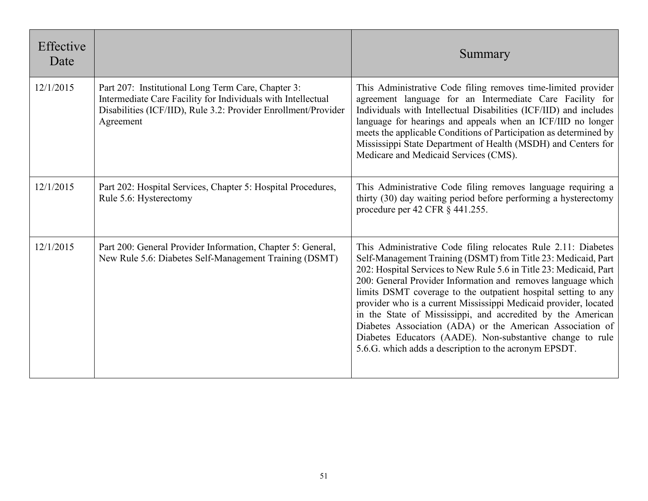| Effective<br>Date |                                                                                                                                                                                                   | Summary                                                                                                                                                                                                                                                                                                                                                                                                                                                                                                                                                                                                                                                      |
|-------------------|---------------------------------------------------------------------------------------------------------------------------------------------------------------------------------------------------|--------------------------------------------------------------------------------------------------------------------------------------------------------------------------------------------------------------------------------------------------------------------------------------------------------------------------------------------------------------------------------------------------------------------------------------------------------------------------------------------------------------------------------------------------------------------------------------------------------------------------------------------------------------|
| 12/1/2015         | Part 207: Institutional Long Term Care, Chapter 3:<br>Intermediate Care Facility for Individuals with Intellectual<br>Disabilities (ICF/IID), Rule 3.2: Provider Enrollment/Provider<br>Agreement | This Administrative Code filing removes time-limited provider<br>agreement language for an Intermediate Care Facility for<br>Individuals with Intellectual Disabilities (ICF/IID) and includes<br>language for hearings and appeals when an ICF/IID no longer<br>meets the applicable Conditions of Participation as determined by<br>Mississippi State Department of Health (MSDH) and Centers for<br>Medicare and Medicaid Services (CMS).                                                                                                                                                                                                                 |
| 12/1/2015         | Part 202: Hospital Services, Chapter 5: Hospital Procedures,<br>Rule 5.6: Hysterectomy                                                                                                            | This Administrative Code filing removes language requiring a<br>thirty (30) day waiting period before performing a hysterectomy<br>procedure per 42 CFR $\S$ 441.255.                                                                                                                                                                                                                                                                                                                                                                                                                                                                                        |
| 12/1/2015         | Part 200: General Provider Information, Chapter 5: General,<br>New Rule 5.6: Diabetes Self-Management Training (DSMT)                                                                             | This Administrative Code filing relocates Rule 2.11: Diabetes<br>Self-Management Training (DSMT) from Title 23: Medicaid, Part<br>202: Hospital Services to New Rule 5.6 in Title 23: Medicaid, Part<br>200: General Provider Information and removes language which<br>limits DSMT coverage to the outpatient hospital setting to any<br>provider who is a current Mississippi Medicaid provider, located<br>in the State of Mississippi, and accredited by the American<br>Diabetes Association (ADA) or the American Association of<br>Diabetes Educators (AADE). Non-substantive change to rule<br>5.6.G. which adds a description to the acronym EPSDT. |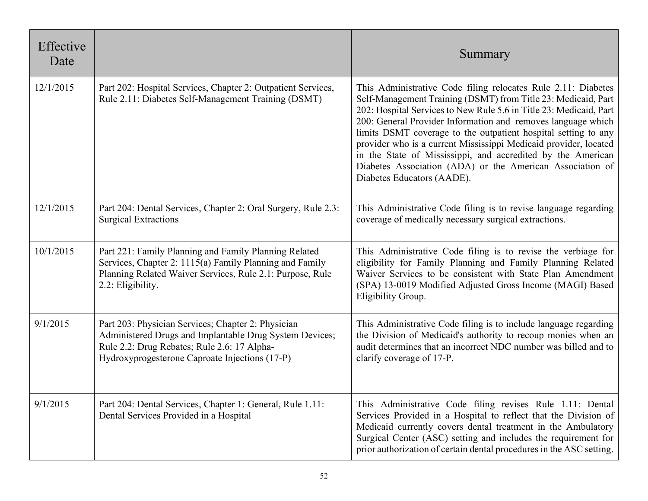| Effective<br>Date |                                                                                                                                                                                                                | Summary                                                                                                                                                                                                                                                                                                                                                                                                                                                                                                                                                              |
|-------------------|----------------------------------------------------------------------------------------------------------------------------------------------------------------------------------------------------------------|----------------------------------------------------------------------------------------------------------------------------------------------------------------------------------------------------------------------------------------------------------------------------------------------------------------------------------------------------------------------------------------------------------------------------------------------------------------------------------------------------------------------------------------------------------------------|
| 12/1/2015         | Part 202: Hospital Services, Chapter 2: Outpatient Services,<br>Rule 2.11: Diabetes Self-Management Training (DSMT)                                                                                            | This Administrative Code filing relocates Rule 2.11: Diabetes<br>Self-Management Training (DSMT) from Title 23: Medicaid, Part<br>202: Hospital Services to New Rule 5.6 in Title 23: Medicaid, Part<br>200: General Provider Information and removes language which<br>limits DSMT coverage to the outpatient hospital setting to any<br>provider who is a current Mississippi Medicaid provider, located<br>in the State of Mississippi, and accredited by the American<br>Diabetes Association (ADA) or the American Association of<br>Diabetes Educators (AADE). |
| 12/1/2015         | Part 204: Dental Services, Chapter 2: Oral Surgery, Rule 2.3:<br><b>Surgical Extractions</b>                                                                                                                   | This Administrative Code filing is to revise language regarding<br>coverage of medically necessary surgical extractions.                                                                                                                                                                                                                                                                                                                                                                                                                                             |
| 10/1/2015         | Part 221: Family Planning and Family Planning Related<br>Services, Chapter 2: 1115(a) Family Planning and Family<br>Planning Related Waiver Services, Rule 2.1: Purpose, Rule<br>2.2: Eligibility.             | This Administrative Code filing is to revise the verbiage for<br>eligibility for Family Planning and Family Planning Related<br>Waiver Services to be consistent with State Plan Amendment<br>(SPA) 13-0019 Modified Adjusted Gross Income (MAGI) Based<br>Eligibility Group.                                                                                                                                                                                                                                                                                        |
| 9/1/2015          | Part 203: Physician Services; Chapter 2: Physician<br>Administered Drugs and Implantable Drug System Devices;<br>Rule 2.2: Drug Rebates; Rule 2.6: 17 Alpha-<br>Hydroxyprogesterone Caproate Injections (17-P) | This Administrative Code filing is to include language regarding<br>the Division of Medicaid's authority to recoup monies when an<br>audit determines that an incorrect NDC number was billed and to<br>clarify coverage of 17-P.                                                                                                                                                                                                                                                                                                                                    |
| 9/1/2015          | Part 204: Dental Services, Chapter 1: General, Rule 1.11:<br>Dental Services Provided in a Hospital                                                                                                            | This Administrative Code filing revises Rule 1.11: Dental<br>Services Provided in a Hospital to reflect that the Division of<br>Medicaid currently covers dental treatment in the Ambulatory<br>Surgical Center (ASC) setting and includes the requirement for<br>prior authorization of certain dental procedures in the ASC setting.                                                                                                                                                                                                                               |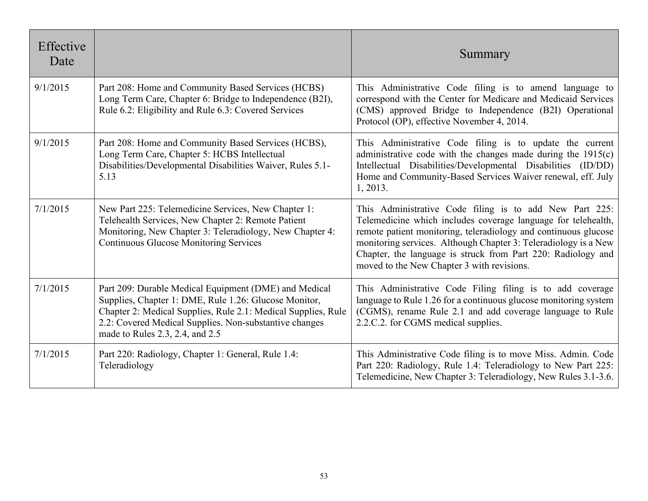| Effective<br>Date |                                                                                                                                                                                                                                                                              | Summary                                                                                                                                                                                                                                                                                                                                                                      |
|-------------------|------------------------------------------------------------------------------------------------------------------------------------------------------------------------------------------------------------------------------------------------------------------------------|------------------------------------------------------------------------------------------------------------------------------------------------------------------------------------------------------------------------------------------------------------------------------------------------------------------------------------------------------------------------------|
| 9/1/2015          | Part 208: Home and Community Based Services (HCBS)<br>Long Term Care, Chapter 6: Bridge to Independence (B2I),<br>Rule 6.2: Eligibility and Rule 6.3: Covered Services                                                                                                       | This Administrative Code filing is to amend language to<br>correspond with the Center for Medicare and Medicaid Services<br>(CMS) approved Bridge to Independence (B2I) Operational<br>Protocol (OP), effective November 4, 2014.                                                                                                                                            |
| 9/1/2015          | Part 208: Home and Community Based Services (HCBS),<br>Long Term Care, Chapter 5: HCBS Intellectual<br>Disabilities/Developmental Disabilities Waiver, Rules 5.1-<br>5.13                                                                                                    | This Administrative Code filing is to update the current<br>administrative code with the changes made during the $1915(c)$<br>Intellectual Disabilities/Developmental Disabilities (ID/DD)<br>Home and Community-Based Services Waiver renewal, eff. July<br>1, 2013.                                                                                                        |
| 7/1/2015          | New Part 225: Telemedicine Services, New Chapter 1:<br>Telehealth Services, New Chapter 2: Remote Patient<br>Monitoring, New Chapter 3: Teleradiology, New Chapter 4:<br><b>Continuous Glucose Monitoring Services</b>                                                       | This Administrative Code filing is to add New Part 225:<br>Telemedicine which includes coverage language for telehealth,<br>remote patient monitoring, teleradiology and continuous glucose<br>monitoring services. Although Chapter 3: Teleradiology is a New<br>Chapter, the language is struck from Part 220: Radiology and<br>moved to the New Chapter 3 with revisions. |
| 7/1/2015          | Part 209: Durable Medical Equipment (DME) and Medical<br>Supplies, Chapter 1: DME, Rule 1.26: Glucose Monitor,<br>Chapter 2: Medical Supplies, Rule 2.1: Medical Supplies, Rule<br>2.2: Covered Medical Supplies. Non-substantive changes<br>made to Rules 2.3, 2.4, and 2.5 | This Administrative Code Filing filing is to add coverage<br>language to Rule 1.26 for a continuous glucose monitoring system<br>(CGMS), rename Rule 2.1 and add coverage language to Rule<br>2.2.C.2. for CGMS medical supplies.                                                                                                                                            |
| 7/1/2015          | Part 220: Radiology, Chapter 1: General, Rule 1.4:<br>Teleradiology                                                                                                                                                                                                          | This Administrative Code filing is to move Miss. Admin. Code<br>Part 220: Radiology, Rule 1.4: Teleradiology to New Part 225:<br>Telemedicine, New Chapter 3: Teleradiology, New Rules 3.1-3.6.                                                                                                                                                                              |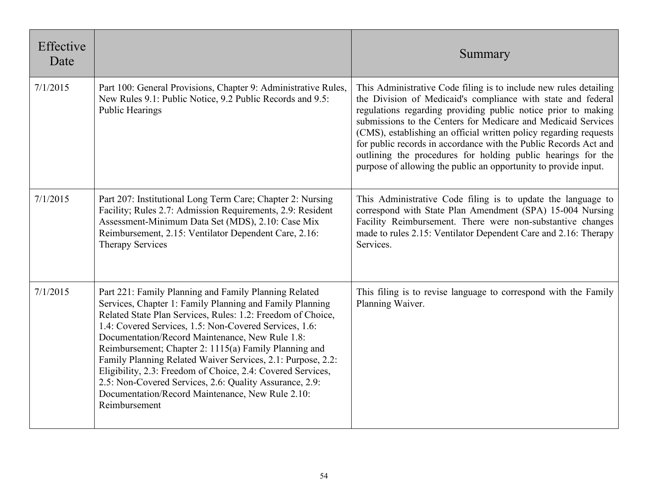| Effective<br>Date |                                                                                                                                                                                                                                                                                                                                                                                                                                                                                                                                                                                                                      | Summary                                                                                                                                                                                                                                                                                                                                                                                                                                                                                                                                         |
|-------------------|----------------------------------------------------------------------------------------------------------------------------------------------------------------------------------------------------------------------------------------------------------------------------------------------------------------------------------------------------------------------------------------------------------------------------------------------------------------------------------------------------------------------------------------------------------------------------------------------------------------------|-------------------------------------------------------------------------------------------------------------------------------------------------------------------------------------------------------------------------------------------------------------------------------------------------------------------------------------------------------------------------------------------------------------------------------------------------------------------------------------------------------------------------------------------------|
| 7/1/2015          | Part 100: General Provisions, Chapter 9: Administrative Rules,<br>New Rules 9.1: Public Notice, 9.2 Public Records and 9.5:<br><b>Public Hearings</b>                                                                                                                                                                                                                                                                                                                                                                                                                                                                | This Administrative Code filing is to include new rules detailing<br>the Division of Medicaid's compliance with state and federal<br>regulations regarding providing public notice prior to making<br>submissions to the Centers for Medicare and Medicaid Services<br>(CMS), establishing an official written policy regarding requests<br>for public records in accordance with the Public Records Act and<br>outlining the procedures for holding public hearings for the<br>purpose of allowing the public an opportunity to provide input. |
| 7/1/2015          | Part 207: Institutional Long Term Care; Chapter 2: Nursing<br>Facility; Rules 2.7: Admission Requirements, 2.9: Resident<br>Assessment-Minimum Data Set (MDS), 2.10: Case Mix<br>Reimbursement, 2.15: Ventilator Dependent Care, 2.16:<br><b>Therapy Services</b>                                                                                                                                                                                                                                                                                                                                                    | This Administrative Code filing is to update the language to<br>correspond with State Plan Amendment (SPA) 15-004 Nursing<br>Facility Reimbursement. There were non-substantive changes<br>made to rules 2.15: Ventilator Dependent Care and 2.16: Therapy<br>Services.                                                                                                                                                                                                                                                                         |
| 7/1/2015          | Part 221: Family Planning and Family Planning Related<br>Services, Chapter 1: Family Planning and Family Planning<br>Related State Plan Services, Rules: 1.2: Freedom of Choice,<br>1.4: Covered Services, 1.5: Non-Covered Services, 1.6:<br>Documentation/Record Maintenance, New Rule 1.8:<br>Reimbursement; Chapter 2: 1115(a) Family Planning and<br>Family Planning Related Waiver Services, 2.1: Purpose, 2.2:<br>Eligibility, 2.3: Freedom of Choice, 2.4: Covered Services,<br>2.5: Non-Covered Services, 2.6: Quality Assurance, 2.9:<br>Documentation/Record Maintenance, New Rule 2.10:<br>Reimbursement | This filing is to revise language to correspond with the Family<br>Planning Waiver.                                                                                                                                                                                                                                                                                                                                                                                                                                                             |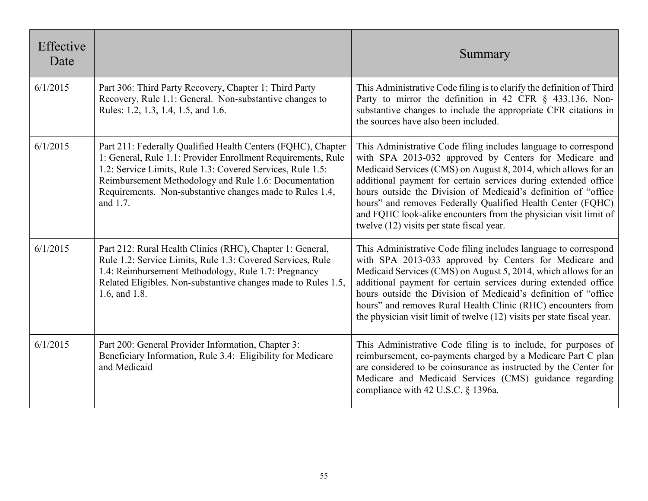| Effective<br>Date |                                                                                                                                                                                                                                                                                                                             | Summary                                                                                                                                                                                                                                                                                                                                                                                                                                                                                                         |
|-------------------|-----------------------------------------------------------------------------------------------------------------------------------------------------------------------------------------------------------------------------------------------------------------------------------------------------------------------------|-----------------------------------------------------------------------------------------------------------------------------------------------------------------------------------------------------------------------------------------------------------------------------------------------------------------------------------------------------------------------------------------------------------------------------------------------------------------------------------------------------------------|
| 6/1/2015          | Part 306: Third Party Recovery, Chapter 1: Third Party<br>Recovery, Rule 1.1: General. Non-substantive changes to<br>Rules: 1.2, 1.3, 1.4, 1.5, and 1.6.                                                                                                                                                                    | This Administrative Code filing is to clarify the definition of Third<br>Party to mirror the definition in 42 CFR § 433.136. Non-<br>substantive changes to include the appropriate CFR citations in<br>the sources have also been included.                                                                                                                                                                                                                                                                    |
| 6/1/2015          | Part 211: Federally Qualified Health Centers (FQHC), Chapter<br>1: General, Rule 1.1: Provider Enrollment Requirements, Rule<br>1.2: Service Limits, Rule 1.3: Covered Services, Rule 1.5:<br>Reimbursement Methodology and Rule 1.6: Documentation<br>Requirements. Non-substantive changes made to Rules 1.4,<br>and 1.7. | This Administrative Code filing includes language to correspond<br>with SPA 2013-032 approved by Centers for Medicare and<br>Medicaid Services (CMS) on August 8, 2014, which allows for an<br>additional payment for certain services during extended office<br>hours outside the Division of Medicaid's definition of "office<br>hours" and removes Federally Qualified Health Center (FQHC)<br>and FQHC look-alike encounters from the physician visit limit of<br>twelve (12) visits per state fiscal year. |
| 6/1/2015          | Part 212: Rural Health Clinics (RHC), Chapter 1: General,<br>Rule 1.2: Service Limits, Rule 1.3: Covered Services, Rule<br>1.4: Reimbursement Methodology, Rule 1.7: Pregnancy<br>Related Eligibles. Non-substantive changes made to Rules 1.5,<br>1.6, and 1.8.                                                            | This Administrative Code filing includes language to correspond<br>with SPA 2013-033 approved by Centers for Medicare and<br>Medicaid Services (CMS) on August 5, 2014, which allows for an<br>additional payment for certain services during extended office<br>hours outside the Division of Medicaid's definition of "office<br>hours" and removes Rural Health Clinic (RHC) encounters from<br>the physician visit limit of twelve (12) visits per state fiscal year.                                       |
| 6/1/2015          | Part 200: General Provider Information, Chapter 3:<br>Beneficiary Information, Rule 3.4: Eligibility for Medicare<br>and Medicaid                                                                                                                                                                                           | This Administrative Code filing is to include, for purposes of<br>reimbursement, co-payments charged by a Medicare Part C plan<br>are considered to be coinsurance as instructed by the Center for<br>Medicare and Medicaid Services (CMS) guidance regarding<br>compliance with 42 U.S.C. § 1396a.                                                                                                                                                                                                             |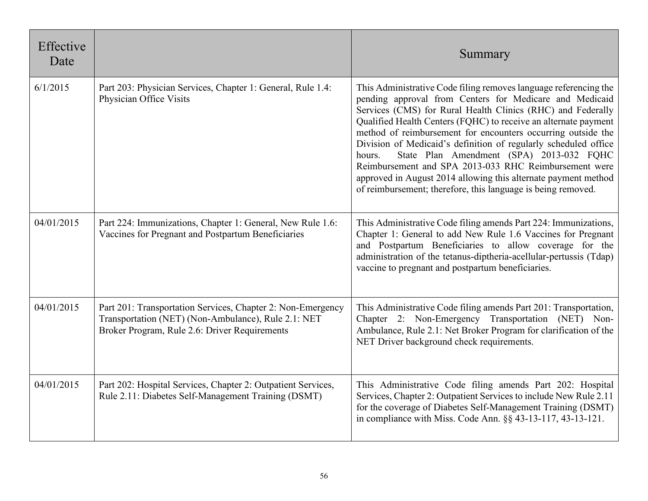| Effective<br>Date |                                                                                                                                                                     | Summary                                                                                                                                                                                                                                                                                                                                                                                                                                                                                                                                                                                                                                           |
|-------------------|---------------------------------------------------------------------------------------------------------------------------------------------------------------------|---------------------------------------------------------------------------------------------------------------------------------------------------------------------------------------------------------------------------------------------------------------------------------------------------------------------------------------------------------------------------------------------------------------------------------------------------------------------------------------------------------------------------------------------------------------------------------------------------------------------------------------------------|
| 6/1/2015          | Part 203: Physician Services, Chapter 1: General, Rule 1.4:<br>Physician Office Visits                                                                              | This Administrative Code filing removes language referencing the<br>pending approval from Centers for Medicare and Medicaid<br>Services (CMS) for Rural Health Clinics (RHC) and Federally<br>Qualified Health Centers (FQHC) to receive an alternate payment<br>method of reimbursement for encounters occurring outside the<br>Division of Medicaid's definition of regularly scheduled office<br>State Plan Amendment (SPA) 2013-032 FQHC<br>hours.<br>Reimbursement and SPA 2013-033 RHC Reimbursement were<br>approved in August 2014 allowing this alternate payment method<br>of reimbursement; therefore, this language is being removed. |
| 04/01/2015        | Part 224: Immunizations, Chapter 1: General, New Rule 1.6:<br>Vaccines for Pregnant and Postpartum Beneficiaries                                                    | This Administrative Code filing amends Part 224: Immunizations,<br>Chapter 1: General to add New Rule 1.6 Vaccines for Pregnant<br>and Postpartum Beneficiaries to allow coverage for the<br>administration of the tetanus-diptheria-acellular-pertussis (Tdap)<br>vaccine to pregnant and postpartum beneficiaries.                                                                                                                                                                                                                                                                                                                              |
| 04/01/2015        | Part 201: Transportation Services, Chapter 2: Non-Emergency<br>Transportation (NET) (Non-Ambulance), Rule 2.1: NET<br>Broker Program, Rule 2.6: Driver Requirements | This Administrative Code filing amends Part 201: Transportation,<br>Chapter 2: Non-Emergency Transportation (NET) Non-<br>Ambulance, Rule 2.1: Net Broker Program for clarification of the<br>NET Driver background check requirements.                                                                                                                                                                                                                                                                                                                                                                                                           |
| 04/01/2015        | Part 202: Hospital Services, Chapter 2: Outpatient Services,<br>Rule 2.11: Diabetes Self-Management Training (DSMT)                                                 | This Administrative Code filing amends Part 202: Hospital<br>Services, Chapter 2: Outpatient Services to include New Rule 2.11<br>for the coverage of Diabetes Self-Management Training (DSMT)<br>in compliance with Miss. Code Ann. §§ 43-13-117, 43-13-121.                                                                                                                                                                                                                                                                                                                                                                                     |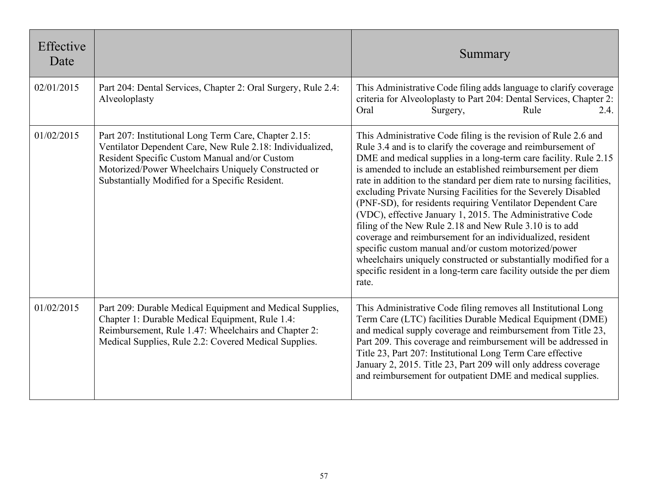| Effective<br>Date |                                                                                                                                                                                                                                                                               | Summary                                                                                                                                                                                                                                                                                                                                                                                                                                                                                                                                                                                                                                                                                                                                                                                                                                                                        |
|-------------------|-------------------------------------------------------------------------------------------------------------------------------------------------------------------------------------------------------------------------------------------------------------------------------|--------------------------------------------------------------------------------------------------------------------------------------------------------------------------------------------------------------------------------------------------------------------------------------------------------------------------------------------------------------------------------------------------------------------------------------------------------------------------------------------------------------------------------------------------------------------------------------------------------------------------------------------------------------------------------------------------------------------------------------------------------------------------------------------------------------------------------------------------------------------------------|
| 02/01/2015        | Part 204: Dental Services, Chapter 2: Oral Surgery, Rule 2.4:<br>Alveoloplasty                                                                                                                                                                                                | This Administrative Code filing adds language to clarify coverage<br>criteria for Alveoloplasty to Part 204: Dental Services, Chapter 2:<br>Oral<br>Rule<br>2.4.<br>Surgery,                                                                                                                                                                                                                                                                                                                                                                                                                                                                                                                                                                                                                                                                                                   |
| 01/02/2015        | Part 207: Institutional Long Term Care, Chapter 2.15:<br>Ventilator Dependent Care, New Rule 2.18: Individualized,<br>Resident Specific Custom Manual and/or Custom<br>Motorized/Power Wheelchairs Uniquely Constructed or<br>Substantially Modified for a Specific Resident. | This Administrative Code filing is the revision of Rule 2.6 and<br>Rule 3.4 and is to clarify the coverage and reimbursement of<br>DME and medical supplies in a long-term care facility. Rule 2.15<br>is amended to include an established reimbursement per diem<br>rate in addition to the standard per diem rate to nursing facilities,<br>excluding Private Nursing Facilities for the Severely Disabled<br>(PNF-SD), for residents requiring Ventilator Dependent Care<br>(VDC), effective January 1, 2015. The Administrative Code<br>filing of the New Rule 2.18 and New Rule 3.10 is to add<br>coverage and reimbursement for an individualized, resident<br>specific custom manual and/or custom motorized/power<br>wheelchairs uniquely constructed or substantially modified for a<br>specific resident in a long-term care facility outside the per diem<br>rate. |
| 01/02/2015        | Part 209: Durable Medical Equipment and Medical Supplies,<br>Chapter 1: Durable Medical Equipment, Rule 1.4:<br>Reimbursement, Rule 1.47: Wheelchairs and Chapter 2:<br>Medical Supplies, Rule 2.2: Covered Medical Supplies.                                                 | This Administrative Code filing removes all Institutional Long<br>Term Care (LTC) facilities Durable Medical Equipment (DME)<br>and medical supply coverage and reimbursement from Title 23,<br>Part 209. This coverage and reimbursement will be addressed in<br>Title 23, Part 207: Institutional Long Term Care effective<br>January 2, 2015. Title 23, Part 209 will only address coverage<br>and reimbursement for outpatient DME and medical supplies.                                                                                                                                                                                                                                                                                                                                                                                                                   |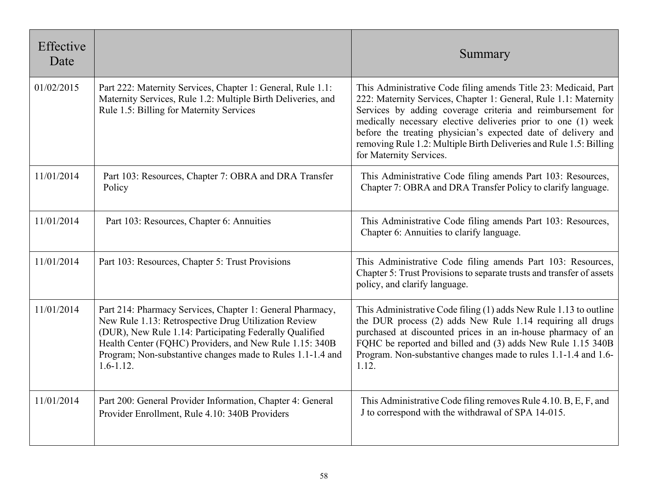| Effective<br>Date |                                                                                                                                                                                                                                                                                                                        | Summary                                                                                                                                                                                                                                                                                                                                                                                                                              |
|-------------------|------------------------------------------------------------------------------------------------------------------------------------------------------------------------------------------------------------------------------------------------------------------------------------------------------------------------|--------------------------------------------------------------------------------------------------------------------------------------------------------------------------------------------------------------------------------------------------------------------------------------------------------------------------------------------------------------------------------------------------------------------------------------|
| 01/02/2015        | Part 222: Maternity Services, Chapter 1: General, Rule 1.1:<br>Maternity Services, Rule 1.2: Multiple Birth Deliveries, and<br>Rule 1.5: Billing for Maternity Services                                                                                                                                                | This Administrative Code filing amends Title 23: Medicaid, Part<br>222: Maternity Services, Chapter 1: General, Rule 1.1: Maternity<br>Services by adding coverage criteria and reimbursement for<br>medically necessary elective deliveries prior to one (1) week<br>before the treating physician's expected date of delivery and<br>removing Rule 1.2: Multiple Birth Deliveries and Rule 1.5: Billing<br>for Maternity Services. |
| 11/01/2014        | Part 103: Resources, Chapter 7: OBRA and DRA Transfer<br>Policy                                                                                                                                                                                                                                                        | This Administrative Code filing amends Part 103: Resources,<br>Chapter 7: OBRA and DRA Transfer Policy to clarify language.                                                                                                                                                                                                                                                                                                          |
| 11/01/2014        | Part 103: Resources, Chapter 6: Annuities                                                                                                                                                                                                                                                                              | This Administrative Code filing amends Part 103: Resources,<br>Chapter 6: Annuities to clarify language.                                                                                                                                                                                                                                                                                                                             |
| 11/01/2014        | Part 103: Resources, Chapter 5: Trust Provisions                                                                                                                                                                                                                                                                       | This Administrative Code filing amends Part 103: Resources,<br>Chapter 5: Trust Provisions to separate trusts and transfer of assets<br>policy, and clarify language.                                                                                                                                                                                                                                                                |
| 11/01/2014        | Part 214: Pharmacy Services, Chapter 1: General Pharmacy,<br>New Rule 1.13: Retrospective Drug Utilization Review<br>(DUR), New Rule 1.14: Participating Federally Qualified<br>Health Center (FQHC) Providers, and New Rule 1.15: 340B<br>Program; Non-substantive changes made to Rules 1.1-1.4 and<br>$1.6 - 1.12.$ | This Administrative Code filing (1) adds New Rule 1.13 to outline<br>the DUR process (2) adds New Rule 1.14 requiring all drugs<br>purchased at discounted prices in an in-house pharmacy of an<br>FQHC be reported and billed and (3) adds New Rule 1.15 340B<br>Program. Non-substantive changes made to rules 1.1-1.4 and 1.6-<br>1.12.                                                                                           |
| 11/01/2014        | Part 200: General Provider Information, Chapter 4: General<br>Provider Enrollment, Rule 4.10: 340B Providers                                                                                                                                                                                                           | This Administrative Code filing removes Rule 4.10. B, E, F, and<br>J to correspond with the withdrawal of SPA 14-015.                                                                                                                                                                                                                                                                                                                |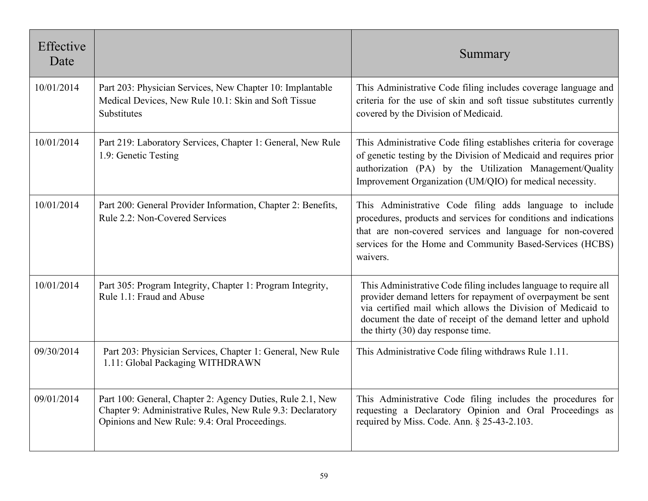| Effective<br>Date |                                                                                                                                                                           | Summary                                                                                                                                                                                                                                                                                                 |
|-------------------|---------------------------------------------------------------------------------------------------------------------------------------------------------------------------|---------------------------------------------------------------------------------------------------------------------------------------------------------------------------------------------------------------------------------------------------------------------------------------------------------|
| 10/01/2014        | Part 203: Physician Services, New Chapter 10: Implantable<br>Medical Devices, New Rule 10.1: Skin and Soft Tissue<br>Substitutes                                          | This Administrative Code filing includes coverage language and<br>criteria for the use of skin and soft tissue substitutes currently<br>covered by the Division of Medicaid.                                                                                                                            |
| 10/01/2014        | Part 219: Laboratory Services, Chapter 1: General, New Rule<br>1.9: Genetic Testing                                                                                       | This Administrative Code filing establishes criteria for coverage<br>of genetic testing by the Division of Medicaid and requires prior<br>authorization (PA) by the Utilization Management/Quality<br>Improvement Organization (UM/QIO) for medical necessity.                                          |
| 10/01/2014        | Part 200: General Provider Information, Chapter 2: Benefits,<br>Rule 2.2: Non-Covered Services                                                                            | This Administrative Code filing adds language to include<br>procedures, products and services for conditions and indications<br>that are non-covered services and language for non-covered<br>services for the Home and Community Based-Services (HCBS)<br>waivers.                                     |
| 10/01/2014        | Part 305: Program Integrity, Chapter 1: Program Integrity,<br>Rule 1.1: Fraud and Abuse                                                                                   | This Administrative Code filing includes language to require all<br>provider demand letters for repayment of overpayment be sent<br>via certified mail which allows the Division of Medicaid to<br>document the date of receipt of the demand letter and uphold<br>the thirty $(30)$ day response time. |
| 09/30/2014        | Part 203: Physician Services, Chapter 1: General, New Rule<br>1.11: Global Packaging WITHDRAWN                                                                            | This Administrative Code filing withdraws Rule 1.11.                                                                                                                                                                                                                                                    |
| 09/01/2014        | Part 100: General, Chapter 2: Agency Duties, Rule 2.1, New<br>Chapter 9: Administrative Rules, New Rule 9.3: Declaratory<br>Opinions and New Rule: 9.4: Oral Proceedings. | This Administrative Code filing includes the procedures for<br>requesting a Declaratory Opinion and Oral Proceedings as<br>required by Miss. Code. Ann. § 25-43-2.103.                                                                                                                                  |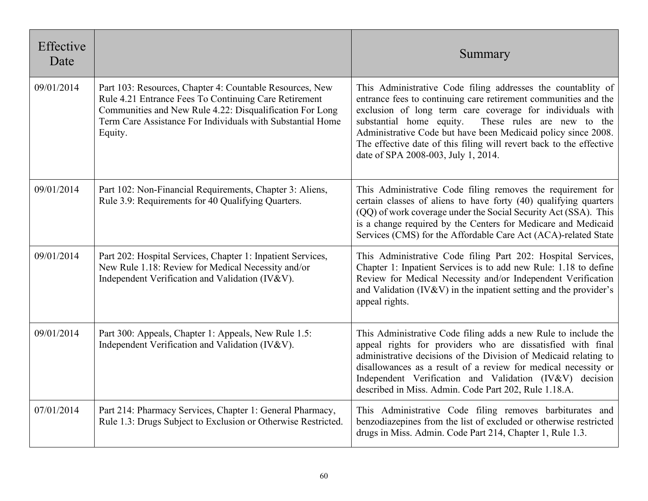| Effective<br>Date |                                                                                                                                                                                                                                                        | Summary                                                                                                                                                                                                                                                                                                                                                                                                                               |
|-------------------|--------------------------------------------------------------------------------------------------------------------------------------------------------------------------------------------------------------------------------------------------------|---------------------------------------------------------------------------------------------------------------------------------------------------------------------------------------------------------------------------------------------------------------------------------------------------------------------------------------------------------------------------------------------------------------------------------------|
| 09/01/2014        | Part 103: Resources, Chapter 4: Countable Resources, New<br>Rule 4.21 Entrance Fees To Continuing Care Retirement<br>Communities and New Rule 4.22: Disqualification For Long<br>Term Care Assistance For Individuals with Substantial Home<br>Equity. | This Administrative Code filing addresses the countablity of<br>entrance fees to continuing care retirement communities and the<br>exclusion of long term care coverage for individuals with<br>substantial home equity.<br>These rules are new to the<br>Administrative Code but have been Medicaid policy since 2008.<br>The effective date of this filing will revert back to the effective<br>date of SPA 2008-003, July 1, 2014. |
| 09/01/2014        | Part 102: Non-Financial Requirements, Chapter 3: Aliens,<br>Rule 3.9: Requirements for 40 Qualifying Quarters.                                                                                                                                         | This Administrative Code filing removes the requirement for<br>certain classes of aliens to have forty (40) qualifying quarters<br>(QQ) of work coverage under the Social Security Act (SSA). This<br>is a change required by the Centers for Medicare and Medicaid<br>Services (CMS) for the Affordable Care Act (ACA)-related State                                                                                                 |
| 09/01/2014        | Part 202: Hospital Services, Chapter 1: Inpatient Services,<br>New Rule 1.18: Review for Medical Necessity and/or<br>Independent Verification and Validation (IV&V).                                                                                   | This Administrative Code filing Part 202: Hospital Services,<br>Chapter 1: Inpatient Services is to add new Rule: 1.18 to define<br>Review for Medical Necessity and/or Independent Verification<br>and Validation (IV&V) in the inpatient setting and the provider's<br>appeal rights.                                                                                                                                               |
| 09/01/2014        | Part 300: Appeals, Chapter 1: Appeals, New Rule 1.5:<br>Independent Verification and Validation (IV&V).                                                                                                                                                | This Administrative Code filing adds a new Rule to include the<br>appeal rights for providers who are dissatisfied with final<br>administrative decisions of the Division of Medicaid relating to<br>disallowances as a result of a review for medical necessity or<br>Independent Verification and Validation (IV&V) decision<br>described in Miss. Admin. Code Part 202, Rule 1.18.A.                                               |
| 07/01/2014        | Part 214: Pharmacy Services, Chapter 1: General Pharmacy,<br>Rule 1.3: Drugs Subject to Exclusion or Otherwise Restricted.                                                                                                                             | This Administrative Code filing removes barbiturates and<br>benzodiazepines from the list of excluded or otherwise restricted<br>drugs in Miss. Admin. Code Part 214, Chapter 1, Rule 1.3.                                                                                                                                                                                                                                            |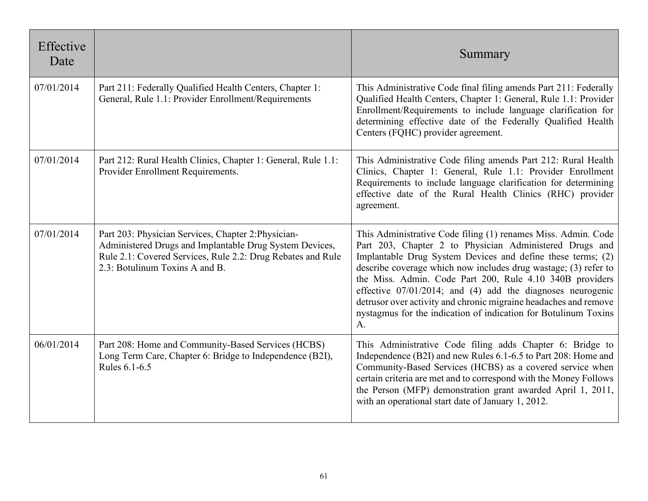| Effective<br>Date |                                                                                                                                                                                                                 | Summary                                                                                                                                                                                                                                                                                                                                                                                                                                                                                                                              |
|-------------------|-----------------------------------------------------------------------------------------------------------------------------------------------------------------------------------------------------------------|--------------------------------------------------------------------------------------------------------------------------------------------------------------------------------------------------------------------------------------------------------------------------------------------------------------------------------------------------------------------------------------------------------------------------------------------------------------------------------------------------------------------------------------|
| 07/01/2014        | Part 211: Federally Qualified Health Centers, Chapter 1:<br>General, Rule 1.1: Provider Enrollment/Requirements                                                                                                 | This Administrative Code final filing amends Part 211: Federally<br>Qualified Health Centers, Chapter 1: General, Rule 1.1: Provider<br>Enrollment/Requirements to include language clarification for<br>determining effective date of the Federally Qualified Health<br>Centers (FQHC) provider agreement.                                                                                                                                                                                                                          |
| 07/01/2014        | Part 212: Rural Health Clinics, Chapter 1: General, Rule 1.1:<br>Provider Enrollment Requirements.                                                                                                              | This Administrative Code filing amends Part 212: Rural Health<br>Clinics, Chapter 1: General, Rule 1.1: Provider Enrollment<br>Requirements to include language clarification for determining<br>effective date of the Rural Health Clinics (RHC) provider<br>agreement.                                                                                                                                                                                                                                                             |
| 07/01/2014        | Part 203: Physician Services, Chapter 2: Physician-<br>Administered Drugs and Implantable Drug System Devices,<br>Rule 2.1: Covered Services, Rule 2.2: Drug Rebates and Rule<br>2.3: Botulinum Toxins A and B. | This Administrative Code filing (1) renames Miss. Admin. Code<br>Part 203, Chapter 2 to Physician Administered Drugs and<br>Implantable Drug System Devices and define these terms; (2)<br>describe coverage which now includes drug wastage; (3) refer to<br>the Miss. Admin. Code Part 200, Rule 4.10 340B providers<br>effective $07/01/2014$ ; and (4) add the diagnoses neurogenic<br>detrusor over activity and chronic migraine headaches and remove<br>nystagmus for the indication of indication for Botulinum Toxins<br>A. |
| 06/01/2014        | Part 208: Home and Community-Based Services (HCBS)<br>Long Term Care, Chapter 6: Bridge to Independence (B2I),<br>Rules 6.1-6.5                                                                                 | This Administrative Code filing adds Chapter 6: Bridge to<br>Independence (B2I) and new Rules 6.1-6.5 to Part 208: Home and<br>Community-Based Services (HCBS) as a covered service when<br>certain criteria are met and to correspond with the Money Follows<br>the Person (MFP) demonstration grant awarded April 1, 2011,<br>with an operational start date of January 1, 2012.                                                                                                                                                   |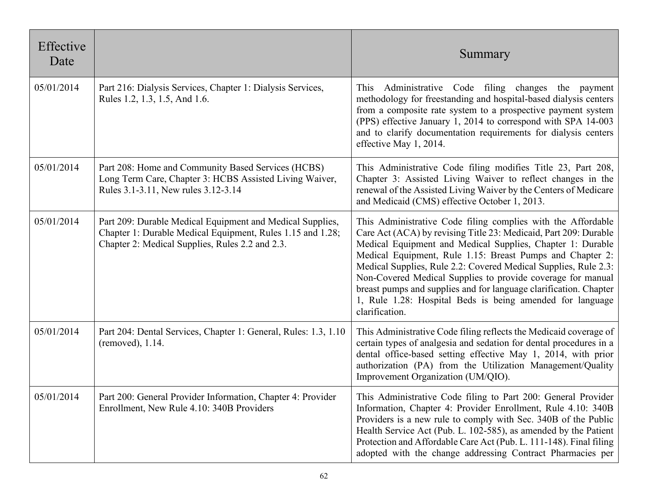| Effective<br>Date |                                                                                                                                                                            | Summary                                                                                                                                                                                                                                                                                                                                                                                                                                                                                                                                           |
|-------------------|----------------------------------------------------------------------------------------------------------------------------------------------------------------------------|---------------------------------------------------------------------------------------------------------------------------------------------------------------------------------------------------------------------------------------------------------------------------------------------------------------------------------------------------------------------------------------------------------------------------------------------------------------------------------------------------------------------------------------------------|
| 05/01/2014        | Part 216: Dialysis Services, Chapter 1: Dialysis Services,<br>Rules 1.2, 1.3, 1.5, And 1.6.                                                                                | Administrative Code filing changes the payment<br><b>This</b><br>methodology for freestanding and hospital-based dialysis centers<br>from a composite rate system to a prospective payment system<br>(PPS) effective January 1, 2014 to correspond with SPA 14-003<br>and to clarify documentation requirements for dialysis centers<br>effective May 1, 2014.                                                                                                                                                                                    |
| 05/01/2014        | Part 208: Home and Community Based Services (HCBS)<br>Long Term Care, Chapter 3: HCBS Assisted Living Waiver,<br>Rules 3.1-3.11, New rules 3.12-3.14                       | This Administrative Code filing modifies Title 23, Part 208,<br>Chapter 3: Assisted Living Waiver to reflect changes in the<br>renewal of the Assisted Living Waiver by the Centers of Medicare<br>and Medicaid (CMS) effective October 1, 2013.                                                                                                                                                                                                                                                                                                  |
| 05/01/2014        | Part 209: Durable Medical Equipment and Medical Supplies,<br>Chapter 1: Durable Medical Equipment, Rules 1.15 and 1.28;<br>Chapter 2: Medical Supplies, Rules 2.2 and 2.3. | This Administrative Code filing complies with the Affordable<br>Care Act (ACA) by revising Title 23: Medicaid, Part 209: Durable<br>Medical Equipment and Medical Supplies, Chapter 1: Durable<br>Medical Equipment, Rule 1.15: Breast Pumps and Chapter 2:<br>Medical Supplies, Rule 2.2: Covered Medical Supplies, Rule 2.3:<br>Non-Covered Medical Supplies to provide coverage for manual<br>breast pumps and supplies and for language clarification. Chapter<br>1, Rule 1.28: Hospital Beds is being amended for language<br>clarification. |
| 05/01/2014        | Part 204: Dental Services, Chapter 1: General, Rules: 1.3, 1.10<br>(removed), 1.14.                                                                                        | This Administrative Code filing reflects the Medicaid coverage of<br>certain types of analgesia and sedation for dental procedures in a<br>dental office-based setting effective May 1, 2014, with prior<br>authorization (PA) from the Utilization Management/Quality<br>Improvement Organization (UM/QIO).                                                                                                                                                                                                                                      |
| 05/01/2014        | Part 200: General Provider Information, Chapter 4: Provider<br>Enrollment, New Rule 4.10: 340B Providers                                                                   | This Administrative Code filing to Part 200: General Provider<br>Information, Chapter 4: Provider Enrollment, Rule 4.10: 340B<br>Providers is a new rule to comply with Sec. 340B of the Public<br>Health Service Act (Pub. L. 102-585), as amended by the Patient<br>Protection and Affordable Care Act (Pub. L. 111-148). Final filing<br>adopted with the change addressing Contract Pharmacies per                                                                                                                                            |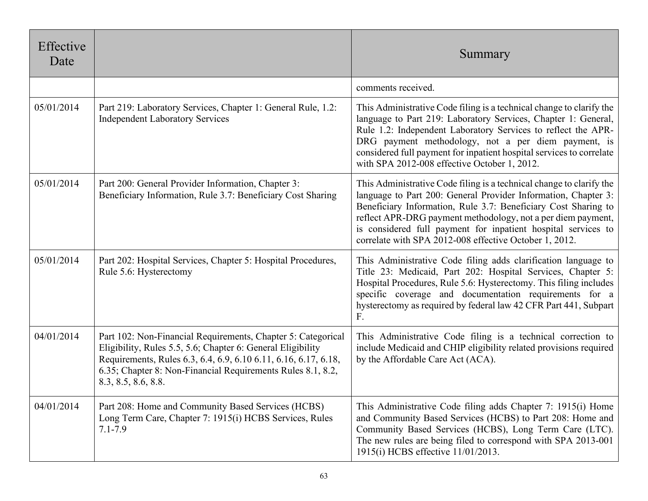| Effective<br>Date |                                                                                                                                                                                                                                                                                      | Summary                                                                                                                                                                                                                                                                                                                                                                                             |
|-------------------|--------------------------------------------------------------------------------------------------------------------------------------------------------------------------------------------------------------------------------------------------------------------------------------|-----------------------------------------------------------------------------------------------------------------------------------------------------------------------------------------------------------------------------------------------------------------------------------------------------------------------------------------------------------------------------------------------------|
|                   |                                                                                                                                                                                                                                                                                      | comments received.                                                                                                                                                                                                                                                                                                                                                                                  |
| 05/01/2014        | Part 219: Laboratory Services, Chapter 1: General Rule, 1.2:<br><b>Independent Laboratory Services</b>                                                                                                                                                                               | This Administrative Code filing is a technical change to clarify the<br>language to Part 219: Laboratory Services, Chapter 1: General,<br>Rule 1.2: Independent Laboratory Services to reflect the APR-<br>DRG payment methodology, not a per diem payment, is<br>considered full payment for inpatient hospital services to correlate<br>with SPA 2012-008 effective October 1, 2012.              |
| 05/01/2014        | Part 200: General Provider Information, Chapter 3:<br>Beneficiary Information, Rule 3.7: Beneficiary Cost Sharing                                                                                                                                                                    | This Administrative Code filing is a technical change to clarify the<br>language to Part 200: General Provider Information, Chapter 3:<br>Beneficiary Information, Rule 3.7: Beneficiary Cost Sharing to<br>reflect APR-DRG payment methodology, not a per diem payment,<br>is considered full payment for inpatient hospital services to<br>correlate with SPA 2012-008 effective October 1, 2012. |
| 05/01/2014        | Part 202: Hospital Services, Chapter 5: Hospital Procedures,<br>Rule 5.6: Hysterectomy                                                                                                                                                                                               | This Administrative Code filing adds clarification language to<br>Title 23: Medicaid, Part 202: Hospital Services, Chapter 5:<br>Hospital Procedures, Rule 5.6: Hysterectomy. This filing includes<br>specific coverage and documentation requirements for a<br>hysterectomy as required by federal law 42 CFR Part 441, Subpart<br>F.                                                              |
| 04/01/2014        | Part 102: Non-Financial Requirements, Chapter 5: Categorical<br>Eligibility, Rules 5.5, 5.6; Chapter 6: General Eligibility<br>Requirements, Rules 6.3, 6.4, 6.9, 6.10 6.11, 6.16, 6.17, 6.18,<br>6.35; Chapter 8: Non-Financial Requirements Rules 8.1, 8.2,<br>8.3, 8.5, 8.6, 8.8. | This Administrative Code filing is a technical correction to<br>include Medicaid and CHIP eligibility related provisions required<br>by the Affordable Care Act (ACA).                                                                                                                                                                                                                              |
| 04/01/2014        | Part 208: Home and Community Based Services (HCBS)<br>Long Term Care, Chapter 7: 1915(i) HCBS Services, Rules<br>$7.1 - 7.9$                                                                                                                                                         | This Administrative Code filing adds Chapter 7: 1915(i) Home<br>and Community Based Services (HCBS) to Part 208: Home and<br>Community Based Services (HCBS), Long Term Care (LTC).<br>The new rules are being filed to correspond with SPA 2013-001<br>1915(i) HCBS effective 11/01/2013.                                                                                                          |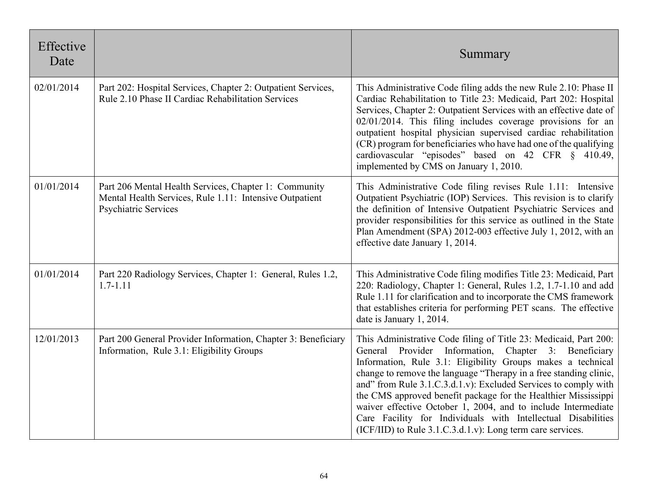| Effective<br>Date |                                                                                                                                          | Summary                                                                                                                                                                                                                                                                                                                                                                                                                                                                                                                                                                                               |
|-------------------|------------------------------------------------------------------------------------------------------------------------------------------|-------------------------------------------------------------------------------------------------------------------------------------------------------------------------------------------------------------------------------------------------------------------------------------------------------------------------------------------------------------------------------------------------------------------------------------------------------------------------------------------------------------------------------------------------------------------------------------------------------|
| 02/01/2014        | Part 202: Hospital Services, Chapter 2: Outpatient Services,<br>Rule 2.10 Phase II Cardiac Rehabilitation Services                       | This Administrative Code filing adds the new Rule 2.10: Phase II<br>Cardiac Rehabilitation to Title 23: Medicaid, Part 202: Hospital<br>Services, Chapter 2: Outpatient Services with an effective date of<br>$02/01/2014$ . This filing includes coverage provisions for an<br>outpatient hospital physician supervised cardiac rehabilitation<br>(CR) program for beneficiaries who have had one of the qualifying<br>cardiovascular "episodes" based on 42 CFR § 410.49,<br>implemented by CMS on January 1, 2010.                                                                                 |
| 01/01/2014        | Part 206 Mental Health Services, Chapter 1: Community<br>Mental Health Services, Rule 1.11: Intensive Outpatient<br>Psychiatric Services | This Administrative Code filing revises Rule 1.11: Intensive<br>Outpatient Psychiatric (IOP) Services. This revision is to clarify<br>the definition of Intensive Outpatient Psychiatric Services and<br>provider responsibilities for this service as outlined in the State<br>Plan Amendment (SPA) 2012-003 effective July 1, 2012, with an<br>effective date January 1, 2014.                                                                                                                                                                                                                      |
| 01/01/2014        | Part 220 Radiology Services, Chapter 1: General, Rules 1.2,<br>$1.7 - 1.11$                                                              | This Administrative Code filing modifies Title 23: Medicaid, Part<br>220: Radiology, Chapter 1: General, Rules 1.2, 1.7-1.10 and add<br>Rule 1.11 for clarification and to incorporate the CMS framework<br>that establishes criteria for performing PET scans. The effective<br>date is January 1, 2014.                                                                                                                                                                                                                                                                                             |
| 12/01/2013        | Part 200 General Provider Information, Chapter 3: Beneficiary<br>Information, Rule 3.1: Eligibility Groups                               | This Administrative Code filing of Title 23: Medicaid, Part 200:<br>General Provider<br>Information, Chapter 3: Beneficiary<br>Information, Rule 3.1: Eligibility Groups makes a technical<br>change to remove the language "Therapy in a free standing clinic,<br>and" from Rule 3.1.C.3.d.1.v): Excluded Services to comply with<br>the CMS approved benefit package for the Healthier Mississippi<br>waiver effective October 1, 2004, and to include Intermediate<br>Care Facility for Individuals with Intellectual Disabilities<br>$(ICF/IID)$ to Rule 3.1.C.3.d.1.v): Long term care services. |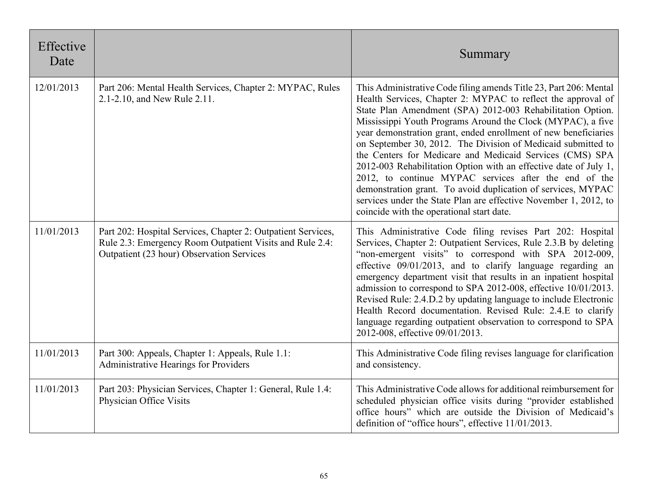| Effective<br>Date |                                                                                                                                                                       | Summary                                                                                                                                                                                                                                                                                                                                                                                                                                                                                                                                                                                                                                                                                                                                                                     |
|-------------------|-----------------------------------------------------------------------------------------------------------------------------------------------------------------------|-----------------------------------------------------------------------------------------------------------------------------------------------------------------------------------------------------------------------------------------------------------------------------------------------------------------------------------------------------------------------------------------------------------------------------------------------------------------------------------------------------------------------------------------------------------------------------------------------------------------------------------------------------------------------------------------------------------------------------------------------------------------------------|
| 12/01/2013        | Part 206: Mental Health Services, Chapter 2: MYPAC, Rules<br>2.1-2.10, and New Rule 2.11.                                                                             | This Administrative Code filing amends Title 23, Part 206: Mental<br>Health Services, Chapter 2: MYPAC to reflect the approval of<br>State Plan Amendment (SPA) 2012-003 Rehabilitation Option.<br>Mississippi Youth Programs Around the Clock (MYPAC), a five<br>year demonstration grant, ended enrollment of new beneficiaries<br>on September 30, 2012. The Division of Medicaid submitted to<br>the Centers for Medicare and Medicaid Services (CMS) SPA<br>2012-003 Rehabilitation Option with an effective date of July 1,<br>2012, to continue MYPAC services after the end of the<br>demonstration grant. To avoid duplication of services, MYPAC<br>services under the State Plan are effective November 1, 2012, to<br>coincide with the operational start date. |
| 11/01/2013        | Part 202: Hospital Services, Chapter 2: Outpatient Services,<br>Rule 2.3: Emergency Room Outpatient Visits and Rule 2.4:<br>Outpatient (23 hour) Observation Services | This Administrative Code filing revises Part 202: Hospital<br>Services, Chapter 2: Outpatient Services, Rule 2.3.B by deleting<br>"non-emergent visits" to correspond with SPA 2012-009,<br>effective 09/01/2013, and to clarify language regarding an<br>emergency department visit that results in an inpatient hospital<br>admission to correspond to SPA 2012-008, effective 10/01/2013.<br>Revised Rule: 2.4.D.2 by updating language to include Electronic<br>Health Record documentation. Revised Rule: 2.4.E to clarify<br>language regarding outpatient observation to correspond to SPA<br>2012-008, effective 09/01/2013.                                                                                                                                        |
| 11/01/2013        | Part 300: Appeals, Chapter 1: Appeals, Rule 1.1:<br>Administrative Hearings for Providers                                                                             | This Administrative Code filing revises language for clarification<br>and consistency.                                                                                                                                                                                                                                                                                                                                                                                                                                                                                                                                                                                                                                                                                      |
| 11/01/2013        | Part 203: Physician Services, Chapter 1: General, Rule 1.4:<br>Physician Office Visits                                                                                | This Administrative Code allows for additional reimbursement for<br>scheduled physician office visits during "provider established<br>office hours" which are outside the Division of Medicaid's<br>definition of "office hours", effective 11/01/2013.                                                                                                                                                                                                                                                                                                                                                                                                                                                                                                                     |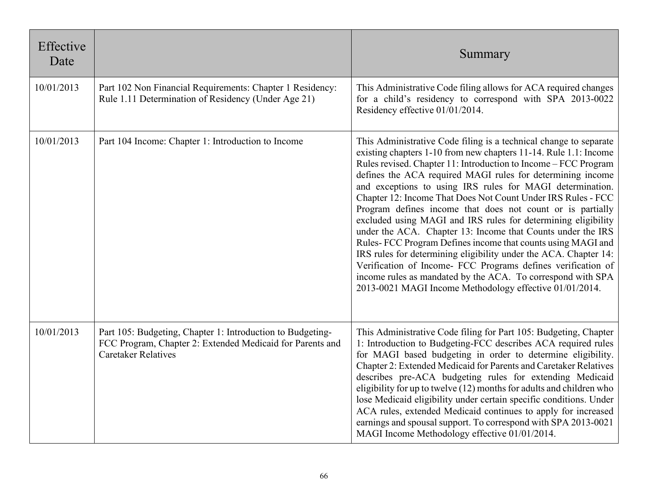| Effective<br>Date |                                                                                                                                                       | Summary                                                                                                                                                                                                                                                                                                                                                                                                                                                                                                                                                                                                                                                                                                                                                                                                                                                                                                                        |
|-------------------|-------------------------------------------------------------------------------------------------------------------------------------------------------|--------------------------------------------------------------------------------------------------------------------------------------------------------------------------------------------------------------------------------------------------------------------------------------------------------------------------------------------------------------------------------------------------------------------------------------------------------------------------------------------------------------------------------------------------------------------------------------------------------------------------------------------------------------------------------------------------------------------------------------------------------------------------------------------------------------------------------------------------------------------------------------------------------------------------------|
| 10/01/2013        | Part 102 Non Financial Requirements: Chapter 1 Residency:<br>Rule 1.11 Determination of Residency (Under Age 21)                                      | This Administrative Code filing allows for ACA required changes<br>for a child's residency to correspond with SPA 2013-0022<br>Residency effective 01/01/2014.                                                                                                                                                                                                                                                                                                                                                                                                                                                                                                                                                                                                                                                                                                                                                                 |
| 10/01/2013        | Part 104 Income: Chapter 1: Introduction to Income                                                                                                    | This Administrative Code filing is a technical change to separate<br>existing chapters 1-10 from new chapters 11-14. Rule 1.1: Income<br>Rules revised. Chapter 11: Introduction to Income - FCC Program<br>defines the ACA required MAGI rules for determining income<br>and exceptions to using IRS rules for MAGI determination.<br>Chapter 12: Income That Does Not Count Under IRS Rules - FCC<br>Program defines income that does not count or is partially<br>excluded using MAGI and IRS rules for determining eligibility<br>under the ACA. Chapter 13: Income that Counts under the IRS<br>Rules-FCC Program Defines income that counts using MAGI and<br>IRS rules for determining eligibility under the ACA. Chapter 14:<br>Verification of Income- FCC Programs defines verification of<br>income rules as mandated by the ACA. To correspond with SPA<br>2013-0021 MAGI Income Methodology effective 01/01/2014. |
| 10/01/2013        | Part 105: Budgeting, Chapter 1: Introduction to Budgeting-<br>FCC Program, Chapter 2: Extended Medicaid for Parents and<br><b>Caretaker Relatives</b> | This Administrative Code filing for Part 105: Budgeting, Chapter<br>1: Introduction to Budgeting-FCC describes ACA required rules<br>for MAGI based budgeting in order to determine eligibility.<br>Chapter 2: Extended Medicaid for Parents and Caretaker Relatives<br>describes pre-ACA budgeting rules for extending Medicaid<br>eligibility for up to twelve $(12)$ months for adults and children who<br>lose Medicaid eligibility under certain specific conditions. Under<br>ACA rules, extended Medicaid continues to apply for increased<br>earnings and spousal support. To correspond with SPA 2013-0021<br>MAGI Income Methodology effective 01/01/2014.                                                                                                                                                                                                                                                           |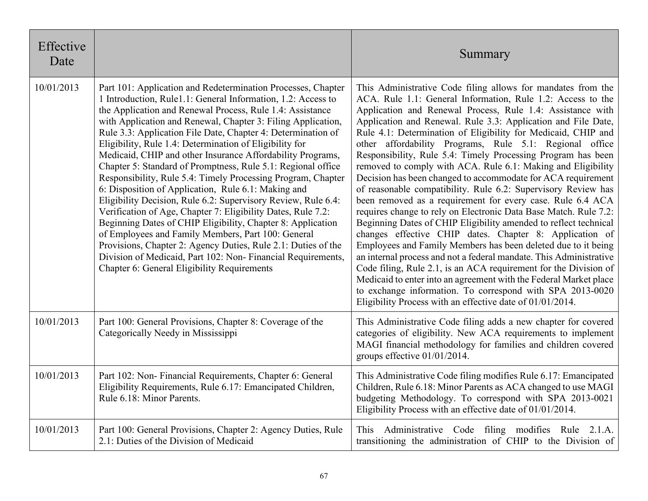| Effective<br>Date |                                                                                                                                                                                                                                                                                                                                                                                                                                                                                                                                                                                                                                                                                                                                                                                                                                                                                                                                                                                                                                                                                | Summary                                                                                                                                                                                                                                                                                                                                                                                                                                                                                                                                                                                                                                                                                                                                                                                                                                                                                                                                                                                                                                                                                                                                                                                                                                                                                                                            |
|-------------------|--------------------------------------------------------------------------------------------------------------------------------------------------------------------------------------------------------------------------------------------------------------------------------------------------------------------------------------------------------------------------------------------------------------------------------------------------------------------------------------------------------------------------------------------------------------------------------------------------------------------------------------------------------------------------------------------------------------------------------------------------------------------------------------------------------------------------------------------------------------------------------------------------------------------------------------------------------------------------------------------------------------------------------------------------------------------------------|------------------------------------------------------------------------------------------------------------------------------------------------------------------------------------------------------------------------------------------------------------------------------------------------------------------------------------------------------------------------------------------------------------------------------------------------------------------------------------------------------------------------------------------------------------------------------------------------------------------------------------------------------------------------------------------------------------------------------------------------------------------------------------------------------------------------------------------------------------------------------------------------------------------------------------------------------------------------------------------------------------------------------------------------------------------------------------------------------------------------------------------------------------------------------------------------------------------------------------------------------------------------------------------------------------------------------------|
| 10/01/2013        | Part 101: Application and Redetermination Processes, Chapter<br>1 Introduction, Rule1.1: General Information, 1.2: Access to<br>the Application and Renewal Process, Rule 1.4: Assistance<br>with Application and Renewal, Chapter 3: Filing Application,<br>Rule 3.3: Application File Date, Chapter 4: Determination of<br>Eligibility, Rule 1.4: Determination of Eligibility for<br>Medicaid, CHIP and other Insurance Affordability Programs,<br>Chapter 5: Standard of Promptness, Rule 5.1: Regional office<br>Responsibility, Rule 5.4: Timely Processing Program, Chapter<br>6: Disposition of Application, Rule 6.1: Making and<br>Eligibility Decision, Rule 6.2: Supervisory Review, Rule 6.4:<br>Verification of Age, Chapter 7: Eligibility Dates, Rule 7.2:<br>Beginning Dates of CHIP Eligibility, Chapter 8: Application<br>of Employees and Family Members, Part 100: General<br>Provisions, Chapter 2: Agency Duties, Rule 2.1: Duties of the<br>Division of Medicaid, Part 102: Non-Financial Requirements,<br>Chapter 6: General Eligibility Requirements | This Administrative Code filing allows for mandates from the<br>ACA. Rule 1.1: General Information, Rule 1.2: Access to the<br>Application and Renewal Process, Rule 1.4: Assistance with<br>Application and Renewal. Rule 3.3: Application and File Date,<br>Rule 4.1: Determination of Eligibility for Medicaid, CHIP and<br>other affordability Programs, Rule 5.1: Regional office<br>Responsibility, Rule 5.4: Timely Processing Program has been<br>removed to comply with ACA. Rule 6.1: Making and Eligibility<br>Decision has been changed to accommodate for ACA requirement<br>of reasonable compatibility. Rule 6.2: Supervisory Review has<br>been removed as a requirement for every case. Rule 6.4 ACA<br>requires change to rely on Electronic Data Base Match. Rule 7.2:<br>Beginning Dates of CHIP Eligibility amended to reflect technical<br>changes effective CHIP dates. Chapter 8: Application of<br>Employees and Family Members has been deleted due to it being<br>an internal process and not a federal mandate. This Administrative<br>Code filing, Rule 2.1, is an ACA requirement for the Division of<br>Medicaid to enter into an agreement with the Federal Market place<br>to exchange information. To correspond with SPA 2013-0020<br>Eligibility Process with an effective date of 01/01/2014. |
| 10/01/2013        | Part 100: General Provisions, Chapter 8: Coverage of the<br>Categorically Needy in Mississippi                                                                                                                                                                                                                                                                                                                                                                                                                                                                                                                                                                                                                                                                                                                                                                                                                                                                                                                                                                                 | This Administrative Code filing adds a new chapter for covered<br>categories of eligibility. New ACA requirements to implement<br>MAGI financial methodology for families and children covered<br>groups effective 01/01/2014.                                                                                                                                                                                                                                                                                                                                                                                                                                                                                                                                                                                                                                                                                                                                                                                                                                                                                                                                                                                                                                                                                                     |
| 10/01/2013        | Part 102: Non-Financial Requirements, Chapter 6: General<br>Eligibility Requirements, Rule 6.17: Emancipated Children,<br>Rule 6.18: Minor Parents.                                                                                                                                                                                                                                                                                                                                                                                                                                                                                                                                                                                                                                                                                                                                                                                                                                                                                                                            | This Administrative Code filing modifies Rule 6.17: Emancipated<br>Children, Rule 6.18: Minor Parents as ACA changed to use MAGI<br>budgeting Methodology. To correspond with SPA 2013-0021<br>Eligibility Process with an effective date of 01/01/2014.                                                                                                                                                                                                                                                                                                                                                                                                                                                                                                                                                                                                                                                                                                                                                                                                                                                                                                                                                                                                                                                                           |
| 10/01/2013        | Part 100: General Provisions, Chapter 2: Agency Duties, Rule<br>2.1: Duties of the Division of Medicaid                                                                                                                                                                                                                                                                                                                                                                                                                                                                                                                                                                                                                                                                                                                                                                                                                                                                                                                                                                        | This Administrative Code filing modifies Rule 2.1.A.<br>transitioning the administration of CHIP to the Division of                                                                                                                                                                                                                                                                                                                                                                                                                                                                                                                                                                                                                                                                                                                                                                                                                                                                                                                                                                                                                                                                                                                                                                                                                |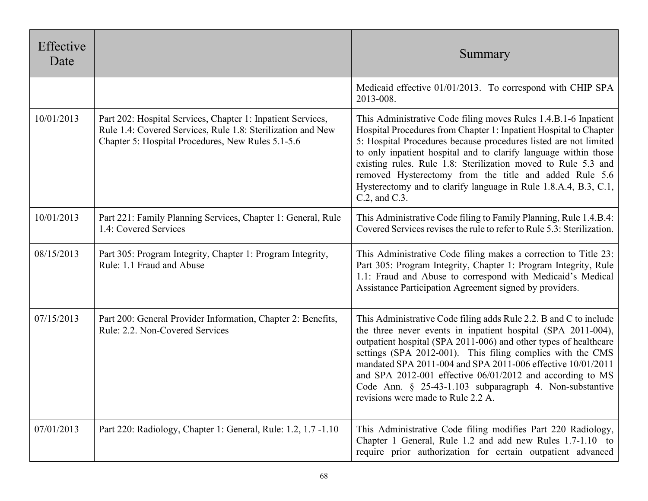| Effective<br>Date |                                                                                                                                                                                 | Summary                                                                                                                                                                                                                                                                                                                                                                                                                                                                                          |
|-------------------|---------------------------------------------------------------------------------------------------------------------------------------------------------------------------------|--------------------------------------------------------------------------------------------------------------------------------------------------------------------------------------------------------------------------------------------------------------------------------------------------------------------------------------------------------------------------------------------------------------------------------------------------------------------------------------------------|
|                   |                                                                                                                                                                                 | Medicaid effective 01/01/2013. To correspond with CHIP SPA<br>2013-008.                                                                                                                                                                                                                                                                                                                                                                                                                          |
| 10/01/2013        | Part 202: Hospital Services, Chapter 1: Inpatient Services,<br>Rule 1.4: Covered Services, Rule 1.8: Sterilization and New<br>Chapter 5: Hospital Procedures, New Rules 5.1-5.6 | This Administrative Code filing moves Rules 1.4.B.1-6 Inpatient<br>Hospital Procedures from Chapter 1: Inpatient Hospital to Chapter<br>5: Hospital Procedures because procedures listed are not limited<br>to only inpatient hospital and to clarify language within those<br>existing rules. Rule 1.8: Sterilization moved to Rule 5.3 and<br>removed Hysterectomy from the title and added Rule 5.6<br>Hysterectomy and to clarify language in Rule 1.8.A.4, B.3, C.1,<br>$C.2$ , and $C.3$ . |
| 10/01/2013        | Part 221: Family Planning Services, Chapter 1: General, Rule<br>1.4: Covered Services                                                                                           | This Administrative Code filing to Family Planning, Rule 1.4.B.4:<br>Covered Services revises the rule to refer to Rule 5.3: Sterilization.                                                                                                                                                                                                                                                                                                                                                      |
| 08/15/2013        | Part 305: Program Integrity, Chapter 1: Program Integrity,<br>Rule: 1.1 Fraud and Abuse                                                                                         | This Administrative Code filing makes a correction to Title 23:<br>Part 305: Program Integrity, Chapter 1: Program Integrity, Rule<br>1.1: Fraud and Abuse to correspond with Medicaid's Medical<br>Assistance Participation Agreement signed by providers.                                                                                                                                                                                                                                      |
| 07/15/2013        | Part 200: General Provider Information, Chapter 2: Benefits,<br>Rule: 2.2. Non-Covered Services                                                                                 | This Administrative Code filing adds Rule 2.2. B and C to include<br>the three never events in inpatient hospital (SPA 2011-004),<br>outpatient hospital (SPA 2011-006) and other types of healthcare<br>settings (SPA 2012-001). This filing complies with the CMS<br>mandated SPA 2011-004 and SPA 2011-006 effective 10/01/2011<br>and SPA 2012-001 effective 06/01/2012 and according to MS<br>Code Ann. § 25-43-1.103 subparagraph 4. Non-substantive<br>revisions were made to Rule 2.2 A. |
| 07/01/2013        | Part 220: Radiology, Chapter 1: General, Rule: 1.2, 1.7 -1.10                                                                                                                   | This Administrative Code filing modifies Part 220 Radiology,<br>Chapter 1 General, Rule 1.2 and add new Rules 1.7-1.10 to<br>require prior authorization for certain outpatient advanced                                                                                                                                                                                                                                                                                                         |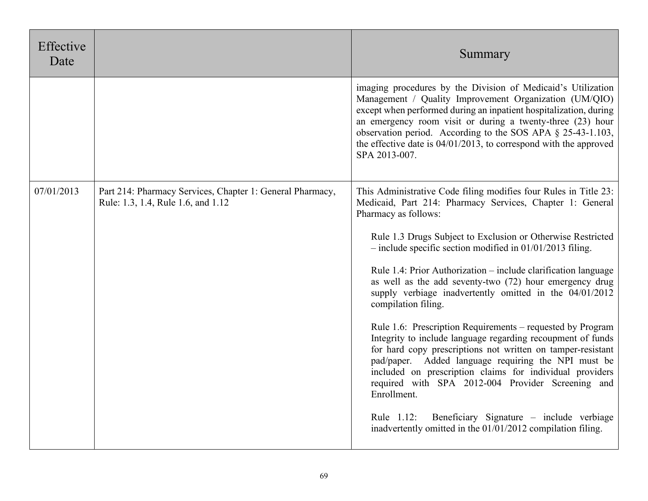| Effective<br>Date |                                                                                                 | Summary                                                                                                                                                                                                                                                                                                                                                                                                           |
|-------------------|-------------------------------------------------------------------------------------------------|-------------------------------------------------------------------------------------------------------------------------------------------------------------------------------------------------------------------------------------------------------------------------------------------------------------------------------------------------------------------------------------------------------------------|
|                   |                                                                                                 | imaging procedures by the Division of Medicaid's Utilization<br>Management / Quality Improvement Organization (UM/QIO)<br>except when performed during an inpatient hospitalization, during<br>an emergency room visit or during a twenty-three (23) hour<br>observation period. According to the SOS APA § 25-43-1.103,<br>the effective date is $04/01/2013$ , to correspond with the approved<br>SPA 2013-007. |
| 07/01/2013        | Part 214: Pharmacy Services, Chapter 1: General Pharmacy,<br>Rule: 1.3, 1.4, Rule 1.6, and 1.12 | This Administrative Code filing modifies four Rules in Title 23:<br>Medicaid, Part 214: Pharmacy Services, Chapter 1: General<br>Pharmacy as follows:                                                                                                                                                                                                                                                             |
|                   |                                                                                                 | Rule 1.3 Drugs Subject to Exclusion or Otherwise Restricted<br>$-$ include specific section modified in 01/01/2013 filing.                                                                                                                                                                                                                                                                                        |
|                   |                                                                                                 | Rule 1.4: Prior Authorization – include clarification language<br>as well as the add seventy-two (72) hour emergency drug<br>supply verbiage inadvertently omitted in the 04/01/2012<br>compilation filing.                                                                                                                                                                                                       |
|                   |                                                                                                 | Rule 1.6: Prescription Requirements – requested by Program<br>Integrity to include language regarding recoupment of funds<br>for hard copy prescriptions not written on tamper-resistant<br>pad/paper. Added language requiring the NPI must be<br>included on prescription claims for individual providers<br>required with SPA 2012-004 Provider Screening and<br>Enrollment.                                   |
|                   |                                                                                                 | Beneficiary Signature – include verbiage<br>Rule 1.12:<br>inadvertently omitted in the 01/01/2012 compilation filing.                                                                                                                                                                                                                                                                                             |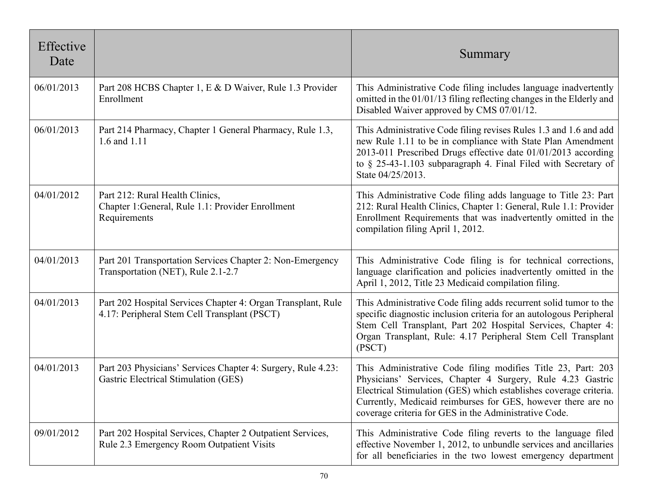| Effective<br>Date |                                                                                                              | Summary                                                                                                                                                                                                                                                                                                                  |
|-------------------|--------------------------------------------------------------------------------------------------------------|--------------------------------------------------------------------------------------------------------------------------------------------------------------------------------------------------------------------------------------------------------------------------------------------------------------------------|
| 06/01/2013        | Part 208 HCBS Chapter 1, E & D Waiver, Rule 1.3 Provider<br>Enrollment                                       | This Administrative Code filing includes language inadvertently<br>omitted in the 01/01/13 filing reflecting changes in the Elderly and<br>Disabled Waiver approved by CMS 07/01/12.                                                                                                                                     |
| 06/01/2013        | Part 214 Pharmacy, Chapter 1 General Pharmacy, Rule 1.3,<br>1.6 and 1.11                                     | This Administrative Code filing revises Rules 1.3 and 1.6 and add<br>new Rule 1.11 to be in compliance with State Plan Amendment<br>2013-011 Prescribed Drugs effective date 01/01/2013 according<br>to § 25-43-1.103 subparagraph 4. Final Filed with Secretary of<br>State 04/25/2013.                                 |
| 04/01/2012        | Part 212: Rural Health Clinics,<br>Chapter 1: General, Rule 1.1: Provider Enrollment<br>Requirements         | This Administrative Code filing adds language to Title 23: Part<br>212: Rural Health Clinics, Chapter 1: General, Rule 1.1: Provider<br>Enrollment Requirements that was inadvertently omitted in the<br>compilation filing April 1, 2012.                                                                               |
| 04/01/2013        | Part 201 Transportation Services Chapter 2: Non-Emergency<br>Transportation (NET), Rule 2.1-2.7              | This Administrative Code filing is for technical corrections,<br>language clarification and policies inadvertently omitted in the<br>April 1, 2012, Title 23 Medicaid compilation filing.                                                                                                                                |
| 04/01/2013        | Part 202 Hospital Services Chapter 4: Organ Transplant, Rule<br>4.17: Peripheral Stem Cell Transplant (PSCT) | This Administrative Code filing adds recurrent solid tumor to the<br>specific diagnostic inclusion criteria for an autologous Peripheral<br>Stem Cell Transplant, Part 202 Hospital Services, Chapter 4:<br>Organ Transplant, Rule: 4.17 Peripheral Stem Cell Transplant<br>(PSCT)                                       |
| 04/01/2013        | Part 203 Physicians' Services Chapter 4: Surgery, Rule 4.23:<br>Gastric Electrical Stimulation (GES)         | This Administrative Code filing modifies Title 23, Part: 203<br>Physicians' Services, Chapter 4 Surgery, Rule 4.23 Gastric<br>Electrical Stimulation (GES) which establishes coverage criteria.<br>Currently, Medicaid reimburses for GES, however there are no<br>coverage criteria for GES in the Administrative Code. |
| 09/01/2012        | Part 202 Hospital Services, Chapter 2 Outpatient Services,<br>Rule 2.3 Emergency Room Outpatient Visits      | This Administrative Code filing reverts to the language filed<br>effective November 1, 2012, to unbundle services and ancillaries<br>for all beneficiaries in the two lowest emergency department                                                                                                                        |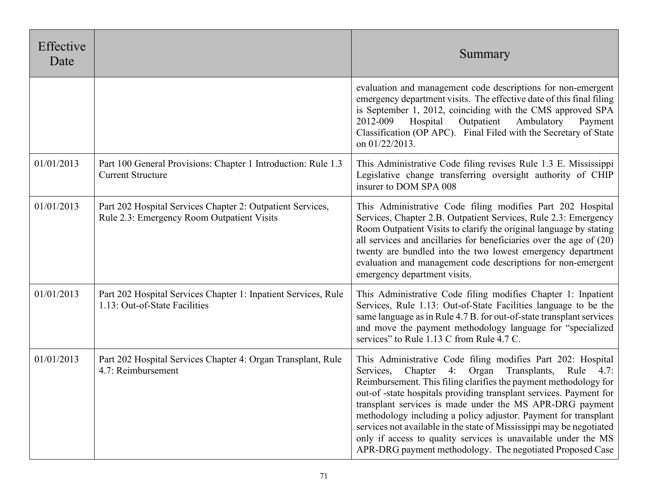| Effective<br>Date |                                                                                                          | Summary                                                                                                                                                                                                                                                                                                                                                                                                                                                                                                                                                                                               |
|-------------------|----------------------------------------------------------------------------------------------------------|-------------------------------------------------------------------------------------------------------------------------------------------------------------------------------------------------------------------------------------------------------------------------------------------------------------------------------------------------------------------------------------------------------------------------------------------------------------------------------------------------------------------------------------------------------------------------------------------------------|
|                   |                                                                                                          | evaluation and management code descriptions for non-emergent<br>emergency department visits. The effective date of this final filing<br>is September 1, 2012, coinciding with the CMS approved SPA<br>2012-009<br>Hospital<br>Outpatient<br>Ambulatory<br>Payment<br>Classification (OP APC). Final Filed with the Secretary of State<br>on 01/22/2013.                                                                                                                                                                                                                                               |
| 01/01/2013        | Part 100 General Provisions: Chapter 1 Introduction: Rule 1.3<br><b>Current Structure</b>                | This Administrative Code filing revises Rule 1.3 E. Mississippi<br>Legislative change transferring oversight authority of CHIP<br>insurer to DOM SPA 008                                                                                                                                                                                                                                                                                                                                                                                                                                              |
| 01/01/2013        | Part 202 Hospital Services Chapter 2: Outpatient Services,<br>Rule 2.3: Emergency Room Outpatient Visits | This Administrative Code filing modifies Part 202 Hospital<br>Services, Chapter 2.B. Outpatient Services, Rule 2.3: Emergency<br>Room Outpatient Visits to clarify the original language by stating<br>all services and ancillaries for beneficiaries over the age of (20)<br>twenty are bundled into the two lowest emergency department<br>evaluation and management code descriptions for non-emergent<br>emergency department visits.                                                                                                                                                             |
| 01/01/2013        | Part 202 Hospital Services Chapter 1: Inpatient Services, Rule<br>1.13: Out-of-State Facilities          | This Administrative Code filing modifies Chapter 1: Inpatient<br>Services, Rule 1.13: Out-of-State Facilities language to be the<br>same language as in Rule 4.7 B. for out-of-state transplant services<br>and move the payment methodology language for "specialized<br>services" to Rule 1.13 C from Rule 4.7 C.                                                                                                                                                                                                                                                                                   |
| 01/01/2013        | Part 202 Hospital Services Chapter 4: Organ Transplant, Rule<br>4.7: Reimbursement                       | This Administrative Code filing modifies Part 202: Hospital<br>Services, Chapter 4: Organ<br>Transplants,<br>Rule 4.7:<br>Reimbursement. This filing clarifies the payment methodology for<br>out-of-state hospitals providing transplant services. Payment for<br>transplant services is made under the MS APR-DRG payment<br>methodology including a policy adjustor. Payment for transplant<br>services not available in the state of Mississippi may be negotiated<br>only if access to quality services is unavailable under the MS<br>APR-DRG payment methodology. The negotiated Proposed Case |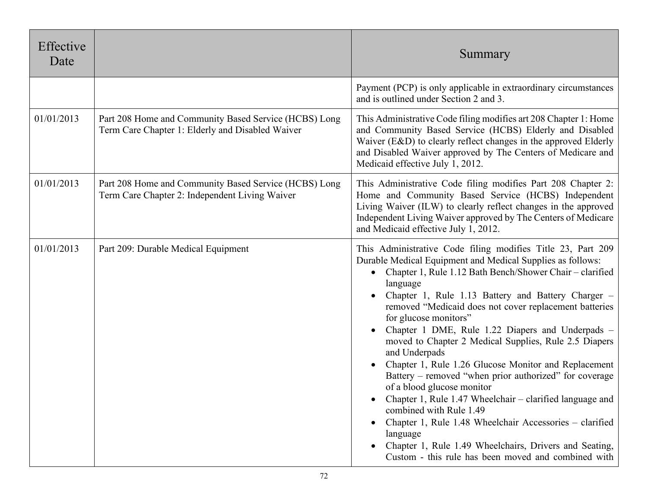| Effective<br>Date |                                                                                                           | Summary                                                                                                                                                                                                                                                                                                                                                                                                                                                                                                                                                                                                                                                                                                                                                                                                                                                                                                                           |
|-------------------|-----------------------------------------------------------------------------------------------------------|-----------------------------------------------------------------------------------------------------------------------------------------------------------------------------------------------------------------------------------------------------------------------------------------------------------------------------------------------------------------------------------------------------------------------------------------------------------------------------------------------------------------------------------------------------------------------------------------------------------------------------------------------------------------------------------------------------------------------------------------------------------------------------------------------------------------------------------------------------------------------------------------------------------------------------------|
|                   |                                                                                                           | Payment (PCP) is only applicable in extraordinary circumstances<br>and is outlined under Section 2 and 3.                                                                                                                                                                                                                                                                                                                                                                                                                                                                                                                                                                                                                                                                                                                                                                                                                         |
| 01/01/2013        | Part 208 Home and Community Based Service (HCBS) Long<br>Term Care Chapter 1: Elderly and Disabled Waiver | This Administrative Code filing modifies art 208 Chapter 1: Home<br>and Community Based Service (HCBS) Elderly and Disabled<br>Waiver (E&D) to clearly reflect changes in the approved Elderly<br>and Disabled Waiver approved by The Centers of Medicare and<br>Medicaid effective July 1, 2012.                                                                                                                                                                                                                                                                                                                                                                                                                                                                                                                                                                                                                                 |
| 01/01/2013        | Part 208 Home and Community Based Service (HCBS) Long<br>Term Care Chapter 2: Independent Living Waiver   | This Administrative Code filing modifies Part 208 Chapter 2:<br>Home and Community Based Service (HCBS) Independent<br>Living Waiver (ILW) to clearly reflect changes in the approved<br>Independent Living Waiver approved by The Centers of Medicare<br>and Medicaid effective July 1, 2012.                                                                                                                                                                                                                                                                                                                                                                                                                                                                                                                                                                                                                                    |
| 01/01/2013        | Part 209: Durable Medical Equipment                                                                       | This Administrative Code filing modifies Title 23, Part 209<br>Durable Medical Equipment and Medical Supplies as follows:<br>Chapter 1, Rule 1.12 Bath Bench/Shower Chair - clarified<br>$\bullet$<br>language<br>Chapter 1, Rule 1.13 Battery and Battery Charger -<br>removed "Medicaid does not cover replacement batteries<br>for glucose monitors"<br>Chapter 1 DME, Rule 1.22 Diapers and Underpads -<br>moved to Chapter 2 Medical Supplies, Rule 2.5 Diapers<br>and Underpads<br>Chapter 1, Rule 1.26 Glucose Monitor and Replacement<br>Battery – removed "when prior authorized" for coverage<br>of a blood glucose monitor<br>Chapter 1, Rule 1.47 Wheelchair - clarified language and<br>combined with Rule 1.49<br>Chapter 1, Rule 1.48 Wheelchair Accessories – clarified<br>language<br>Chapter 1, Rule 1.49 Wheelchairs, Drivers and Seating,<br>$\bullet$<br>Custom - this rule has been moved and combined with |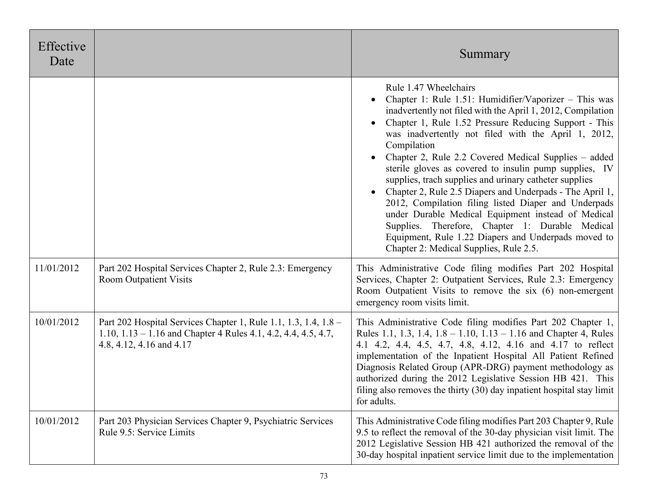| Effective<br>Date |                                                                                                                                                                 | Summary                                                                                                                                                                                                                                                                                                                                                                                                                                                                                                                                                                                                                                                                                                                                                                                |
|-------------------|-----------------------------------------------------------------------------------------------------------------------------------------------------------------|----------------------------------------------------------------------------------------------------------------------------------------------------------------------------------------------------------------------------------------------------------------------------------------------------------------------------------------------------------------------------------------------------------------------------------------------------------------------------------------------------------------------------------------------------------------------------------------------------------------------------------------------------------------------------------------------------------------------------------------------------------------------------------------|
|                   |                                                                                                                                                                 | Rule 1.47 Wheelchairs<br>Chapter 1: Rule 1.51: Humidifier/Vaporizer - This was<br>inadvertently not filed with the April 1, 2012, Compilation<br>Chapter 1, Rule 1.52 Pressure Reducing Support - This<br>was inadvertently not filed with the April 1, 2012,<br>Compilation<br>Chapter 2, Rule 2.2 Covered Medical Supplies – added<br>sterile gloves as covered to insulin pump supplies, IV<br>supplies, trach supplies and urinary catheter supplies<br>Chapter 2, Rule 2.5 Diapers and Underpads - The April 1,<br>2012, Compilation filing listed Diaper and Underpads<br>under Durable Medical Equipment instead of Medical<br>Supplies. Therefore, Chapter 1: Durable Medical<br>Equipment, Rule 1.22 Diapers and Underpads moved to<br>Chapter 2: Medical Supplies, Rule 2.5. |
| 11/01/2012        | Part 202 Hospital Services Chapter 2, Rule 2.3: Emergency<br><b>Room Outpatient Visits</b>                                                                      | This Administrative Code filing modifies Part 202 Hospital<br>Services, Chapter 2: Outpatient Services, Rule 2.3: Emergency<br>Room Outpatient Visits to remove the six (6) non-emergent<br>emergency room visits limit.                                                                                                                                                                                                                                                                                                                                                                                                                                                                                                                                                               |
| 10/01/2012        | Part 202 Hospital Services Chapter 1, Rule 1.1, 1.3, 1.4, 1.8 –<br>1.10, $1.13 - 1.16$ and Chapter 4 Rules 4.1, 4.2, 4.4, 4.5, 4.7,<br>4.8, 4.12, 4.16 and 4.17 | This Administrative Code filing modifies Part 202 Chapter 1,<br>Rules 1.1, 1.3, 1.4, 1.8 – 1.10, 1.13 – 1.16 and Chapter 4, Rules<br>4.1 4.2, 4.4, 4.5, 4.7, 4.8, 4.12, 4.16 and 4.17 to reflect<br>implementation of the Inpatient Hospital All Patient Refined<br>Diagnosis Related Group (APR-DRG) payment methodology as<br>authorized during the 2012 Legislative Session HB 421. This<br>filing also removes the thirty $(30)$ day inpatient hospital stay limit<br>for adults.                                                                                                                                                                                                                                                                                                  |
| 10/01/2012        | Part 203 Physician Services Chapter 9, Psychiatric Services<br>Rule 9.5: Service Limits                                                                         | This Administrative Code filing modifies Part 203 Chapter 9, Rule<br>9.5 to reflect the removal of the 30-day physician visit limit. The<br>2012 Legislative Session HB 421 authorized the removal of the<br>30-day hospital inpatient service limit due to the implementation                                                                                                                                                                                                                                                                                                                                                                                                                                                                                                         |